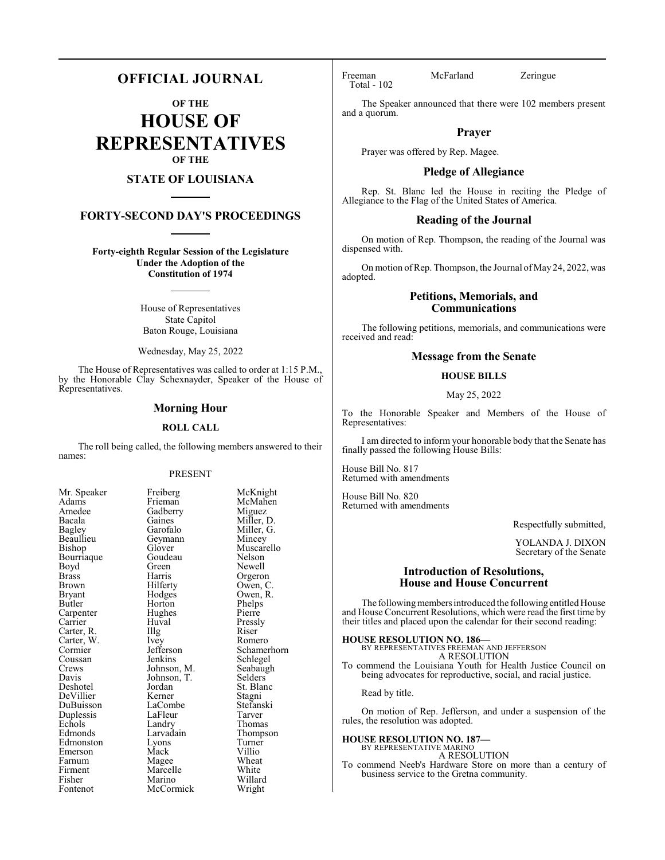## **OFFICIAL JOURNAL**

**OF THE**

**HOUSE OF REPRESENTATIVES OF THE**

#### **STATE OF LOUISIANA**

#### **FORTY-SECOND DAY'S PROCEEDINGS**

**Forty-eighth Regular Session of the Legislature Under the Adoption of the Constitution of 1974**

> House of Representatives State Capitol Baton Rouge, Louisiana

Wednesday, May 25, 2022

The House of Representatives was called to order at 1:15 P.M., by the Honorable Clay Schexnayder, Speaker of the House of Representatives.

#### **Morning Hour**

#### **ROLL CALL**

The roll being called, the following members answered to their names:

#### PRESENT

Gadberry<br>Gaines

Geymann<br>Glover

Goudeau<br>Green

Hughes<br>Huval

Landry<br>Larvadain

Marcelle<br>Marino

Mack

| Mr. Speaker                        |
|------------------------------------|
| Adams                              |
| Amedee                             |
| Bacala                             |
| <b>Bagley</b>                      |
| Beaullieu                          |
| Bishop                             |
| Bourriaque                         |
| Boyd                               |
| <b>Brass</b>                       |
| Brown                              |
| <b>Bryant</b>                      |
| Butler                             |
| Carpenter<br>Carrier<br>Carter, R. |
|                                    |
|                                    |
| Carter, W.                         |
| Cormier                            |
| Coussan                            |
| Crews                              |
| Davis                              |
| Deshotel<br>DeVillier              |
|                                    |
| DuBuisson                          |
| Duplessis                          |
| Echols                             |
| Edmonds                            |
| Edmonston                          |
| Emerson                            |
| Farnum                             |
| Firment                            |
| Fisher                             |
| Fontenot                           |

Freiberg McKnight<br>Frieman McMahen McMahen<br>Miguez Gaines Miller, D.<br>Garofalo Miller, G. Miller, G.<br>Mincey Muscarello<br>Nelson Green Newell<br>Harris Orgeror Harris Orgeron<br>Hilferty Owen, C Hilferty Owen, C.<br>Hodges Owen, R. Owen, R.<br>Phelps Horton Phelps<br>Hughes Pierre Huval Pressly<br>Illg Riser Carter, R. Illg Riser Ivey Romero<br>Jefferson Schamer Jefferson Schamerhorn<br>Jenkins Schlegel Schlegel<br>Seabaugh Johnson, M.<br>Johnson, T.<br>Selders Johnson, T.<br>Jordan St. Blanc<br>Stagni Kerner Stagni<br>LaCombe Stefanski LaCombe Stefans<br>LaFleur Tarver LaFleur Tarver<br>
Landrv Thomas Thompson<br>Turner Lyons Turner<br>
Mack Villio Magee Wheat<br>Marcelle White Willard<br>Wright McCormick

Total - 102

Freeman McFarland Zeringue

The Speaker announced that there were 102 members present and a quorum.

#### **Prayer**

Prayer was offered by Rep. Magee.

#### **Pledge of Allegiance**

Rep. St. Blanc led the House in reciting the Pledge of Allegiance to the Flag of the United States of America.

#### **Reading of the Journal**

On motion of Rep. Thompson, the reading of the Journal was dispensed with.

On motion of Rep. Thompson, the Journal of May 24, 2022, was adopted.

#### **Petitions, Memorials, and Communications**

The following petitions, memorials, and communications were received and read:

#### **Message from the Senate**

#### **HOUSE BILLS**

#### May 25, 2022

To the Honorable Speaker and Members of the House of Representatives:

I am directed to inform your honorable body that the Senate has finally passed the following House Bills:

House Bill No. 817 Returned with amendments

House Bill No. 820 Returned with amendments

Respectfully submitted,

YOLANDA J. DIXON Secretary of the Senate

#### **Introduction of Resolutions, House and House Concurrent**

The following members introduced the following entitled House and House Concurrent Resolutions, which were read the first time by their titles and placed upon the calendar for their second reading:

**HOUSE RESOLUTION NO. 186—** BY REPRESENTATIVES FREEMAN AND JEFFERSON A RESOLUTION To commend the Louisiana Youth for Health Justice Council on

being advocates for reproductive, social, and racial justice.

Read by title.

On motion of Rep. Jefferson, and under a suspension of the rules, the resolution was adopted.

#### **HOUSE RESOLUTION NO. 187—** BY REPRESENTATIVE MARINO

A RESOLUTION

To commend Neeb's Hardware Store on more than a century of business service to the Gretna community.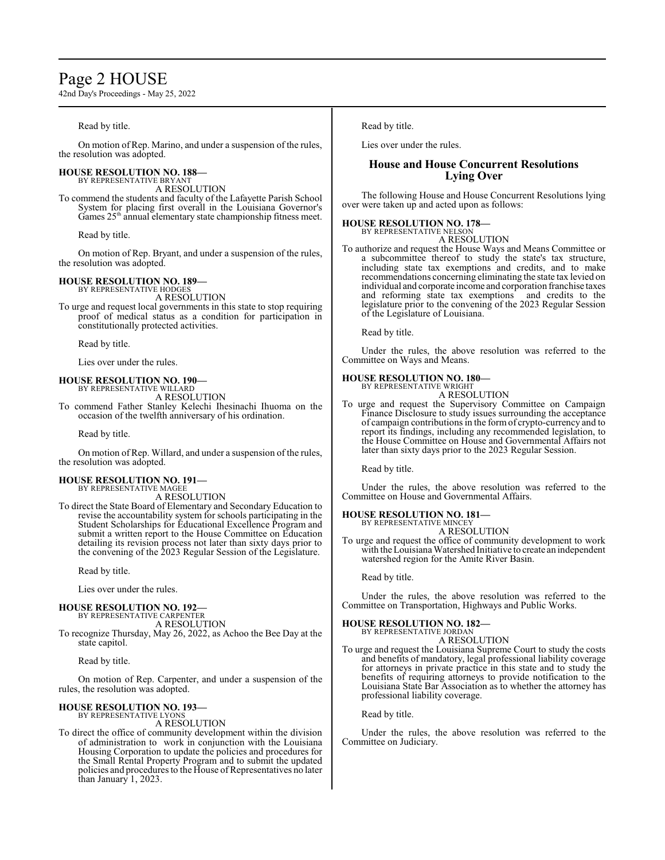## Page 2 HOUSE

42nd Day's Proceedings - May 25, 2022

Read by title.

On motion of Rep. Marino, and under a suspension of the rules, the resolution was adopted.

## **HOUSE RESOLUTION NO. 188—** BY REPRESENTATIVE BRYANT

A RESOLUTION

To commend the students and faculty of the Lafayette Parish School System for placing first overall in the Louisiana Governor's Games 25<sup>th</sup> annual elementary state championship fitness meet.

Read by title.

On motion of Rep. Bryant, and under a suspension of the rules, the resolution was adopted.

#### **HOUSE RESOLUTION NO. 189—**

BY REPRESENTATIVE HODGES A RESOLUTION

To urge and request local governments in this state to stop requiring proof of medical status as a condition for participation in constitutionally protected activities.

Read by title.

Lies over under the rules.

#### **HOUSE RESOLUTION NO. 190—** BY REPRESENTATIVE WILLARD

A RESOLUTION

To commend Father Stanley Kelechi Ihesinachi Ihuoma on the occasion of the twelfth anniversary of his ordination.

Read by title.

On motion of Rep. Willard, and under a suspension of the rules, the resolution was adopted.

#### **HOUSE RESOLUTION NO. 191—** BY REPRESENTATIVE MAGEE

A RESOLUTION

To direct the State Board of Elementary and Secondary Education to revise the accountability system for schools participating in the Student Scholarships for Educational Excellence Program and submit a written report to the House Committee on Education detailing its revision process not later than sixty days prior to the convening of the 2023 Regular Session of the Legislature.

Read by title.

Lies over under the rules.

#### **HOUSE RESOLUTION NO. 192—** BY REPRESENTATIVE CARPENTER

A RESOLUTION

To recognize Thursday, May 26, 2022, as Achoo the Bee Day at the state capitol.

Read by title.

On motion of Rep. Carpenter, and under a suspension of the rules, the resolution was adopted.

#### **HOUSE RESOLUTION NO. 193—**

BY REPRESENTATIVE LYONS A RESOLUTION

To direct the office of community development within the division of administration to work in conjunction with the Louisiana Housing Corporation to update the policies and procedures for the Small Rental Property Program and to submit the updated policies and procedures to the House of Representatives no later than January 1, 2023.

Read by title.

Lies over under the rules.

## **House and House Concurrent Resolutions Lying Over**

The following House and House Concurrent Resolutions lying over were taken up and acted upon as follows:

#### **HOUSE RESOLUTION NO. 178—**

BY REPRESENTATIVE NELSON A RESOLUTION

To authorize and request the House Ways and Means Committee or a subcommittee thereof to study the state's tax structure, including state tax exemptions and credits, and to make recommendations concerning eliminating the state tax levied on individual and corporate income and corporation franchise taxes and reforming state tax exemptions and credits to the legislature prior to the convening of the 2023 Regular Session of the Legislature of Louisiana.

Read by title.

Under the rules, the above resolution was referred to the Committee on Ways and Means.

#### **HOUSE RESOLUTION NO. 180—** BY REPRESENTATIVE WRIGHT

A RESOLUTION

To urge and request the Supervisory Committee on Campaign Finance Disclosure to study issues surrounding the acceptance of campaign contributions in the form of crypto-currency and to report its findings, including any recommended legislation, to the House Committee on House and Governmental Affairs not later than sixty days prior to the 2023 Regular Session.

Read by title.

Under the rules, the above resolution was referred to the Committee on House and Governmental Affairs.

#### **HOUSE RESOLUTION NO. 181—**

BY REPRESENTATIVE MINCEY A RESOLUTION

To urge and request the office of community development to work with the Louisiana Watershed Initiative to create an independent watershed region for the Amite River Basin.

Read by title.

Under the rules, the above resolution was referred to the Committee on Transportation, Highways and Public Works.

#### **HOUSE RESOLUTION NO. 182—**

BY REPRESENTATIVE JORDAN A RESOLUTION

To urge and request the Louisiana Supreme Court to study the costs and benefits of mandatory, legal professional liability coverage for attorneys in private practice in this state and to study the benefits of requiring attorneys to provide notification to the Louisiana State Bar Association as to whether the attorney has professional liability coverage.

Read by title.

Under the rules, the above resolution was referred to the Committee on Judiciary.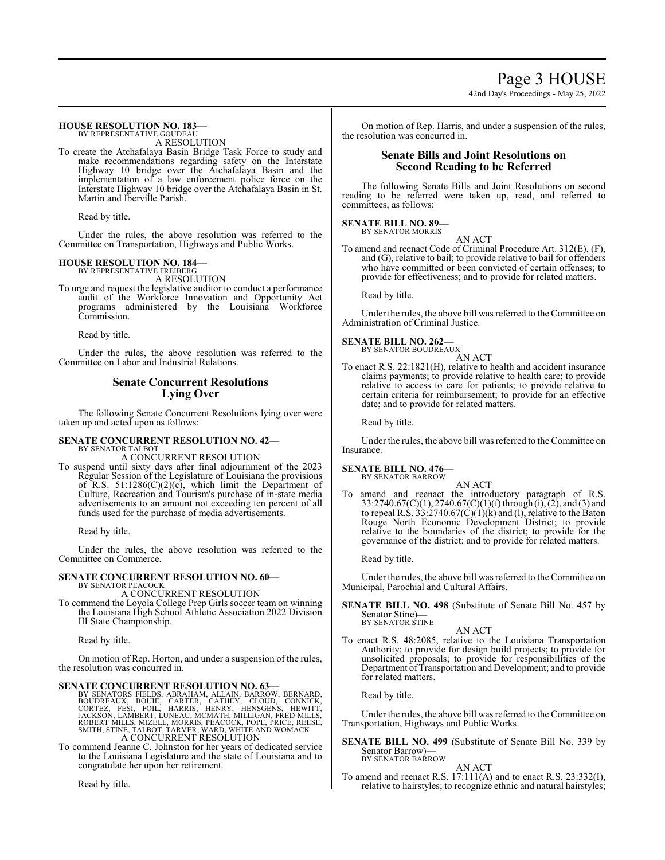Page 3 HOUSE 42nd Day's Proceedings - May 25, 2022

#### **HOUSE RESOLUTION NO. 183—** BY REPRESENTATIVE GOUDEAU

A RESOLUTION

To create the Atchafalaya Basin Bridge Task Force to study and make recommendations regarding safety on the Interstate Highway 10 bridge over the Atchafalaya Basin and the implementation of a law enforcement police force on the Interstate Highway 10 bridge over the Atchafalaya Basin in St. Martin and Iberville Parish.

Read by title.

Under the rules, the above resolution was referred to the Committee on Transportation, Highways and Public Works.

#### **HOUSE RESOLUTION NO. 184—**

BY REPRESENTATIVE FREIBERG A RESOLUTION

To urge and request the legislative auditor to conduct a performance audit of the Workforce Innovation and Opportunity Act programs administered by the Louisiana Workforce Commission.

Read by title.

Under the rules, the above resolution was referred to the Committee on Labor and Industrial Relations.

#### **Senate Concurrent Resolutions Lying Over**

The following Senate Concurrent Resolutions lying over were taken up and acted upon as follows:

## **SENATE CONCURRENT RESOLUTION NO. 42—**

BY SENATOR TALBOT A CONCURRENT RESOLUTION

To suspend until sixty days after final adjournment of the 2023 Regular Session of the Legislature of Louisiana the provisions of R.S.  $51:1286(C)(2)(c)$ , which limit the Department of Culture, Recreation and Tourism's purchase of in-state media advertisements to an amount not exceeding ten percent of all funds used for the purchase of media advertisements.

Read by title.

Under the rules, the above resolution was referred to the Committee on Commerce.

#### **SENATE CONCURRENT RESOLUTION NO. 60—** BY SENATOR PEACOCK

A CONCURRENT RESOLUTION

To commend the Loyola College Prep Girls soccer team on winning the Louisiana High School Athletic Association 2022 Division III State Championship.

Read by title.

On motion of Rep. Horton, and under a suspension of the rules, the resolution was concurred in.

**SENATE CONCURRENT RESOLUTION NO. 63**<br>BY SENATORS FIELDS, ABRAHAM, ALLAIN, BARROW, BERNARD,<br>BOUDREAUX, BOUIE, CARTER, CATHEY, CLOUD, CONNICK,<br>CORTEZ, FESI, FOIL, HARRIS, HENRY, HENSGENS, HEWITT,<br>JACKSON, LAMBERT, LUNEAU, M

To commend Jeanne C. Johnston for her years of dedicated service to the Louisiana Legislature and the state of Louisiana and to congratulate her upon her retirement.

Read by title.

On motion of Rep. Harris, and under a suspension of the rules, the resolution was concurred in.

#### **Senate Bills and Joint Resolutions on Second Reading to be Referred**

The following Senate Bills and Joint Resolutions on second reading to be referred were taken up, read, and referred to committees, as follows:

#### **SENATE BILL NO. 89—** BY SENATOR MORRIS

AN ACT To amend and reenact Code of Criminal Procedure Art. 312(E), (F), and (G), relative to bail; to provide relative to bail for offenders who have committed or been convicted of certain offenses; to provide for effectiveness; and to provide for related matters.

Read by title.

Under the rules, the above bill was referred to the Committee on Administration of Criminal Justice.

**SENATE BILL NO. 262—** BY SENATOR BOUDREAUX

AN ACT

To enact R.S. 22:1821(H), relative to health and accident insurance claims payments; to provide relative to health care; to provide relative to access to care for patients; to provide relative to certain criteria for reimbursement; to provide for an effective date; and to provide for related matters.

Read by title.

Under the rules, the above bill was referred to the Committee on Insurance.

#### **SENATE BILL NO. 476—**

BY SENATOR BARROW

AN ACT To amend and reenact the introductory paragraph of R.S. 33:2740.67(C)(1), 2740.67(C)(1)(f) through (i), (2), and (3) and to repeal R.S.  $33:2740.67(\tilde{C})(1)(k)$  and (1), relative to the Baton Rouge North Economic Development District; to provide relative to the boundaries of the district; to provide for the governance of the district; and to provide for related matters.

Read by title.

Under the rules, the above bill was referred to the Committee on Municipal, Parochial and Cultural Affairs.

**SENATE BILL NO. 498** (Substitute of Senate Bill No. 457 by Senator Stine)**—** BY SENATOR STINE

#### AN ACT

To enact R.S. 48:2085, relative to the Louisiana Transportation Authority; to provide for design build projects; to provide for unsolicited proposals; to provide for responsibilities of the Department of Transportation and Development; and to provide for related matters.

Read by title.

Under the rules, the above bill was referred to the Committee on Transportation, Highways and Public Works.

**SENATE BILL NO. 499** (Substitute of Senate Bill No. 339 by Senator Barrow)**—** BY SENATOR BARROW

#### AN ACT

To amend and reenact R.S. 17:111(A) and to enact R.S. 23:332(I), relative to hairstyles; to recognize ethnic and natural hairstyles;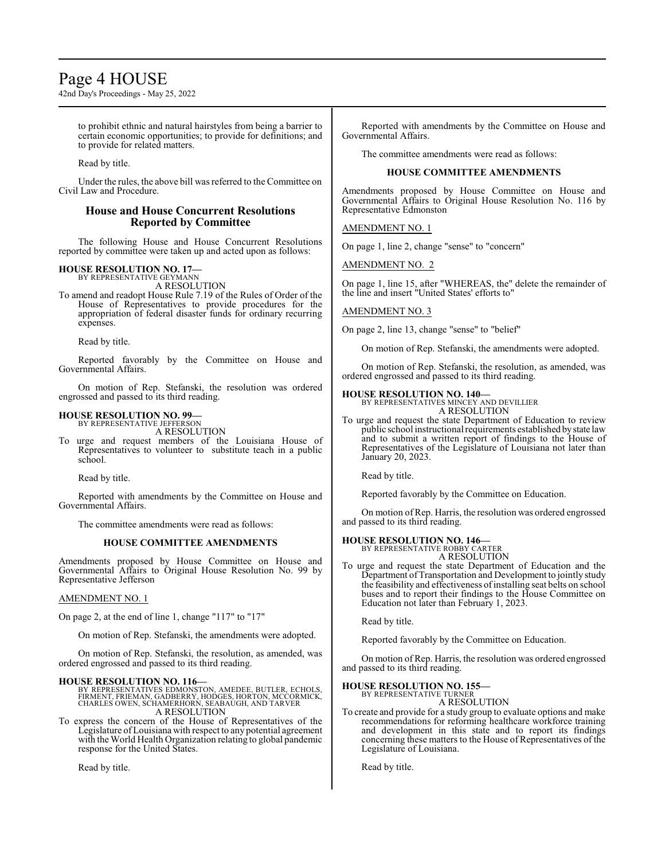## Page 4 HOUSE

42nd Day's Proceedings - May 25, 2022

to prohibit ethnic and natural hairstyles from being a barrier to certain economic opportunities; to provide for definitions; and to provide for related matters.

Read by title.

Under the rules, the above bill was referred to the Committee on Civil Law and Procedure.

#### **House and House Concurrent Resolutions Reported by Committee**

The following House and House Concurrent Resolutions reported by committee were taken up and acted upon as follows:

## **HOUSE RESOLUTION NO. 17—** BY REPRESENTATIVE GEYMANN

A RESOLUTION

To amend and readopt House Rule 7.19 of the Rules of Order of the House of Representatives to provide procedures for the appropriation of federal disaster funds for ordinary recurring expenses.

Read by title.

Reported favorably by the Committee on House and Governmental Affairs.

On motion of Rep. Stefanski, the resolution was ordered engrossed and passed to its third reading.

#### **HOUSE RESOLUTION NO. 99—** BY REPRESENTATIVE JEFFERSON

A RESOLUTION

To urge and request members of the Louisiana House of Representatives to volunteer to substitute teach in a public school.

Read by title.

Reported with amendments by the Committee on House and Governmental Affairs.

The committee amendments were read as follows:

#### **HOUSE COMMITTEE AMENDMENTS**

Amendments proposed by House Committee on House and Governmental Affairs to Original House Resolution No. 99 by Representative Jefferson

#### AMENDMENT NO. 1

On page 2, at the end of line 1, change "117" to "17"

On motion of Rep. Stefanski, the amendments were adopted.

On motion of Rep. Stefanski, the resolution, as amended, was ordered engrossed and passed to its third reading.

**HOUSE RESOLUTION NO. 116—**<br>BY REPRESENTATIVES EDMONSTON, AMEDEE, BUTLER, ECHOLS,<br>FIRMENT, FRIEMAN, GADBERRY, HODGES, HORTON, MCCORMICK,<br>CHARLES OWEN, SCHAMERHORN, SEABAUGH, AND TARVER A RESOLUTION

To express the concern of the House of Representatives of the Legislature ofLouisiana with respect to any potential agreement with the World Health Organization relating to global pandemic response for the United States.

Read by title.

Reported with amendments by the Committee on House and Governmental Affairs.

The committee amendments were read as follows:

#### **HOUSE COMMITTEE AMENDMENTS**

Amendments proposed by House Committee on House and Governmental Affairs to Original House Resolution No. 116 by Representative Edmonston

AMENDMENT NO. 1

On page 1, line 2, change "sense" to "concern"

AMENDMENT NO. 2

On page 1, line 15, after "WHEREAS, the" delete the remainder of the line and insert "United States' efforts to"

#### AMENDMENT NO. 3

On page 2, line 13, change "sense" to "belief"

On motion of Rep. Stefanski, the amendments were adopted.

On motion of Rep. Stefanski, the resolution, as amended, was ordered engrossed and passed to its third reading.

## **HOUSE RESOLUTION NO. 140—**

BY REPRESENTATIVES MINCEY AND DEVILLIER A RESOLUTION

To urge and request the state Department of Education to review public school instructional requirements established bystate law and to submit a written report of findings to the House of Representatives of the Legislature of Louisiana not later than January 20, 2023.

Read by title.

Reported favorably by the Committee on Education.

On motion of Rep. Harris, the resolution was ordered engrossed and passed to its third reading.

# **HOUSE RESOLUTION NO. 146—** BY REPRESENTATIVE ROBBY CARTER

A RESOLUTION

- 
- To urge and request the state Department of Education and the Department of Transportation and Development to jointly study the feasibility and effectiveness of installing seat belts on school buses and to report their findings to the House Committee on Education not later than February 1, 2023.

Read by title.

Reported favorably by the Committee on Education.

On motion of Rep. Harris, the resolution was ordered engrossed and passed to its third reading.

#### **HOUSE RESOLUTION NO. 155—**

BY REPRESENTATIVE TURNER A RESOLUTION

To create and provide for a study group to evaluate options and make recommendations for reforming healthcare workforce training and development in this state and to report its findings concerning these matters to the House of Representatives of the Legislature of Louisiana.

Read by title.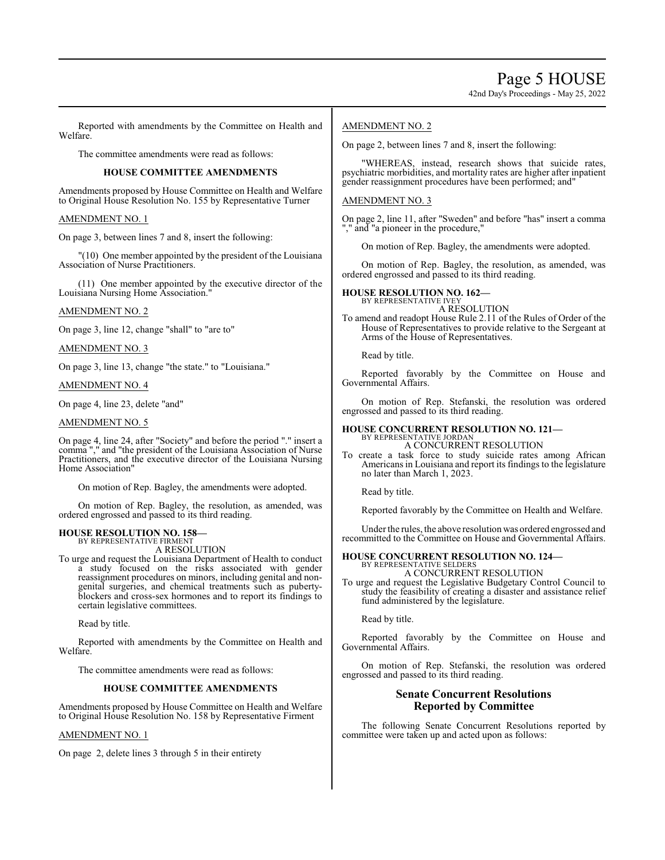42nd Day's Proceedings - May 25, 2022

Reported with amendments by the Committee on Health and Welfare.

The committee amendments were read as follows:

#### **HOUSE COMMITTEE AMENDMENTS**

Amendments proposed by House Committee on Health and Welfare to Original House Resolution No. 155 by Representative Turner

#### AMENDMENT NO. 1

On page 3, between lines 7 and 8, insert the following:

"(10) One member appointed by the president of the Louisiana Association of Nurse Practitioners.

(11) One member appointed by the executive director of the Louisiana Nursing Home Association."

#### AMENDMENT NO. 2

On page 3, line 12, change "shall" to "are to"

AMENDMENT NO. 3

On page 3, line 13, change "the state." to "Louisiana."

#### AMENDMENT NO. 4

On page 4, line 23, delete "and"

#### AMENDMENT NO. 5

On page 4, line 24, after "Society" and before the period "." insert a comma "," and "the president of the Louisiana Association of Nurse Practitioners, and the executive director of the Louisiana Nursing Home Association"

On motion of Rep. Bagley, the amendments were adopted.

On motion of Rep. Bagley, the resolution, as amended, was ordered engrossed and passed to its third reading.

#### **HOUSE RESOLUTION NO. 158—** BY REPRESENTATIVE FIRMENT

A RESOLUTION

To urge and request the Louisiana Department of Health to conduct a study focused on the risks associated with gender reassignment procedures on minors, including genital and nongenital surgeries, and chemical treatments such as pubertyblockers and cross-sex hormones and to report its findings to certain legislative committees.

Read by title.

Reported with amendments by the Committee on Health and Welfare.

The committee amendments were read as follows:

#### **HOUSE COMMITTEE AMENDMENTS**

Amendments proposed by House Committee on Health and Welfare to Original House Resolution No. 158 by Representative Firment

#### AMENDMENT NO. 1

On page 2, delete lines 3 through 5 in their entirety

#### AMENDMENT NO. 2

On page 2, between lines 7 and 8, insert the following:

"WHEREAS, instead, research shows that suicide rates, psychiatric morbidities, and mortality rates are higher after inpatient gender reassignment procedures have been performed; and"

#### AMENDMENT NO. 3

On page 2, line 11, after "Sweden" and before "has" insert a comma "," and "a pioneer in the procedure,"

On motion of Rep. Bagley, the amendments were adopted.

On motion of Rep. Bagley, the resolution, as amended, was ordered engrossed and passed to its third reading.

## **HOUSE RESOLUTION NO. 162—** BY REPRESENTATIVE IVEY

A RESOLUTION

To amend and readopt House Rule 2.11 of the Rules of Order of the House of Representatives to provide relative to the Sergeant at Arms of the House of Representatives.

Read by title.

Reported favorably by the Committee on House and Governmental Affairs.

On motion of Rep. Stefanski, the resolution was ordered engrossed and passed to its third reading.

#### **HOUSE CONCURRENT RESOLUTION NO. 121—** BY REPRESENTATIVE JORDAN

A CONCURRENT RESOLUTION

To create a task force to study suicide rates among African Americans in Louisiana and report its findings to the legislature no later than March 1, 2023.

Read by title.

Reported favorably by the Committee on Health and Welfare.

Under the rules, the above resolution was ordered engrossed and recommitted to the Committee on House and Governmental Affairs.

#### **HOUSE CONCURRENT RESOLUTION NO. 124—** BY REPRESENTATIVE SELDER

A CONCURRENT RESOLUTION

To urge and request the Legislative Budgetary Control Council to study the feasibility of creating a disaster and assistance relief fund administered by the legislature.

Read by title.

Reported favorably by the Committee on House and Governmental Affairs.

On motion of Rep. Stefanski, the resolution was ordered engrossed and passed to its third reading.

#### **Senate Concurrent Resolutions Reported by Committee**

The following Senate Concurrent Resolutions reported by committee were taken up and acted upon as follows: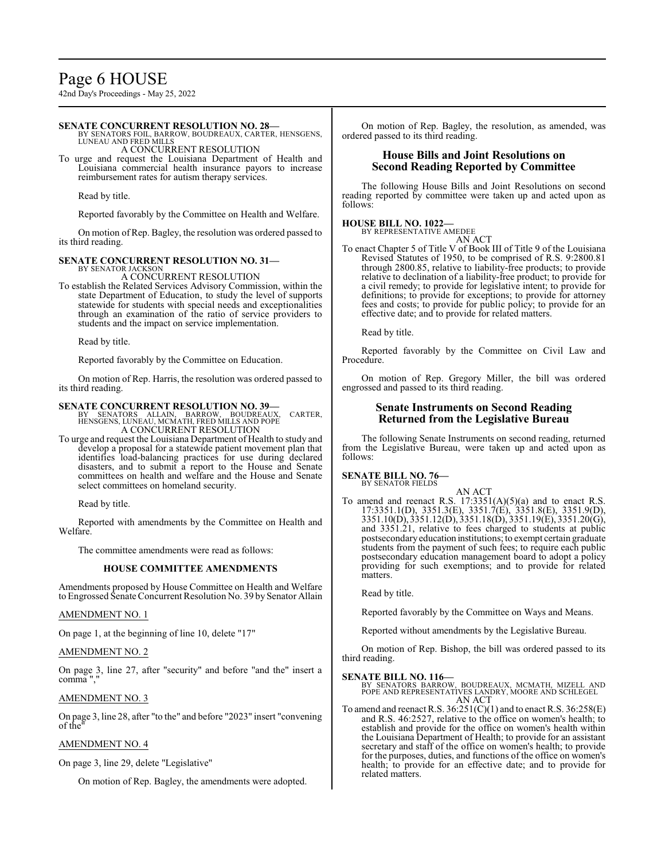42nd Day's Proceedings - May 25, 2022

#### **SENATE CONCURRENT RESOLUTION NO. 28—**

BY SENATORS FOIL, BARROW, BOUDREAUX, CARTER, HENSGENS, LUNEAU AND FRED MILLS

A CONCURRENT RESOLUTION

To urge and request the Louisiana Department of Health and Louisiana commercial health insurance payors to increase reimbursement rates for autism therapy services.

Read by title.

Reported favorably by the Committee on Health and Welfare.

On motion of Rep. Bagley, the resolution was ordered passed to its third reading.

#### **SENATE CONCURRENT RESOLUTION NO. 31—**

BY SENATOR JACKSON A CONCURRENT RESOLUTION

To establish the Related Services Advisory Commission, within the state Department of Education, to study the level of supports statewide for students with special needs and exceptionalities through an examination of the ratio of service providers to students and the impact on service implementation.

Read by title.

Reported favorably by the Committee on Education.

On motion of Rep. Harris, the resolution was ordered passed to its third reading.

#### **SENATE CONCURRENT RESOLUTION NO. 39—**

BY SENATORS ALLAIN, BARROW, BOUDREAUX, CARTER, HENSGENS, LUNEAU, MCMATH, FRED MILLS AND POPE A CONCURRENT RESOLUTION

To urge and request the Louisiana Department of Health to study and develop a proposal for a statewide patient movement plan that identifies load-balancing practices for use during declared disasters, and to submit a report to the House and Senate committees on health and welfare and the House and Senate select committees on homeland security.

Read by title.

Reported with amendments by the Committee on Health and Welfare.

The committee amendments were read as follows:

#### **HOUSE COMMITTEE AMENDMENTS**

Amendments proposed by House Committee on Health and Welfare to Engrossed Senate Concurrent Resolution No. 39 by Senator Allain

#### AMENDMENT NO. 1

On page 1, at the beginning of line 10, delete "17"

#### AMENDMENT NO. 2

On page 3, line 27, after "security" and before "and the" insert a comma ","

#### AMENDMENT NO. 3

On page 3, line 28, after "to the" and before "2023" insert "convening of the"

#### AMENDMENT NO. 4

On page 3, line 29, delete "Legislative"

On motion of Rep. Bagley, the amendments were adopted.

On motion of Rep. Bagley, the resolution, as amended, was ordered passed to its third reading.

#### **House Bills and Joint Resolutions on Second Reading Reported by Committee**

The following House Bills and Joint Resolutions on second reading reported by committee were taken up and acted upon as follows:

#### **HOUSE BILL NO. 1022—**

BY REPRESENTATIVE AMEDEE AN ACT

To enact Chapter 5 of Title V of Book III of Title 9 of the Louisiana Revised Statutes of 1950, to be comprised of R.S. 9:2800.81 through 2800.85, relative to liability-free products; to provide relative to declination of a liability-free product; to provide for a civil remedy; to provide for legislative intent; to provide for definitions; to provide for exceptions; to provide for attorney fees and costs; to provide for public policy; to provide for an effective date; and to provide for related matters.

Read by title.

Reported favorably by the Committee on Civil Law and Procedure.

On motion of Rep. Gregory Miller, the bill was ordered engrossed and passed to its third reading.

#### **Senate Instruments on Second Reading Returned from the Legislative Bureau**

The following Senate Instruments on second reading, returned from the Legislative Bureau, were taken up and acted upon as follows:

#### **SENATE BILL NO. 76—** BY SENATOR FIELDS

AN ACT To amend and reenact R.S. 17:3351(A)(5)(a) and to enact R.S. 17:3351.1(D), 3351.3(E), 3351.7(E), 3351.8(E), 3351.9(D), 3351.10(D), 3351.12(D), 3351.18(D), 3351.19(E), 3351.20(G), and 3351.21, relative to fees charged to students at public postsecondaryeducation institutions; to exempt certain graduate students from the payment of such fees; to require each public postsecondary education management board to adopt a policy providing for such exemptions; and to provide for related matters.

Read by title.

Reported favorably by the Committee on Ways and Means.

Reported without amendments by the Legislative Bureau.

On motion of Rep. Bishop, the bill was ordered passed to its third reading.

#### **SENATE BILL NO. 116—**

BY SENATORS BARROW, BOUDREAUX, MCMATH, MIZELL AND POPE AND REPRESENTATIVES LANDRY, MOORE AND SCHLEGEL AN ACT

To amend and reenact R.S. 36:251(C)(1) and to enact R.S. 36:258(E) and R.S. 46:2527, relative to the office on women's health; to establish and provide for the office on women's health within the Louisiana Department of Health; to provide for an assistant secretary and staff of the office on women's health; to provide for the purposes, duties, and functions of the office on women's health; to provide for an effective date; and to provide for related matters.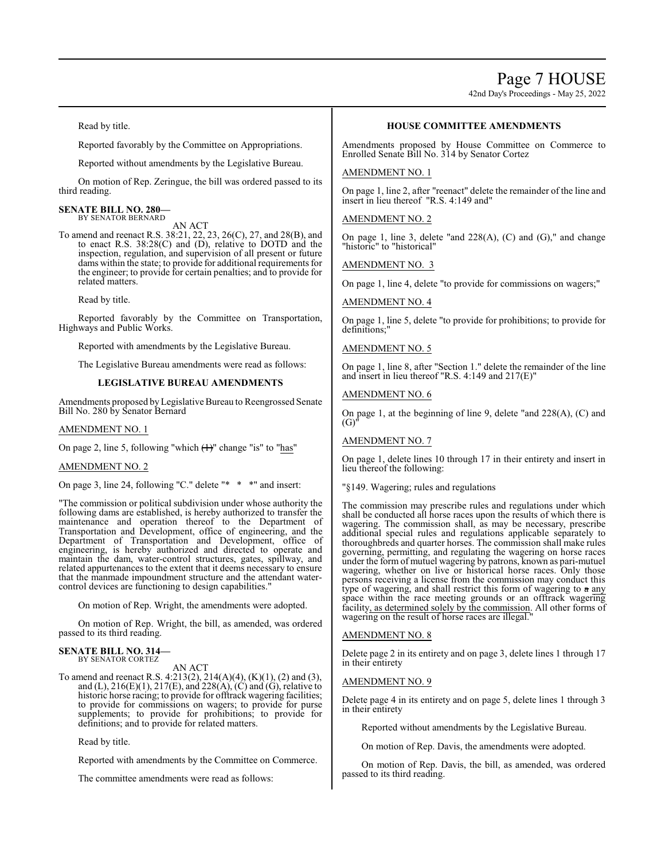Page 7 HOUSE

42nd Day's Proceedings - May 25, 2022

Read by title.

Reported favorably by the Committee on Appropriations.

Reported without amendments by the Legislative Bureau.

On motion of Rep. Zeringue, the bill was ordered passed to its third reading.

#### **SENATE BILL NO. 280—** BY SENATOR BERNARD

AN ACT

To amend and reenact R.S. 38:21, 22, 23, 26(C), 27, and 28(B), and to enact R.S. 38:28(C) and (D), relative to DOTD and the inspection, regulation, and supervision of all present or future dams within the state; to provide for additional requirements for the engineer; to provide for certain penalties; and to provide for related matters.

Read by title.

Reported favorably by the Committee on Transportation, Highways and Public Works.

Reported with amendments by the Legislative Bureau.

The Legislative Bureau amendments were read as follows:

#### **LEGISLATIVE BUREAU AMENDMENTS**

Amendments proposed byLegislative Bureau to Reengrossed Senate Bill No. 280 by Senator Bernard

#### AMENDMENT NO. 1

On page 2, line 5, following "which  $(1)$ " change "is" to "has"

#### AMENDMENT NO. 2

On page 3, line 24, following "C." delete "\* \* \*" and insert:

"The commission or political subdivision under whose authority the following dams are established, is hereby authorized to transfer the maintenance and operation thereof to the Department of Transportation and Development, office of engineering, and the Department of Transportation and Development, office of engineering, is hereby authorized and directed to operate and maintain the dam, water-control structures, gates, spillway, and related appurtenances to the extent that it deems necessary to ensure that the manmade impoundment structure and the attendant watercontrol devices are functioning to design capabilities."

On motion of Rep. Wright, the amendments were adopted.

On motion of Rep. Wright, the bill, as amended, was ordered passed to its third reading.

#### **SENATE BILL NO. 314—** BY SENATOR CORTEZ

AN ACT

To amend and reenact R.S. 4:213(2), 214(A)(4), (K)(1), (2) and (3), and (L),  $216(E)(1)$ ,  $217(E)$ , and  $228(A)$ , (C) and (G), relative to historic horse racing; to provide for offtrack wagering facilities; to provide for commissions on wagers; to provide for purse supplements; to provide for prohibitions; to provide for definitions; and to provide for related matters.

Read by title.

Reported with amendments by the Committee on Commerce.

The committee amendments were read as follows:

#### **HOUSE COMMITTEE AMENDMENTS**

Amendments proposed by House Committee on Commerce to Enrolled Senate Bill No. 314 by Senator Cortez

#### AMENDMENT NO. 1

On page 1, line 2, after "reenact" delete the remainder of the line and insert in lieu thereof "R.S. 4:149 and"

#### AMENDMENT NO. 2

On page 1, line 3, delete "and 228(A), (C) and (G)," and change "historic" to "historical"

AMENDMENT NO. 3

On page 1, line 4, delete "to provide for commissions on wagers;"

#### AMENDMENT NO. 4

On page 1, line 5, delete "to provide for prohibitions; to provide for definitions;"

#### AMENDMENT NO. 5

On page 1, line 8, after "Section 1." delete the remainder of the line and insert in lieu thereof "R.S. 4:149 and 217(E)"

#### AMENDMENT NO. 6

On page 1, at the beginning of line 9, delete "and 228(A), (C) and  $(G)'$ 

#### AMENDMENT NO. 7

On page 1, delete lines 10 through 17 in their entirety and insert in lieu thereof the following:

#### "§149. Wagering; rules and regulations

The commission may prescribe rules and regulations under which shall be conducted all horse races upon the results of which there is wagering. The commission shall, as may be necessary, prescribe additional special rules and regulations applicable separately to thoroughbreds and quarter horses. The commission shall make rules governing, permitting, and regulating the wagering on horse races under the form of mutuel wagering by patrons, known as pari-mutuel wagering, whether on live or historical horse races. Only those persons receiving a license from the commission may conduct this type of wagering, and shall restrict this form of wagering to a any space within the race meeting grounds or an offtrack wagering facility, as determined solely by the commission. All other forms of wagering on the result of horse races are illegal."

#### AMENDMENT NO. 8

Delete page 2 in its entirety and on page 3, delete lines 1 through 17 in their entirety

#### AMENDMENT NO. 9

Delete page 4 in its entirety and on page 5, delete lines 1 through 3 in their entirety

Reported without amendments by the Legislative Bureau.

On motion of Rep. Davis, the amendments were adopted.

On motion of Rep. Davis, the bill, as amended, was ordered passed to its third reading.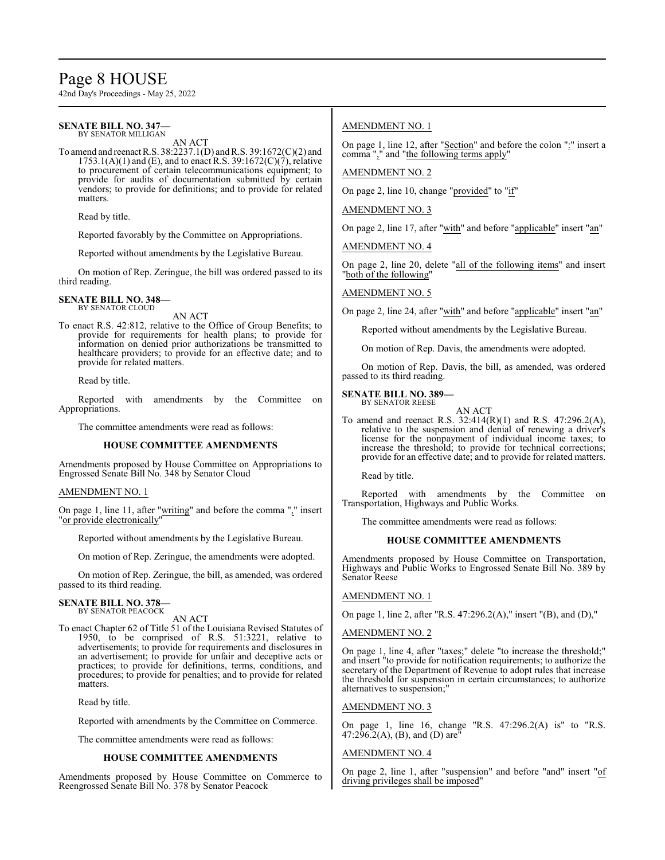## Page 8 HOUSE

42nd Day's Proceedings - May 25, 2022

#### **SENATE BILL NO. 347—** BY SENATOR MILLIGAN

AN ACT

To amend and reenactR.S. 38:2237.1(D) and R.S. 39:1672(C)(2) and  $1753.1(A)(1)$  and (E), and to enact R.S. 39:1672(C)(7), relative to procurement of certain telecommunications equipment; to provide for audits of documentation submitted by certain vendors; to provide for definitions; and to provide for related matters.

Read by title.

Reported favorably by the Committee on Appropriations.

Reported without amendments by the Legislative Bureau.

On motion of Rep. Zeringue, the bill was ordered passed to its third reading.

#### **SENATE BILL NO. 348—** BY SENATOR CLOUD

AN ACT

To enact R.S. 42:812, relative to the Office of Group Benefits; to provide for requirements for health plans; to provide for information on denied prior authorizations be transmitted to healthcare providers; to provide for an effective date; and to provide for related matters.

Read by title.

Reported with amendments by the Committee on Appropriations.

The committee amendments were read as follows:

#### **HOUSE COMMITTEE AMENDMENTS**

Amendments proposed by House Committee on Appropriations to Engrossed Senate Bill No. 348 by Senator Cloud

#### AMENDMENT NO. 1

On page 1, line 11, after "<u>writing</u>" and before the comma "," insert "or provide electronically"

Reported without amendments by the Legislative Bureau.

On motion of Rep. Zeringue, the amendments were adopted.

On motion of Rep. Zeringue, the bill, as amended, was ordered passed to its third reading.

## **SENATE BILL NO. 378—** BY SENATOR PEACOCK

AN ACT

To enact Chapter 62 of Title 51 of the Louisiana Revised Statutes of 1950, to be comprised of R.S. 51:3221, relative to advertisements; to provide for requirements and disclosures in an advertisement; to provide for unfair and deceptive acts or practices; to provide for definitions, terms, conditions, and procedures; to provide for penalties; and to provide for related matters.

Read by title.

Reported with amendments by the Committee on Commerce.

The committee amendments were read as follows:

#### **HOUSE COMMITTEE AMENDMENTS**

Amendments proposed by House Committee on Commerce to Reengrossed Senate Bill No. 378 by Senator Peacock

#### AMENDMENT NO. 1

On page 1, line 12, after "Section" and before the colon ":" insert a comma "," and "the following terms apply"

#### AMENDMENT NO. 2

On page 2, line 10, change "provided" to "if"

AMENDMENT NO. 3

On page 2, line 17, after "with" and before "applicable" insert "an"

AMENDMENT NO. 4

On page 2, line 20, delete "all of the following items" and insert "both of the following"

#### AMENDMENT NO. 5

On page 2, line 24, after "with" and before "applicable" insert "an"

Reported without amendments by the Legislative Bureau.

On motion of Rep. Davis, the amendments were adopted.

On motion of Rep. Davis, the bill, as amended, was ordered passed to its third reading.

#### **SENATE BILL NO. 389—**

BY SENATOR REESE AN ACT

To amend and reenact R.S. 32:414(R)(1) and R.S. 47:296.2(A), relative to the suspension and denial of renewing a driver's license for the nonpayment of individual income taxes; to increase the threshold; to provide for technical corrections; provide for an effective date; and to provide for related matters.

Read by title.

Reported with amendments by the Committee on Transportation, Highways and Public Works.

The committee amendments were read as follows:

#### **HOUSE COMMITTEE AMENDMENTS**

Amendments proposed by House Committee on Transportation, Highways and Public Works to Engrossed Senate Bill No. 389 by Senator Reese

#### AMENDMENT NO. 1

On page 1, line 2, after "R.S. 47:296.2(A)," insert "(B), and (D),"

#### AMENDMENT NO. 2

On page 1, line 4, after "taxes;" delete "to increase the threshold;" and insert "to provide for notification requirements; to authorize the secretary of the Department of Revenue to adopt rules that increase the threshold for suspension in certain circumstances; to authorize alternatives to suspension;"

#### AMENDMENT NO. 3

On page 1, line 16, change "R.S. 47:296.2(A) is" to "R.S. 47:296.2(A), (B), and (D) are

#### AMENDMENT NO. 4

On page 2, line 1, after "suspension" and before "and" insert "of driving privileges shall be imposed"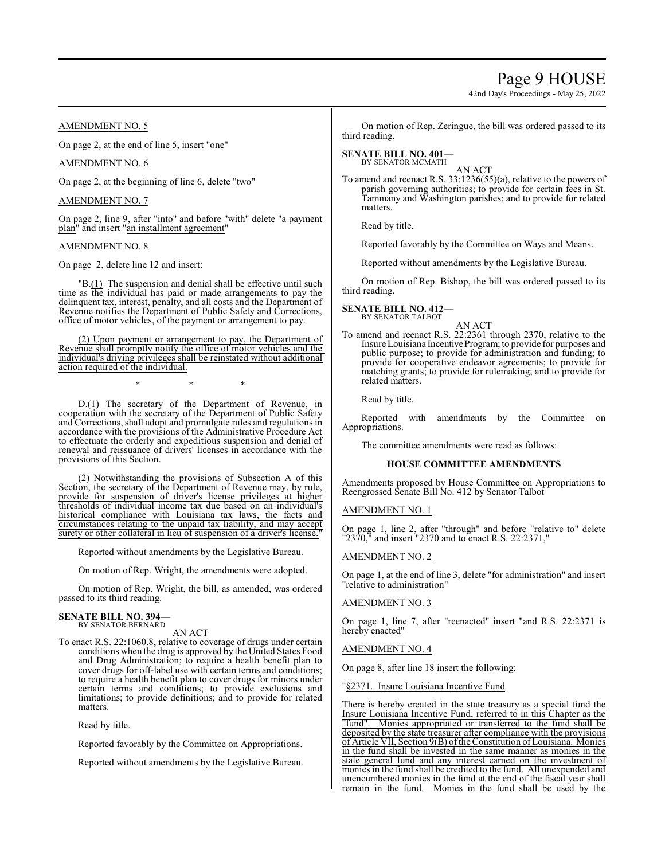## Page 9 HOUSE

42nd Day's Proceedings - May 25, 2022

#### AMENDMENT NO. 5

On page 2, at the end of line 5, insert "one"

#### AMENDMENT NO. 6

On page 2, at the beginning of line 6, delete "two"

#### AMENDMENT NO. 7

On page 2, line 9, after "into" and before "with" delete "a payment plan" and insert "an installment agreement"

#### AMENDMENT NO. 8

On page 2, delete line 12 and insert:

"B.(1) The suspension and denial shall be effective until such time as the individual has paid or made arrangements to pay the delinquent tax, interest, penalty, and all costs and the Department of Revenue notifies the Department of Public Safety and Corrections, office of motor vehicles, of the payment or arrangement to pay.

(2) Upon payment or arrangement to pay, the Department of Revenue shall promptly notify the office of motor vehicles and the individual's driving privileges shall be reinstated without additional action required of the individual.

\* \* \*

D.(1) The secretary of the Department of Revenue, in cooperation with the secretary of the Department of Public Safety and Corrections, shall adopt and promulgate rules and regulations in accordance with the provisions of the Administrative Procedure Act to effectuate the orderly and expeditious suspension and denial of renewal and reissuance of drivers' licenses in accordance with the provisions of this Section.

(2) Notwithstanding the provisions of Subsection A of this Section, the secretary of the Department of Revenue may, by rule, provide for suspension of driver's license privileges at higher thresholds of individual income tax due based on an individual's historical compliance with Louisiana tax laws, the facts and circumstances relating to the unpaid tax liability, and may accept surety or other collateral in lieu of suspension of a driver's license.

Reported without amendments by the Legislative Bureau.

On motion of Rep. Wright, the amendments were adopted.

On motion of Rep. Wright, the bill, as amended, was ordered passed to its third reading.

#### **SENATE BILL NO. 394—** BY SENATOR BERNARD

AN ACT

To enact R.S. 22:1060.8, relative to coverage of drugs under certain conditions when the drug is approved by the United States Food and Drug Administration; to require a health benefit plan to cover drugs for off-label use with certain terms and conditions; to require a health benefit plan to cover drugs for minors under certain terms and conditions; to provide exclusions and limitations; to provide definitions; and to provide for related matters.

Read by title.

Reported favorably by the Committee on Appropriations.

Reported without amendments by the Legislative Bureau.

On motion of Rep. Zeringue, the bill was ordered passed to its third reading.

## **SENATE BILL NO. 401—**

BY SENATOR MCMATH AN ACT

To amend and reenact R.S. 33:1236(55)(a), relative to the powers of parish governing authorities; to provide for certain fees in St. Tammany and Washington parishes; and to provide for related matters.

Read by title.

Reported favorably by the Committee on Ways and Means.

Reported without amendments by the Legislative Bureau.

On motion of Rep. Bishop, the bill was ordered passed to its third reading.

**SENATE BILL NO. 412—** BY SENATOR TALBOT

AN ACT

To amend and reenact R.S. 22:2361 through 2370, relative to the Insure Louisiana Incentive Program; to provide for purposes and public purpose; to provide for administration and funding; to provide for cooperative endeavor agreements; to provide for matching grants; to provide for rulemaking; and to provide for related matters.

Read by title.

Reported with amendments by the Committee on Appropriations.

The committee amendments were read as follows:

#### **HOUSE COMMITTEE AMENDMENTS**

Amendments proposed by House Committee on Appropriations to Reengrossed Senate Bill No. 412 by Senator Talbot

#### AMENDMENT NO. 1

On page 1, line 2, after "through" and before "relative to" delete "2370," and insert "2370 and to enact R.S. 22:2371,"

#### AMENDMENT NO. 2

On page 1, at the end of line 3, delete "for administration" and insert "relative to administration"

#### AMENDMENT NO. 3

On page 1, line 7, after "reenacted" insert "and R.S. 22:2371 is hereby enacted"

#### AMENDMENT NO. 4

On page 8, after line 18 insert the following:

"§2371. Insure Louisiana Incentive Fund

There is hereby created in the state treasury as a special fund the Insure Louisiana Incentive Fund, referred to in this Chapter as the "fund". Monies appropriated or transferred to the fund shall be deposited by the state treasurer after compliance with the provisions of Article VII, Section 9(B) ofthe Constitution ofLouisiana. Monies in the fund shall be invested in the same manner as monies in the state general fund and any interest earned on the investment of monies in the fund shall be credited to the fund. All unexpended and unencumbered monies in the fund at the end of the fiscal year shall remain in the fund. Monies in the fund shall be used by the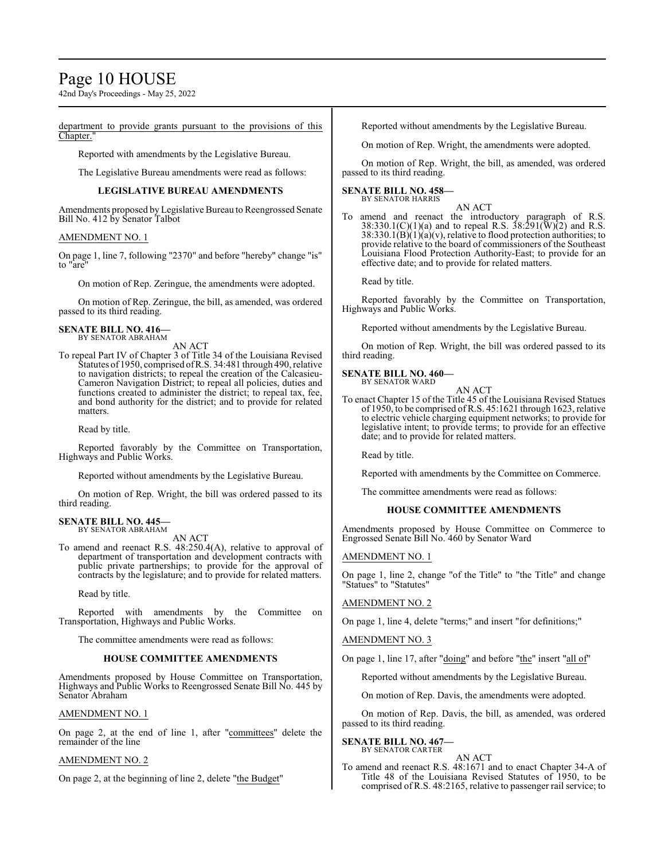## Page 10 HOUSE

42nd Day's Proceedings - May 25, 2022

department to provide grants pursuant to the provisions of this Chapter.

Reported with amendments by the Legislative Bureau.

The Legislative Bureau amendments were read as follows:

#### **LEGISLATIVE BUREAU AMENDMENTS**

Amendments proposed by Legislative Bureau to Reengrossed Senate Bill No. 412 by Senator Talbot

#### AMENDMENT NO. 1

On page 1, line 7, following "2370" and before "hereby" change "is" to "are"

On motion of Rep. Zeringue, the amendments were adopted.

On motion of Rep. Zeringue, the bill, as amended, was ordered passed to its third reading.

#### **SENATE BILL NO. 416—** BY SENATOR ABRAHAM

AN ACT

To repeal Part IV of Chapter 3 of Title 34 of the Louisiana Revised Statutes of 1950, comprised ofR.S. 34:481 through 490, relative to navigation districts; to repeal the creation of the Calcasieu-Cameron Navigation District; to repeal all policies, duties and functions created to administer the district; to repeal tax, fee, and bond authority for the district; and to provide for related matters.

Read by title.

Reported favorably by the Committee on Transportation, Highways and Public Works.

Reported without amendments by the Legislative Bureau.

On motion of Rep. Wright, the bill was ordered passed to its third reading.

#### **SENATE BILL NO. 445—** BY SENATOR ABRAHAM

AN ACT

To amend and reenact R.S. 48:250.4(A), relative to approval of department of transportation and development contracts with public private partnerships; to provide for the approval of contracts by the legislature; and to provide for related matters.

Read by title.

Reported with amendments by the Committee on Transportation, Highways and Public Works.

The committee amendments were read as follows:

#### **HOUSE COMMITTEE AMENDMENTS**

Amendments proposed by House Committee on Transportation, Highways and Public Works to Reengrossed Senate Bill No. 445 by Senator Abraham

#### AMENDMENT NO. 1

On page 2, at the end of line 1, after "committees" delete the remainder of the line

#### AMENDMENT NO. 2

On page 2, at the beginning of line 2, delete "the Budget"

Reported without amendments by the Legislative Bureau.

On motion of Rep. Wright, the amendments were adopted.

On motion of Rep. Wright, the bill, as amended, was ordered passed to its third reading.

#### **SENATE BILL NO. 458—** BY SENATOR HARRIS

AN ACT To amend and reenact the introductory paragraph of R.S. 38:330.1(C)(1)(a) and to repeal R.S.  $38:291(\text{W})(2)$  and R.S.  $38:330.1(B)(1)(a)(v)$ , relative to flood protection authorities; to provide relative to the board of commissioners of the Southeast Louisiana Flood Protection Authority-East; to provide for an effective date; and to provide for related matters.

Read by title.

Reported favorably by the Committee on Transportation, Highways and Public Works.

Reported without amendments by the Legislative Bureau.

On motion of Rep. Wright, the bill was ordered passed to its third reading.

## **SENATE BILL NO. 460—** BY SENATOR WARD

AN ACT

To enact Chapter 15 of the Title 45 of the Louisiana Revised Statues of 1950, to be comprised ofR.S. 45:1621 through 1623, relative to electric vehicle charging equipment networks; to provide for legislative intent; to provide terms; to provide for an effective date; and to provide for related matters.

Read by title.

Reported with amendments by the Committee on Commerce.

The committee amendments were read as follows:

#### **HOUSE COMMITTEE AMENDMENTS**

Amendments proposed by House Committee on Commerce to Engrossed Senate Bill No. 460 by Senator Ward

#### AMENDMENT NO. 1

On page 1, line 2, change "of the Title" to "the Title" and change "Statues" to "Statutes"

#### AMENDMENT NO. 2

On page 1, line 4, delete "terms;" and insert "for definitions;"

AMENDMENT NO. 3

On page 1, line 17, after "doing" and before "the" insert "all of"

Reported without amendments by the Legislative Bureau.

On motion of Rep. Davis, the amendments were adopted.

On motion of Rep. Davis, the bill, as amended, was ordered passed to its third reading.

#### **SENATE BILL NO. 467—** BY SENATOR CARTER

#### AN ACT

To amend and reenact R.S. 48:1671 and to enact Chapter 34-A of Title 48 of the Louisiana Revised Statutes of 1950, to be comprised of R.S. 48:2165, relative to passenger rail service; to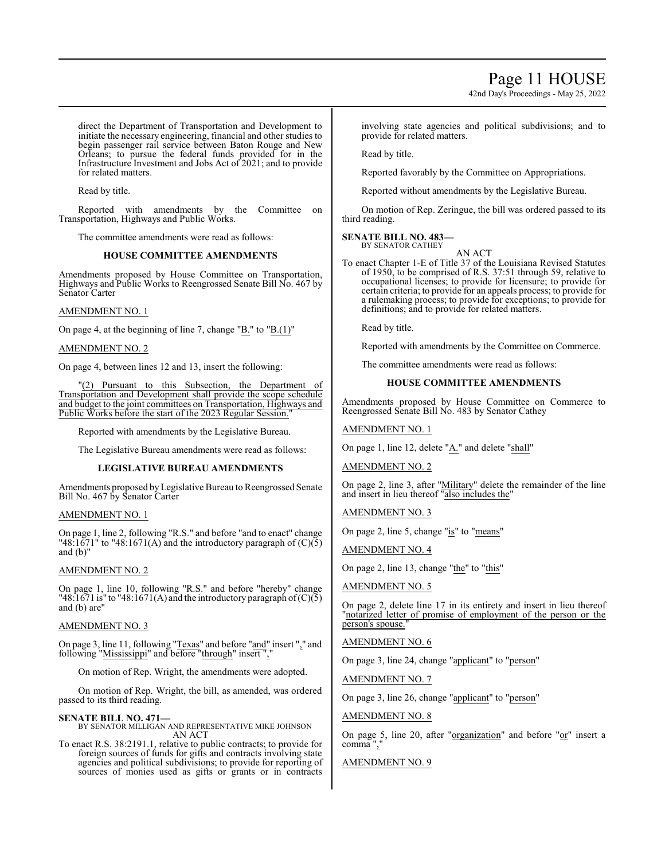42nd Day's Proceedings - May 25, 2022

direct the Department of Transportation and Development to initiate the necessary engineering, financial and other studies to begin passenger rail service between Baton Rouge and New Orleans; to pursue the federal funds provided for in the Infrastructure Investment and Jobs Act of 2021; and to provide for related matters.

Read by title.

Reported with amendments by the Committee on Transportation, Highways and Public Works.

The committee amendments were read as follows:

#### **HOUSE COMMITTEE AMENDMENTS**

Amendments proposed by House Committee on Transportation, Highways and Public Works to Reengrossed Senate Bill No. 467 by Senator Carter

#### AMENDMENT NO. 1

On page 4, at the beginning of line 7, change "B." to "B.(1)"

#### AMENDMENT NO. 2

On page 4, between lines 12 and 13, insert the following:

Pursuant to this Subsection, the Department of Transportation and Development shall provide the scope schedule and budget to the joint committees on Transportation, Highways and Public Works before the start of the 2023 Regular Session.

Reported with amendments by the Legislative Bureau.

The Legislative Bureau amendments were read as follows:

#### **LEGISLATIVE BUREAU AMENDMENTS**

Amendments proposed byLegislative Bureau to Reengrossed Senate Bill No. 467 by Senator Carter

#### AMENDMENT NO. 1

On page 1, line 2, following "R.S." and before "and to enact" change "48:1671" to "48:1671(A) and the introductory paragraph of  $(C)(5)$ and (b)"

#### AMENDMENT NO. 2

On page 1, line 10, following "R.S." and before "hereby" change "48:1671 is" to "48:1671(A) and the introductory paragraph of  $(C)(\overline{5})$ and (b) are"

#### AMENDMENT NO. 3

On page 3, line 11, following "Texas" and before "and" insert "," and following "Mississippi" and before "through" insert ","

On motion of Rep. Wright, the amendments were adopted.

On motion of Rep. Wright, the bill, as amended, was ordered passed to its third reading.

**SENATE BILL NO. 471—** BY SENATOR MILLIGAN AND REPRESENTATIVE MIKE JOHNSON AN ACT

To enact R.S. 38:2191.1, relative to public contracts; to provide for foreign sources of funds for gifts and contracts involving state agencies and political subdivisions; to provide for reporting of sources of monies used as gifts or grants or in contracts

involving state agencies and political subdivisions; and to provide for related matters.

Read by title.

Reported favorably by the Committee on Appropriations.

Reported without amendments by the Legislative Bureau.

On motion of Rep. Zeringue, the bill was ordered passed to its third reading.

#### **SENATE BILL NO. 483—** BY SENATOR CATHEY

AN ACT

To enact Chapter 1-E of Title 37 of the Louisiana Revised Statutes of 1950, to be comprised of R.S. 37:51 through 59, relative to occupational licenses; to provide for licensure; to provide for certain criteria; to provide for an appeals process; to provide for a rulemaking process; to provide for exceptions; to provide for definitions; and to provide for related matters.

Read by title.

Reported with amendments by the Committee on Commerce.

The committee amendments were read as follows:

#### **HOUSE COMMITTEE AMENDMENTS**

Amendments proposed by House Committee on Commerce to Reengrossed Senate Bill No. 483 by Senator Cathey

#### AMENDMENT NO. 1

On page 1, line 12, delete "A." and delete "shall"

AMENDMENT NO. 2

On page 2, line 3, after "Military" delete the remainder of the line and insert in lieu thereof "also includes the"

AMENDMENT NO. 3

On page 2, line 5, change "is" to "means"

AMENDMENT NO. 4

On page 2, line 13, change "the" to "this"

AMENDMENT NO. 5

On page 2, delete line 17 in its entirety and insert in lieu thereof "notarized letter of promise of employment of the person or the person's spouse."

AMENDMENT NO. 6

On page 3, line 24, change "applicant" to "person"

AMENDMENT NO. 7

On page 3, line 26, change "applicant" to "person"

AMENDMENT NO. 8

On page 5, line 20, after " $\frac{organization}{}$ " and before " $\frac{or}{}$ " insert a comma "

#### AMENDMENT NO. 9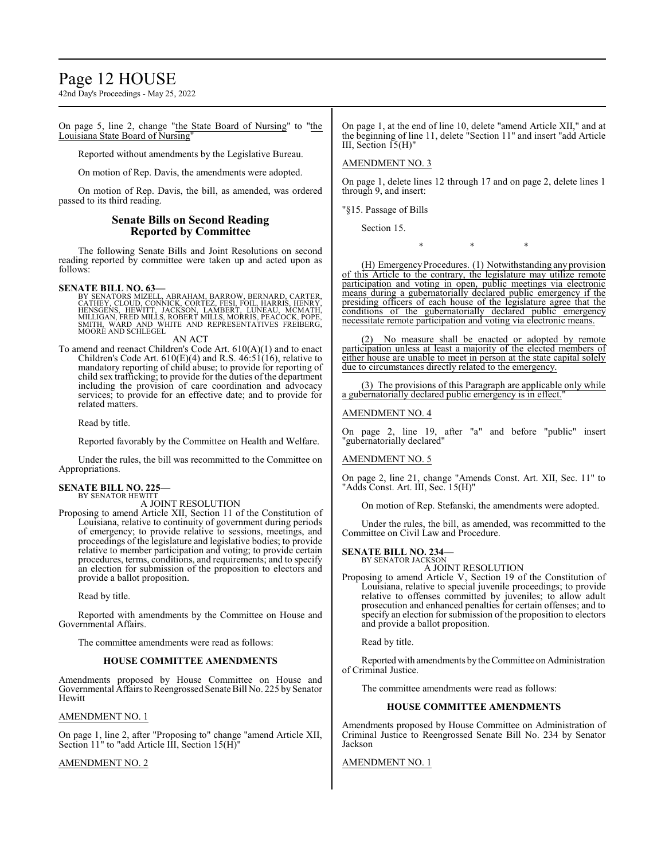## Page 12 HOUSE

42nd Day's Proceedings - May 25, 2022

On page 5, line 2, change "the State Board of Nursing" to "the Louisiana State Board of Nursing"

Reported without amendments by the Legislative Bureau.

On motion of Rep. Davis, the amendments were adopted.

On motion of Rep. Davis, the bill, as amended, was ordered passed to its third reading.

#### **Senate Bills on Second Reading Reported by Committee**

The following Senate Bills and Joint Resolutions on second reading reported by committee were taken up and acted upon as follows:

#### **SENATE BILL NO. 63—**

BY SENATORS MIZELL, ABRAHAM, BARROW, BERNARD, CARTER, CATHEY, CLOUD, CONNICK, CORTEZ, FESI, FOIL, HARRIS, HENRY,<br>HENSGENS, HEWITT, JACKSON, LAMBERT, LUNEAU, MCMATH,<br>MILLIGAN, FRED MILLS, ROBERT MILLS, MORRIS, PEACOCK, POPE,<br>SMITH, WARD AND WHITE AND REPRESENTATIVES FREIBERG, MOORE AND SCHLEGEL

AN ACT

To amend and reenact Children's Code Art. 610(A)(1) and to enact Children's Code Art.  $610(E)(4)$  and R.S.  $46:51(16)$ , relative to mandatory reporting of child abuse; to provide for reporting of child sex trafficking; to provide for the duties of the department including the provision of care coordination and advocacy services; to provide for an effective date; and to provide for related matters.

Read by title.

Reported favorably by the Committee on Health and Welfare.

Under the rules, the bill was recommitted to the Committee on Appropriations.

#### **SENATE BILL NO. 225—** BY SENATOR HEWITT

A JOINT RESOLUTION

Proposing to amend Article XII, Section 11 of the Constitution of Louisiana, relative to continuity of government during periods of emergency; to provide relative to sessions, meetings, and proceedings of the legislature and legislative bodies; to provide relative to member participation and voting; to provide certain procedures, terms, conditions, and requirements; and to specify an election for submission of the proposition to electors and provide a ballot proposition.

Read by title.

Reported with amendments by the Committee on House and Governmental Affairs.

The committee amendments were read as follows:

#### **HOUSE COMMITTEE AMENDMENTS**

Amendments proposed by House Committee on House and Governmental Affairs to Reengrossed Senate Bill No. 225 by Senator **Hewitt** 

#### AMENDMENT NO. 1

On page 1, line 2, after "Proposing to" change "amend Article XII, Section 11" to "add Article III, Section 15(H)"

#### AMENDMENT NO. 2

On page 1, at the end of line 10, delete "amend Article XII," and at the beginning of line 11, delete "Section 11" and insert "add Article III, Section 15(H)"

AMENDMENT NO. 3

On page 1, delete lines 12 through 17 and on page 2, delete lines 1 through 9, and insert:

"§15. Passage of Bills

Section 15.

\* \* \*

(H) EmergencyProcedures. (1) Notwithstanding any provision of this Article to the contrary, the legislature may utilize remote participation and voting in open, public meetings via electronic means during a gubernatorially declared public emergency if the presiding officers of each house of the legislature agree that the conditions of the gubernatorially declared public emergency necessitate remote participation and voting via electronic means.

(2) No measure shall be enacted or adopted by remote participation unless at least a majority of the elected members of either house are unable to meet in person at the state capital solely due to circumstances directly related to the emergency.

(3) The provisions of this Paragraph are applicable only while a gubernatorially declared public emergency is in effect.

#### AMENDMENT NO. 4

On page 2, line 19, after "a" and before "public" insert "gubernatorially declared"

#### AMENDMENT NO. 5

On page 2, line 21, change "Amends Const. Art. XII, Sec. 11" to "Adds Const. Art. III, Sec. 15(H)"

On motion of Rep. Stefanski, the amendments were adopted.

Under the rules, the bill, as amended, was recommitted to the Committee on Civil Law and Procedure.

#### **SENATE BILL NO. 234—** BY SENATOR JACKSON

A JOINT RESOLUTION

Proposing to amend Article V, Section 19 of the Constitution of Louisiana, relative to special juvenile proceedings; to provide relative to offenses committed by juveniles; to allow adult prosecution and enhanced penalties for certain offenses; and to specify an election for submission of the proposition to electors and provide a ballot proposition.

Read by title.

Reported with amendments by the Committee on Administration of Criminal Justice.

The committee amendments were read as follows:

#### **HOUSE COMMITTEE AMENDMENTS**

Amendments proposed by House Committee on Administration of Criminal Justice to Reengrossed Senate Bill No. 234 by Senator Jackson

#### AMENDMENT NO. 1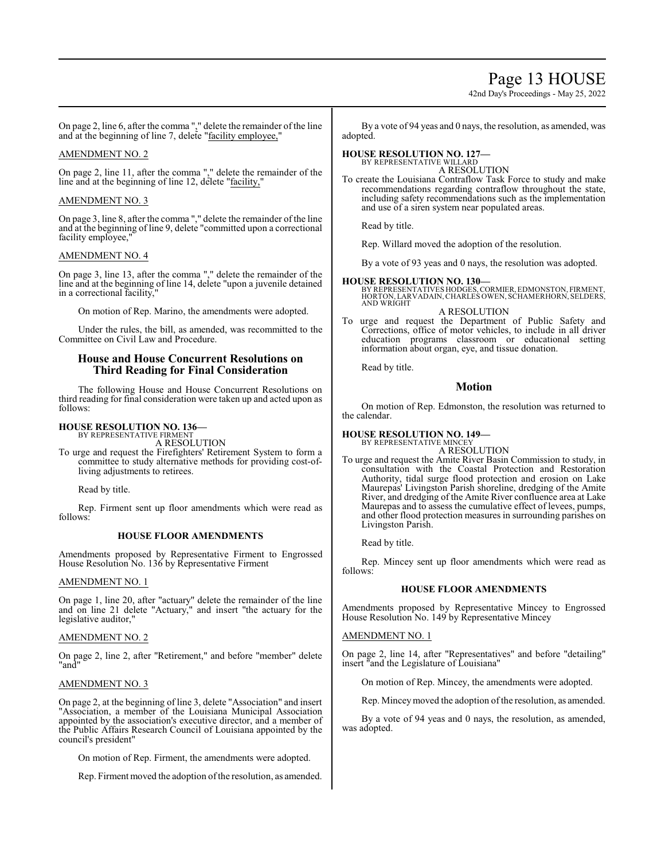## Page 13 HOUSE

42nd Day's Proceedings - May 25, 2022

On page 2, line 6, after the comma "," delete the remainder of the line and at the beginning of line 7, delete "facility employee,"

#### AMENDMENT NO. 2

On page 2, line 11, after the comma "," delete the remainder of the line and at the beginning of line 12, delete "facility,"

#### AMENDMENT NO. 3

On page 3, line 8, after the comma "," delete the remainder of the line and at the beginning of line 9, delete "committed upon a correctional facility employee,

#### AMENDMENT NO. 4

On page 3, line 13, after the comma "," delete the remainder of the line and at the beginning of line 14, delete "upon a juvenile detained in a correctional facility,"

On motion of Rep. Marino, the amendments were adopted.

Under the rules, the bill, as amended, was recommitted to the Committee on Civil Law and Procedure.

#### **House and House Concurrent Resolutions on Third Reading for Final Consideration**

The following House and House Concurrent Resolutions on third reading for final consideration were taken up and acted upon as follows:

#### **HOUSE RESOLUTION NO. 136—** BY REPRESENTATIVE FIRMENT

A RESOLUTION

To urge and request the Firefighters' Retirement System to form a committee to study alternative methods for providing cost-ofliving adjustments to retirees.

Read by title.

Rep. Firment sent up floor amendments which were read as follows:

#### **HOUSE FLOOR AMENDMENTS**

Amendments proposed by Representative Firment to Engrossed House Resolution No. 136 by Representative Firment

#### AMENDMENT NO. 1

On page 1, line 20, after "actuary" delete the remainder of the line and on line 21 delete "Actuary," and insert "the actuary for the legislative auditor,

#### AMENDMENT NO. 2

On page 2, line 2, after "Retirement," and before "member" delete "and"

#### AMENDMENT NO. 3

On page 2, at the beginning of line 3, delete "Association" and insert "Association, a member of the Louisiana Municipal Association appointed by the association's executive director, and a member of the Public Affairs Research Council of Louisiana appointed by the council's president"

On motion of Rep. Firment, the amendments were adopted.

Rep. Firment moved the adoption of the resolution, as amended.

By a vote of 94 yeas and 0 nays, the resolution, as amended, was adopted.

#### **HOUSE RESOLUTION NO. 127—** BY REPRESENTATIVE WILLARD

A RESOLUTION

To create the Louisiana Contraflow Task Force to study and make recommendations regarding contraflow throughout the state, including safety recommendations such as the implementation and use of a siren system near populated areas.

Read by title.

Rep. Willard moved the adoption of the resolution.

By a vote of 93 yeas and 0 nays, the resolution was adopted.

#### **HOUSE RESOLUTION NO. 130—**

BY REPRESENTATIVES HODGES, CORMIER, EDMONSTON, FIRMENT, HORTON, LARVADAIN,CHARLES OWEN, SCHAMERHORN, SELDERS, AND WRIGHT A RESOLUTION

To urge and request the Department of Public Safety and Corrections, office of motor vehicles, to include in all driver education programs classroom or educational setting information about organ, eye, and tissue donation.

Read by title.

**Motion**

On motion of Rep. Edmonston, the resolution was returned to the calendar.

# **HOUSE RESOLUTION NO. 149—** BY REPRESENTATIVE MINCEY

A RESOLUTION

To urge and request the Amite River Basin Commission to study, in consultation with the Coastal Protection and Restoration Authority, tidal surge flood protection and erosion on Lake Maurepas' Livingston Parish shoreline, dredging of the Amite River, and dredging of the Amite River confluence area at Lake Maurepas and to assess the cumulative effect of levees, pumps, and other flood protection measures in surrounding parishes on Livingston Parish.

Read by title.

Rep. Mincey sent up floor amendments which were read as follows:

#### **HOUSE FLOOR AMENDMENTS**

Amendments proposed by Representative Mincey to Engrossed House Resolution No. 149 by Representative Mincey

#### AMENDMENT NO. 1

On page 2, line 14, after "Representatives" and before "detailing" insert "and the Legislature of Louisiana"

On motion of Rep. Mincey, the amendments were adopted.

Rep. Minceymoved the adoption of the resolution, as amended.

By a vote of 94 yeas and 0 nays, the resolution, as amended, was adopted.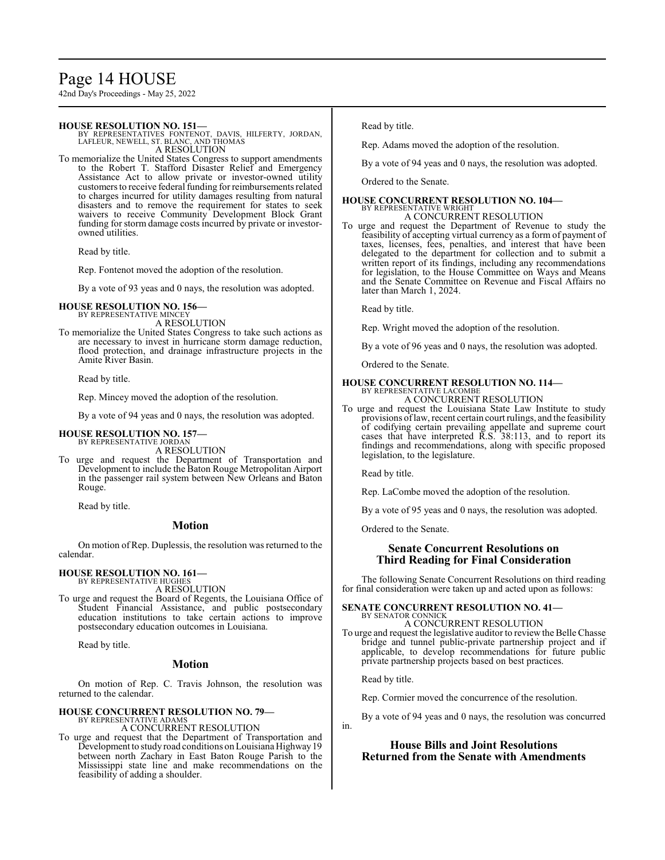## Page 14 HOUSE

42nd Day's Proceedings - May 25, 2022

#### **HOUSE RESOLUTION NO. 151—**

BY REPRESENTATIVES FONTENOT, DAVIS, HILFERTY, JORDAN, LAFLEUR, NEWELL, ST. BLANC, AND THOMAS A RESOLUTION

To memorialize the United States Congress to support amendments to the Robert T. Stafford Disaster Relief and Emergency Assistance Act to allow private or investor-owned utility customers to receive federal funding for reimbursements related to charges incurred for utility damages resulting from natural disasters and to remove the requirement for states to seek waivers to receive Community Development Block Grant funding for storm damage costs incurred by private or investorowned utilities.

Read by title.

Rep. Fontenot moved the adoption of the resolution.

By a vote of 93 yeas and 0 nays, the resolution was adopted.

#### **HOUSE RESOLUTION NO. 156—** BY REPRESENTATIVE MINCEY

A RESOLUTION

To memorialize the United States Congress to take such actions as are necessary to invest in hurricane storm damage reduction, flood protection, and drainage infrastructure projects in the Amite River Basin.

Read by title.

Rep. Mincey moved the adoption of the resolution.

By a vote of 94 yeas and 0 nays, the resolution was adopted.

# **HOUSE RESOLUTION NO. 157—** BY REPRESENTATIVE JORDAN

A RESOLUTION

To urge and request the Department of Transportation and Development to include the Baton Rouge Metropolitan Airport in the passenger rail system between New Orleans and Baton Rouge.

Read by title.

#### **Motion**

On motion of Rep. Duplessis, the resolution was returned to the calendar.

#### **HOUSE RESOLUTION NO. 161—** BY REPRESENTATIVE HUGHES

A RESOLUTION

To urge and request the Board of Regents, the Louisiana Office of Student Financial Assistance, and public postsecondary education institutions to take certain actions to improve postsecondary education outcomes in Louisiana.

Read by title.

#### **Motion**

On motion of Rep. C. Travis Johnson, the resolution was returned to the calendar.

# **HOUSE CONCURRENT RESOLUTION NO. 79—** BY REPRESENTATIVE ADAMS

A CONCURRENT RESOLUTION

To urge and request that the Department of Transportation and Development to study road conditions on Louisiana Highway 19 between north Zachary in East Baton Rouge Parish to the Mississippi state line and make recommendations on the feasibility of adding a shoulder.

Read by title.

Rep. Adams moved the adoption of the resolution.

By a vote of 94 yeas and 0 nays, the resolution was adopted.

Ordered to the Senate.

#### **HOUSE CONCURRENT RESOLUTION NO. 104—** BY REPRESENTATIVE WRIGHT

A CONCURRENT RESOLUTION

To urge and request the Department of Revenue to study the feasibility of accepting virtual currency as a form of payment of taxes, licenses, fees, penalties, and interest that have been delegated to the department for collection and to submit a written report of its findings, including any recommendations for legislation, to the House Committee on Ways and Means and the Senate Committee on Revenue and Fiscal Affairs no later than March 1, 2024.

Read by title.

Rep. Wright moved the adoption of the resolution.

By a vote of 96 yeas and 0 nays, the resolution was adopted.

Ordered to the Senate.

## **HOUSE CONCURRENT RESOLUTION NO. 114—** BY REPRESENTATIVE LACOMBE A CONCURRENT RESOLUTION

To urge and request the Louisiana State Law Institute to study provisions oflaw, recent certain court rulings, and the feasibility of codifying certain prevailing appellate and supreme court cases that have interpreted R.S. 38:113, and to report its findings and recommendations, along with specific proposed legislation, to the legislature.

Read by title.

Rep. LaCombe moved the adoption of the resolution.

By a vote of 95 yeas and 0 nays, the resolution was adopted.

Ordered to the Senate.

#### **Senate Concurrent Resolutions on Third Reading for Final Consideration**

The following Senate Concurrent Resolutions on third reading for final consideration were taken up and acted upon as follows:

#### **SENATE CONCURRENT RESOLUTION NO. 41—** BY SENATOR CONNICK

#### A CONCURRENT RESOLUTION

To urge and request the legislative auditor to review the Belle Chasse bridge and tunnel public-private partnership project and if applicable, to develop recommendations for future public private partnership projects based on best practices.

Read by title.

Rep. Cormier moved the concurrence of the resolution.

By a vote of 94 yeas and 0 nays, the resolution was concurred in.

## **House Bills and Joint Resolutions Returned from the Senate with Amendments**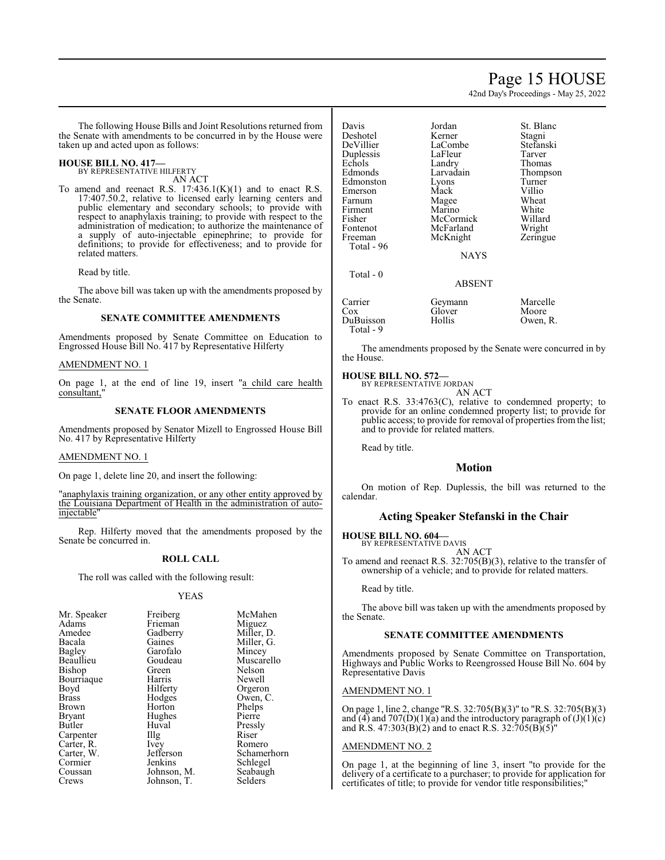## Page 15 HOUSE

42nd Day's Proceedings - May 25, 2022

The following House Bills and Joint Resolutions returned from the Senate with amendments to be concurred in by the House were taken up and acted upon as follows:

#### **HOUSE BILL NO. 417—**

BY REPRESENTATIVE HILFERTY AN ACT

To amend and reenact R.S.  $17:436.1(K)(1)$  and to enact R.S. 17:407.50.2, relative to licensed early learning centers and public elementary and secondary schools; to provide with respect to anaphylaxis training; to provide with respect to the administration of medication; to authorize the maintenance of a supply of auto-injectable epinephrine; to provide for definitions; to provide for effectiveness; and to provide for related matters.

Read by title.

The above bill was taken up with the amendments proposed by the Senate.

#### **SENATE COMMITTEE AMENDMENTS**

Amendments proposed by Senate Committee on Education to Engrossed House Bill No. 417 by Representative Hilferty

#### AMENDMENT NO. 1

On page 1, at the end of line 19, insert "a child care health consultant,"

#### **SENATE FLOOR AMENDMENTS**

Amendments proposed by Senator Mizell to Engrossed House Bill No. 417 by Representative Hilferty

#### AMENDMENT NO. 1

On page 1, delete line 20, and insert the following:

"anaphylaxis training organization, or any other entity approved by the Louisiana Department of Health in the administration of autoinjectable"

Rep. Hilferty moved that the amendments proposed by the Senate be concurred in.

#### **ROLL CALL**

The roll was called with the following result:

#### YEAS

| Mr. Speaker   | Freiberg          | McMahen     |
|---------------|-------------------|-------------|
| Adams         | Frieman           | Miguez      |
| Amedee        | Gadberry          | Miller, D.  |
| Bacala        | Gaines            | Miller, G.  |
| <b>Bagley</b> | Garofalo          | Mincey      |
| Beaullieu     | Goudeau           | Muscarello  |
| Bishop        | Green             | Nelson      |
| Bourriaque    | Harris            | Newell      |
| Boyd          | Hilferty          | Orgeron     |
| <b>Brass</b>  | Hodges            | Owen, C.    |
| Brown         | Horton            | Phelps      |
| <b>Bryant</b> | Hughes            | Pierre      |
| Butler        | Huval             | Pressly     |
| Carpenter     | $\prod_{i=1}^{n}$ | Riser       |
| Carter, R.    | Ivey              | Romero      |
| Carter, W.    | Jefferson         | Schamerhorn |
| Cormier       | Jenkins           | Schlegel    |
| Coussan       | Johnson, M.       | Seabaugh    |
| Crews         | Johnson, T.       | Selders     |

| Davis      | Jordan      | St. Blanc |
|------------|-------------|-----------|
| Deshotel   | Kerner      | Stagni    |
| DeVillier  | LaCombe     | Stefanski |
| Duplessis  | LaFleur     | Tarver    |
| Echols     | Landry      | Thomas    |
| Edmonds    | Larvadain   | Thompson  |
| Edmonston  | Lyons       | Turner    |
| Emerson    | Mack        | Villio    |
| Farnum     | Magee       | Wheat     |
| Firment    | Marino      | White     |
| Fisher     | McCormick   | Willard   |
| Fontenot   | McFarland   | Wright    |
| Freeman    | McKnight    | Zeringue  |
| Total - 96 |             |           |
|            | <b>NAYS</b> |           |
| Total - 0  |             |           |
|            | ABSENT      |           |
| Carrier    | Geymann     | Marcelle  |
| Cox        | Glover      | Moore     |
| DuBuisson  | Hollis      | Owen, R.  |
| Total - 9  |             |           |

The amendments proposed by the Senate were concurred in by the House.

#### **HOUSE BILL NO. 572—**

BY REPRESENTATIVE JORDAN AN ACT

To enact R.S. 33:4763(C), relative to condemned property; to provide for an online condemned property list; to provide for public access; to provide for removal of properties from the list; and to provide for related matters.

Read by title.

#### **Motion**

On motion of Rep. Duplessis, the bill was returned to the calendar.

#### **Acting Speaker Stefanski in the Chair**

**HOUSE BILL NO. 604—**

BY REPRESENTATIVE DAVIS AN ACT

To amend and reenact R.S. 32:705(B)(3), relative to the transfer of ownership of a vehicle; and to provide for related matters.

#### Read by title.

The above bill was taken up with the amendments proposed by the Senate.

#### **SENATE COMMITTEE AMENDMENTS**

Amendments proposed by Senate Committee on Transportation, Highways and Public Works to Reengrossed House Bill No. 604 by Representative Davis

#### AMENDMENT NO. 1

On page 1, line 2, change "R.S. 32:705(B)(3)" to "R.S. 32:705(B)(3) and (4) and 707(D)(1)( $\bar{a}$ ) and the introductory paragraph of (J)(1)(c) and R.S. 47:303(B)(2) and to enact R.S. 32:705(B)(5)"

#### AMENDMENT NO. 2

On page 1, at the beginning of line 3, insert "to provide for the delivery of a certificate to a purchaser; to provide for application for certificates of title; to provide for vendor title responsibilities;"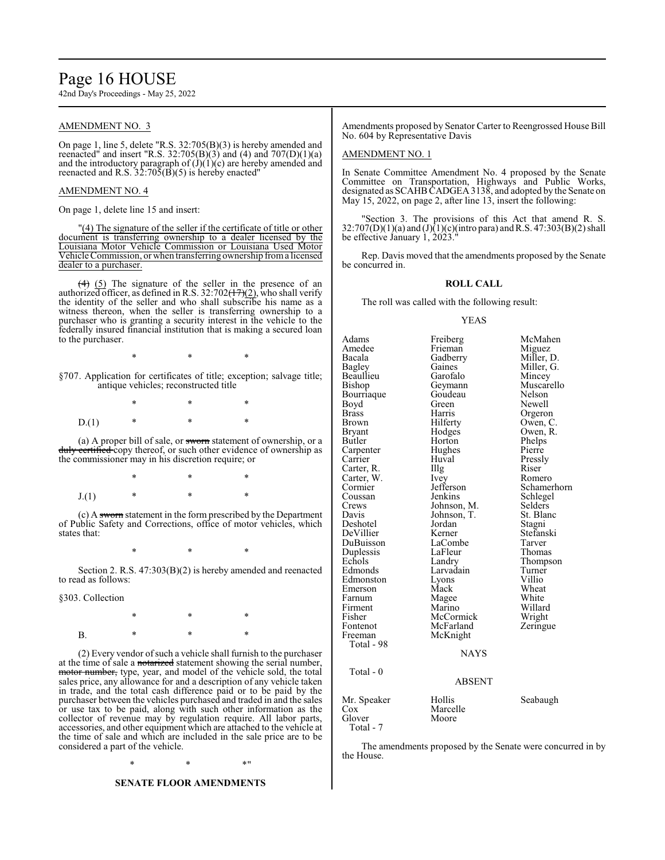## Page 16 HOUSE

42nd Day's Proceedings - May 25, 2022

#### AMENDMENT NO. 3

On page 1, line 5, delete "R.S. 32:705(B)(3) is hereby amended and reenacted" and insert "R.S.  $32:705(B)(3)$  and  $(4)$  and  $707(D)(1)(a)$ and the introductory paragraph of  $(\dot{J})((1)(c)$  are hereby amended and reenacted and R.S.  $32:70\overline{5}(B)(5)$  is hereby enacted"

#### AMENDMENT NO. 4

On page 1, delete line 15 and insert:

"(4) The signature of the seller if the certificate of title or other document is transferring ownership to a dealer licensed by the Louisiana Motor Vehicle Commission or Louisiana Used Motor Vehicle Commission, or when transferring ownership froma licensed dealer to a purchaser.

(4) (5) The signature of the seller in the presence of an authorized officer, as defined in R.S. 32:702( $\frac{17}{2}$ ), who shall verify the identity of the seller and who shall subscribe his name as a witness thereon, when the seller is transferring ownership to a purchaser who is granting a security interest in the vehicle to the federally insured financial institution that is making a secured loan to the purchaser.

\* \* \*

§707. Application for certificates of title; exception; salvage title; antique vehicles; reconstructed title

\* \* \*  $D(1)$ 

(a) A proper bill of sale, or sworn statement of ownership, or a duly certified copy thereof, or such other evidence of ownership as the commissioner may in his discretion require; or

\* \* \*  $J(1)$  \* \*

(c) A sworn statement in the form prescribed by the Department of Public Safety and Corrections, office of motor vehicles, which states that:

\* \* \*

Section 2. R.S. 47:303(B)(2) is hereby amended and reenacted to read as follows:

§303. Collection

\* \* \* B. \* \* \* \*

(2) Every vendor ofsuch a vehicle shall furnish to the purchaser at the time of sale a notarized statement showing the serial number, motor number, type, year, and model of the vehicle sold, the total sales price, any allowance for and a description of any vehicle taken in trade, and the total cash difference paid or to be paid by the purchaser between the vehicles purchased and traded in and the sales or use tax to be paid, along with such other information as the collector of revenue may by regulation require. All labor parts, accessories, and other equipment which are attached to the vehicle at the time of sale and which are included in the sale price are to be considered a part of the vehicle.

 $*$  \*  $*$  \*

#### **SENATE FLOOR AMENDMENTS**

Amendments proposed by Senator Carter to Reengrossed House Bill No. 604 by Representative Davis

#### AMENDMENT NO. 1

In Senate Committee Amendment No. 4 proposed by the Senate Committee on Transportation, Highways and Public Works, designated as SCAHB CADGEA 3138, and adopted by the Senate on May 15, 2022, on page 2, after line 13, insert the following:

"Section 3. The provisions of this Act that amend R. S.  $32:707(D)(1)(a)$  and  $(J)(1)(c)($ intro para) and R.S. 47:303(B)(2) shall be effective January  $1, 2023$ .

Rep. Davis moved that the amendments proposed by the Senate be concurred in.

#### **ROLL CALL**

The roll was called with the following result:

#### YEAS

Adams Freiberg McMahen<br>Amedee Frieman Miguez Amedee Frieman<br>Bacala Gadberry Bacala Gadberry Miller, D. Gaines Miller, G.<br>Garofalo Mincey Beaullieu Garofalo<br>Bishop Geymann Geymann Muscarello<br>Goudeau Nelson Bourriaque Goude<br>Boyd Green Boyd Green Newell<br>Brass Harris Orgero Brass Harris Orgeron<br>Brown Hilferty Owen, C Brown Hilferty Owen, C.<br>Bryant Hodges Owen, R. Bryant Hodges Owen, R. Horton Phelps<br>
Hughes Pierre Carpenter Hughe<br>Carrier Huval Carrier Huval Pressly Carter, R. Illg Riser Carter, W. Ivey Romero Carter, W. Ivey<br>Cormier Jefferson Cormier Jefferson Schamerhorn<br>
Coussan Jenkins Schlegel Coussan Jenkins Schlegel<br>Crews Johnson, M. Selders Crews Johnson, M. Selders<br>Davis Johnson, T. St. Blanc Johnson, T. St. Blanch<br>Jordan Stagni Deshotel Jordan Stagni DeVillier Kerner Stefans<br>DuBuisson LaCombe Tarver DuBuisson LaCombe Tarver<br>
Duplessis LaFleur Thomas Duplessis LaFleu<br>Echols Landry Echols Landry Thompson Larvadain Turne<br>Lyons Villio Edmonston Lyons<br>Emerson Mack Emerson Mack Wheat<br>
Farnum Magee White Magee White<br>Marino Willard Firment Marino Willard<br>Fisher McCormick Wright Fisher McCormick Wright<br>Fontenot McFarland Zeringue Fontenot McFarland<br>Freeman McKnight McKnight Total - 98 NAYS Total - 0 ABSENT Mr. Speaker Hollis Seabaugh<br>
Cox Marcelle Seabaugh Cox Marcelle<br>Glover Moore Moore Total - 7

The amendments proposed by the Senate were concurred in by the House.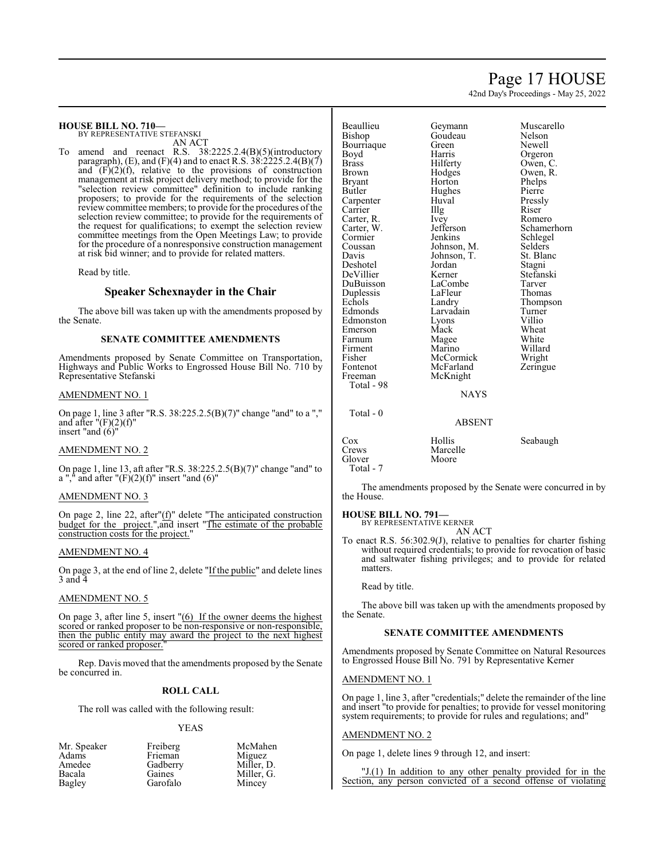## Page 17 HOUSE

42nd Day's Proceedings - May 25, 2022

#### **HOUSE BILL NO. 710—** BY REPRESENTATIVE STEFANSKI

AN ACT

To amend and reenact R.S. 38:2225.2.4(B)(5)(introductory paragraph), (E), and (F)(4) and to enact R.S.  $3\hat{8}$ :  $\hat{2}225.2.4(B)(7)$ and  $(F)(2)(f)$ , relative to the provisions of construction management at risk project delivery method; to provide for the "selection review committee" definition to include ranking proposers; to provide for the requirements of the selection review committee members; to provide for the procedures ofthe selection review committee; to provide for the requirements of the request for qualifications; to exempt the selection review committee meetings from the Open Meetings Law; to provide for the procedure of a nonresponsive construction management at risk bid winner; and to provide for related matters.

Read by title.

#### **Speaker Schexnayder in the Chair**

The above bill was taken up with the amendments proposed by the Senate.

#### **SENATE COMMITTEE AMENDMENTS**

Amendments proposed by Senate Committee on Transportation, Highways and Public Works to Engrossed House Bill No. 710 by Representative Stefanski

#### AMENDMENT NO. 1

On page 1, line 3 after "R.S. 38:225.2.5(B)(7)" change "and" to a "," and after  $"(\mathrm{F})(2)(\mathrm{f})"$ insert "and  $(6)$ "

#### AMENDMENT NO. 2

On page 1, line 13, aft after "R.S. 38:225.2.5(B)(7)" change "and" to a "," and after " $(F)(2)(f)$ " insert "and  $(6)$ "

#### AMENDMENT NO. 3

On page 2, line 22, after"(f)" delete "The anticipated construction budget for the project.",and insert "The estimate of the probable construction costs for the project."

#### AMENDMENT NO. 4

On page 3, at the end of line 2, delete "If the public" and delete lines 3 and 4

#### AMENDMENT NO. 5

On page 3, after line 5, insert "(6) If the owner deems the highest scored or ranked proposer to be non-responsive or non-responsible, then the public entity may award the project to the next highest scored or ranked proposer.

Rep. Davis moved that the amendments proposed by the Senate be concurred in.

#### **ROLL CALL**

The roll was called with the following result:

#### YEAS

| Mr. Speaker | Freiberg | McMahen    |
|-------------|----------|------------|
| Adams       | Frieman  | Miguez     |
| Amedee      | Gadberry | Miller, D. |
| Bacala      | Gaines   | Miller, G. |
| Bagley      | Garofalo | Mincey     |

| Beaullieu    | Geymann     | Muscarello |
|--------------|-------------|------------|
| Bishop       | Goudeau     | Nelson     |
| Bourriaque   | Green       | Newell     |
| Boyd         | Harris      | Orgeron    |
| <b>Brass</b> | Hilferty    | Owen, C.   |
| Brown        | Hodges      | Owen, R.   |
| Bryant       | Horton      | Phelps     |
| Butler       | Hughes      | Pierre     |
| Carpenter    | Huval       | Pressly    |
| Carrier      | Illg        | Riser      |
| Carter, R.   | Ivey        | Romero     |
| Carter, W.   | Jefferson   | Schamerho  |
| Cormier      | Jenkins     | Schlegel   |
| Coussan      | Johnson, M. | Selders    |
| Davis        | Johnson, T. | St. Blanc  |
| Deshotel     | Jordan      | Stagni     |
| DeVillier    | Kerner      | Stefanski  |
| DuBuisson    | LaCombe     | Tarver     |
| Duplessis    | LaFleur     | Thomas     |
| Echols       | Landry      | Thompson   |
| Edmonds      | Larvadain   | Turner     |
| Edmonston    | Lyons       | Villio     |
| Emerson      | Mack        | Wheat      |
| Farnum       | Magee       | White      |
| Firment      | Marino      | Willard    |
| Fisher       | McCormick   | Wright     |
| Fontenot     | McFarland   | Zeringue   |
| Freeman      | McKnight    |            |
| Total - 98   |             |            |
|              | NAYS        |            |

Total - 0

# Owen, R. Jefferson Schamerhorn<br>
Jenkins Schlegel

#### ABSENT

| Cox<br>Crews<br>Glover<br>Total - 7 | Hollis<br>Marcelle<br>Moore | Seabaugh |
|-------------------------------------|-----------------------------|----------|
|                                     |                             |          |

The amendments proposed by the Senate were concurred in by the House.

#### **HOUSE BILL NO. 791—**

BY REPRESENTATIVE KERNER AN ACT

To enact R.S. 56:302.9(J), relative to penalties for charter fishing without required credentials; to provide for revocation of basic and saltwater fishing privileges; and to provide for related matters.

Read by title.

The above bill was taken up with the amendments proposed by the Senate.

#### **SENATE COMMITTEE AMENDMENTS**

Amendments proposed by Senate Committee on Natural Resources to Engrossed House Bill No. 791 by Representative Kerner

#### AMENDMENT NO. 1

On page 1, line 3, after "credentials;" delete the remainder of the line and insert "to provide for penalties; to provide for vessel monitoring system requirements; to provide for rules and regulations; and"

#### AMENDMENT NO. 2

On page 1, delete lines 9 through 12, and insert:

"J.(1) In addition to any other penalty provided for in the Section, any person convicted of a second offense of violating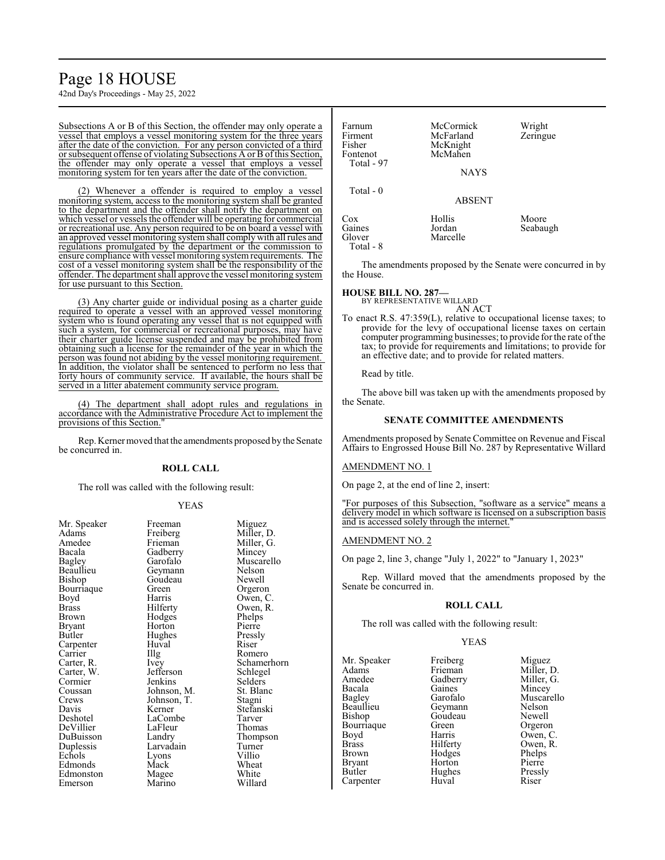# Page 18 HOUSE

42nd Day's Proceedings - May 25, 2022

Subsections A or B of this Section, the offender may only operate a vessel that employs a vessel monitoring system for the three years after the date of the conviction. For any person convicted of a third or subsequent offense of violating Subsections A or B ofthis Section, the offender may only operate a vessel that employs a vessel monitoring system for ten years after the date of the conviction.

(2) Whenever a offender is required to employ a vessel monitoring system, access to the monitoring system shall be granted to the department and the offender shall notify the department on which vessel or vessels the offender will be operating for commercial or recreational use. Any person required to be on board a vessel with an approved vessel monitoring systemshall complywith all rules and regulations promulgated by the department or the commission to ensure compliance with vessel monitoring systemrequirements. The cost of a vessel monitoring system shall be the responsibility of the offender. The department shall approve the vessel monitoring system for use pursuant to this Section.

(3) Any charter guide or individual posing as a charter guide required to operate a vessel with an approved vessel monitoring system who is found operating any vessel that is not equipped with such a system, for commercial or recreational purposes, may have their charter guide license suspended and may be prohibited from obtaining such a license for the remainder of the year in which the person was found not abiding by the vessel monitoring requirement. In addition, the violator shall be sentenced to perform no less that forty hours of community service. If available, the hours shall be served in a litter abatement community service program.

(4) The department shall adopt rules and regulations in accordance with the Administrative Procedure Act to implement the provisions of this Section."

Rep. Kerner moved that the amendments proposed by the Senate be concurred in.

#### **ROLL CALL**

The roll was called with the following result:

#### YEAS

| Mr. Speaker   | Freeman     | Miguez   |
|---------------|-------------|----------|
| Adams         | Freiberg    | Miller,  |
| Amedee        | Frieman     | Miller,  |
| Bacala        | Gadberry    | Mincey   |
| <b>Bagley</b> | Garofalo    | Muscar   |
| Beaullieu     | Geymann     | Nelson   |
| Bishop        | Goudeau     | Newell   |
| Bourriaque    | Green       | Orgeror  |
| Boyd          | Harris      | Owen, 0  |
| Brass         | Hilferty    | Owen, l  |
| Brown         | Hodges      | Phelps   |
| Bryant        | Horton      | Pierre   |
| Butler        | Hughes      | Pressly  |
| Carpenter     | Huval       | Riser    |
| Carrier       | Illg        | Romerc   |
| Carter, R.    | Ivey        | Schame   |
| Carter, W.    | Jefferson   | Schlege  |
| Cormier       | Jenkins     | Selders  |
| Coussan       | Johnson, M. | St. Blan |
| Crews         | Johnson, T. | Stagni   |
| Davis         | Kerner      | Stefansl |
| Deshotel      | LaCombe     | Tarver   |
| DeVillier     | LaFleur     | Thomas   |
| DuBuisson     | Landry      | Thomps   |
| Duplessis     | Larvadain   | Turner   |
| Echols        | Lyons       | Villio   |
| Edmonds       | Mack        | Wheat    |
| Edmonston     | Magee       | White    |
| Emerson       | Marino      | Willard  |

Freiberg Miller, D.<br>Frieman Miller, G. Gadberry<br>Garofalo Geymann Nelson<br>Goudeau Newell Goudeau<br>Green Green Orgeron<br>Harris Owen, C Harris Owen, C.<br>Hilferty Owen, R. Hodges<br>Horton Hughes Pressl<br>Huval Riser Huval<br>Illg Jefferson Schlegel<br>Jenkins Selders Johnson, M. St. Blanch<br>Johnson, T. Stagni Johnson, T.<br>Kerner LaCombe Tarver<br>
LaFleur Thomas LaFleur<br>Landrv Larvadain Turner<br>Lyons Villio Lyons<br>Mack Magee White<br>
Marino Willard Marino

Miller, G.<br>Mincey Muscarello<br>Nelson Owen, R.<br>Phelps Pierre<br>Pressly Romero Ivey Schamerhorn<br>Jefferson Schlegel Selders<br>St. Blanc Stefanski<br>Tarver Thompson<br>Turner Wheat<br>White

| Farnum<br>Firment<br>Fisher<br>Fontenot<br>Total - 97 | McCormick<br>McFarland<br>McKnight<br>McMahen<br>NAYS | Wright<br>Zeringue |
|-------------------------------------------------------|-------------------------------------------------------|--------------------|
| Total - 0                                             | <b>ABSENT</b>                                         |                    |
| $\cos$<br>Gaines<br>Glover<br>Total - 8               | Hollis<br>Jordan<br>Marcelle                          | Moore<br>Seabaugh  |

The amendments proposed by the Senate were concurred in by the House.

#### **HOUSE BILL NO. 287—** BY REPRESENTATIVE WILLARD AN ACT

To enact R.S. 47:359(L), relative to occupational license taxes; to provide for the levy of occupational license taxes on certain computer programming businesses; to provide for the rate ofthe tax; to provide for requirements and limitations; to provide for an effective date; and to provide for related matters.

Read by title.

The above bill was taken up with the amendments proposed by the Senate.

#### **SENATE COMMITTEE AMENDMENTS**

Amendments proposed by Senate Committee on Revenue and Fiscal Affairs to Engrossed House Bill No. 287 by Representative Willard

#### AMENDMENT NO. 1

On page 2, at the end of line 2, insert:

"For purposes of this Subsection, "software as a service" means a delivery model in which software is licensed on a subscription basis and is accessed solely through the internet."

#### AMENDMENT NO. 2

On page 2, line 3, change "July 1, 2022" to "January 1, 2023"

Rep. Willard moved that the amendments proposed by the Senate be concurred in.

#### **ROLL CALL**

The roll was called with the following result:

#### YEAS

Mr. Speaker Freiberg Miguez<br>Adams Frieman Miller, 1 Adams Frieman Miller, D.<br>Amedee Gadberry Miller, G. Amedee Gadberry Miller, G.<br>Bacala Gaines Mincey Bacala Gaines<br>Bagley Garofalo Bagley Garofalo Muscarello<br>Beaullieu Geymann Nelson Beaullieu Geymann Nelson<br>Bishop Goudeau Newell Bourriaque Green<br>Boyd Harris Boyd Harris Owen, C.<br>Brass Hilferty Owen, R. Brass Hilferty Owen, R. Brown Hodges Phelps<br>Bryant Horton Pierre Bryant Horton<br>Butler Hughes Carpenter

Goudeau Newell<br>Green Orgeron Hughes Pressly<br>
Huval Riser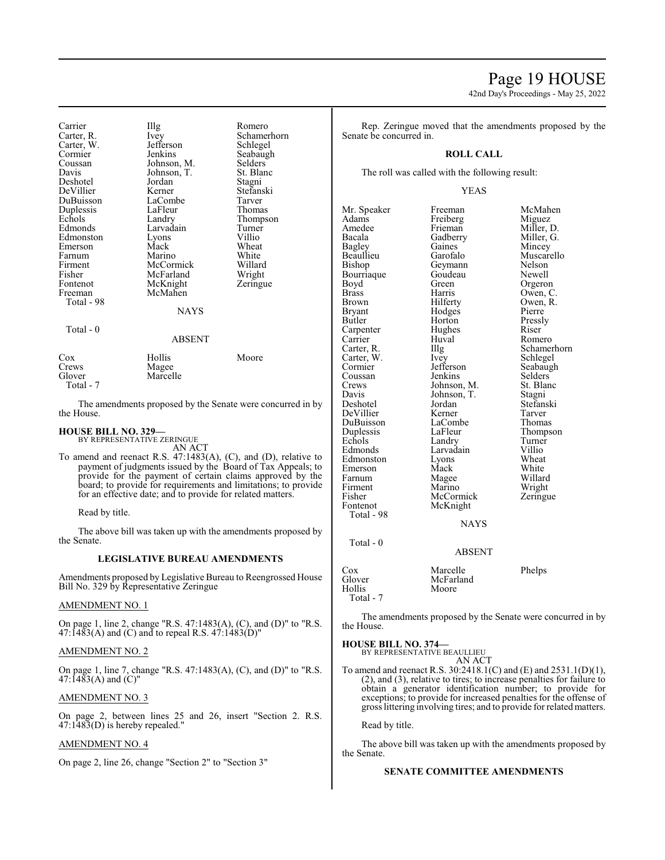Carrier IIIg Romero<br>Carter. R. Ivev Schamer Ivey Schamerhorn<br>Jefferson Schlegel Carter, W. Jefferson Schwarter, W. September 31, 1996 Cormier Jenkins Seabaugh<br>Coussan Johnson, M. Selders Coussan Johnson, M. Selders<br>Davis Johnson, T. St. Blanc Johnson, T.<br>Jordan Deshotel Jordan Stagni DeVillier Kerner Stefans<br>DuBuisson LaCombe Tarver DuBuisson LaCombe Tarver Duplessis LaFleur<br>Echols Landry Echols Landry Thompson<br>
Edmonds Larvadain Turner Larvadain Turner<br>Lyons Villio Edmonston Lyons Villio<br>
Emerson Mack Wheat Emerson Mack Wheat Farnum Marino White<br>
Firment McCormick Willard Firment McCormick Willard Fisher McFarland Wright<br>
Fontenot McKnight Zeringue Fontenot McKnight<br>Freeman McMahen McMahen Total - 98 **NAYS**  Total - 0 ABSENT Cox Hollis Moore<br>Crews Magee

Crews Magee<br>Glover Marcel Marcelle Total - 7

The amendments proposed by the Senate were concurred in by the House.

**HOUSE BILL NO. 329—**

BY REPRESENTATIVE ZERINGUE AN ACT

To amend and reenact R.S. 47:1483(A), (C), and (D), relative to payment of judgments issued by the Board of Tax Appeals; to provide for the payment of certain claims approved by the board; to provide for requirements and limitations; to provide for an effective date; and to provide for related matters.

Read by title.

The above bill was taken up with the amendments proposed by the Senate.

#### **LEGISLATIVE BUREAU AMENDMENTS**

Amendments proposed by Legislative Bureau to Reengrossed House Bill No. 329 by Representative Zeringue

#### AMENDMENT NO. 1

On page 1, line 2, change "R.S. 47:1483(A), (C), and (D)" to "R.S. 47:1483(A) and (C) and to repeal R.S.  $47:1483(D)$ "

#### AMENDMENT NO. 2

On page 1, line 7, change "R.S. 47:1483(A), (C), and (D)" to "R.S.  $47:1483(A)$  and  $(C)$ "

#### AMENDMENT NO. 3

On page 2, between lines 25 and 26, insert "Section 2. R.S. 47:1483(D) is hereby repealed."

#### AMENDMENT NO. 4

On page 2, line 26, change "Section 2" to "Section 3"

42nd Day's Proceedings - May 25, 2022

Rep. Zeringue moved that the amendments proposed by the Senate be concurred in.

#### **ROLL CALL**

The roll was called with the following result:

#### YEAS

Mr. Speaker Freeman McMahen<br>Adams Freiberg Miguez Adams Freiberg<br>Amedee Frieman Amedee Frieman Miller, D.<br>Bacala Gadberry Miller, G. Bacala Gadberry Miller, G.<br>Bagley Gaines Mincey Bagley Gaines Mincey<br>Beaullieu Garofalo Muscar Bishop Geymann Nelson<br>Bourriaque Goudeau Newell Bourriaque Goude<br>Boyd Green Boyd Green Orgeron<br>Brass Harris Owen C Brass Harris Owen, C.<br>Brown Hilferty Owen, R. Brown Hilferty Owen, R.<br>Bryant Hodges Pierre Bryant Hodges Pierre<br>Butler Horton Pressly Horton Pressl<br>Hughes Riser Carpenter Hughe<br>Carrier Huyal Carrier Huval Romero<br>Carter, R. Illg Schamer Illg Schamerhorn<br>Ivey Schlegel Carter, W. Ivey<br>Cormier Jefferson Jefferson Seabaugh<br>Jenkins Selders Coussan Jenkins Selders<br>Crews Johnson M. St Blanc Crews Johnson, M. St. Blanch<br>Davis Johnson, T. Stagni Davis Johnson, T.<br>Deshotel Jordan Jordan Stefanski<br>Kerner Tarver DeVillier Kerner Tarver<br>
DuBuisson LaCombe Thomas DuBuisson LaComb<br>
Duplessis LaFleur Duplessis LaFleur Thompson<br>
Echols Landry Turner Echols Landry Turner<br>Edmonds Larvadain Villio Larvadain Villio<br>Lyons Wheat Edmonston Lyons Wheat<br>
Emerson Mack White Emerson Mack White<br>
Farnum Magee Willard Magee Willard<br>
Marino Wright Firment Marino Wright<br>Fisher McCormick Zeringue Fisher McCormick<br>Fontenot McKnight McKnight Total - 98 **NAYS**  Total - 0 ABSENT

Muscarello<br>Nelson

Cox Marcelle Phelps<br>
Glover McFarland McFarland<br>Moore Hollis Total - 7

The amendments proposed by the Senate were concurred in by the House.

#### **HOUSE BILL NO. 374—**

BY REPRESENTATIVE BEAULLIEU AN ACT

To amend and reenact R.S. 30:2418.1(C) and (E) and 2531.1(D)(1), (2), and (3), relative to tires; to increase penalties for failure to obtain a generator identification number; to provide for exceptions; to provide for increased penalties for the offense of gross littering involving tires; and to provide for related matters.

Read by title.

The above bill was taken up with the amendments proposed by the Senate.

#### **SENATE COMMITTEE AMENDMENTS**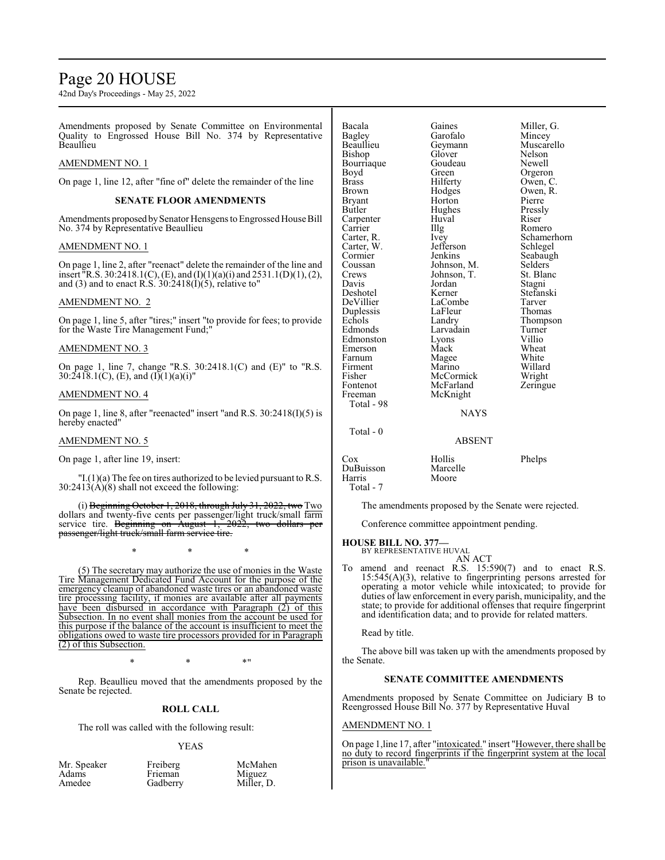## Page 20 HOUSE

42nd Day's Proceedings - May 25, 2022

Amendments proposed by Senate Committee on Environmental Quality to Engrossed House Bill No. 374 by Representative **Beaullieu** 

#### AMENDMENT NO. 1

On page 1, line 12, after "fine of" delete the remainder of the line

#### **SENATE FLOOR AMENDMENTS**

Amendments proposed by Senator Hensgens to Engrossed House Bill No. 374 by Representative Beaullieu

#### AMENDMENT NO. 1

On page 1, line 2, after "reenact" delete the remainder of the line and insert <sup>"</sup>R.S. 30:2418.1(C), (E), and (I)(1)(a)(i) and 2531.1(D)(1), (2), and (3) and to enact R.S. 30:2418(I)(5), relative to"

#### AMENDMENT NO. 2

On page 1, line 5, after "tires;" insert "to provide for fees; to provide for the Waste Tire Management Fund;"

#### AMENDMENT NO. 3

On page 1, line 7, change "R.S. 30:2418.1(C) and (E)" to "R.S. 30:2418.1(C), (E), and  $(I)(1)(a)(i)$ "

#### AMENDMENT NO. 4

On page 1, line 8, after "reenacted" insert "and R.S. 30:2418(I)(5) is hereby enacted"

#### AMENDMENT NO. 5

On page 1, after line 19, insert:

 $\text{I}(1)(a)$  The fee on tires authorized to be levied pursuant to R.S. 30:2413(A)(8) shall not exceed the following:

(i) Beginning October 1, 2018, through July 31, 2022, two Two dollars and twenty-five cents per passenger/light truck/small farm<br>service tire. Beginning on August 1, 2022, two dollars per service tire. Beginning on August 1, 2022, two dollars per passenger/light truck/small farm service tire.

\* \* \*

(5) The secretary may authorize the use of monies in the Waste Tire Management Dedicated Fund Account for the purpose of the emergency cleanup of abandoned waste tires or an abandoned waste tire processing facility, if monies are available after all payments have been disbursed in accordance with Paragraph (2) of this Subsection. In no event shall monies from the account be used for this purpose if the balance of the account is insufficient to meet the obligations owed to waste tire processors provided for in Paragraph (2) of this Subsection.

 $*$  \*  $*$  \*

Rep. Beaullieu moved that the amendments proposed by the Senate be rejected.

#### **ROLL CALL**

The roll was called with the following result:

#### YEAS

| Mr. Speaker | Freiberg | McMahen    |
|-------------|----------|------------|
| Adams       | Frieman  | Miguez     |
| Amedee      | Gadberry | Miller, D. |

| Bacala<br>Bagley<br>Beaullieu<br>Bishop<br>Bourriaque<br>Boyd<br>Brass<br>Brown<br>Bryant<br>Butler<br>Carpenter<br>Carrier<br>Carter, R.<br>Carter, W.<br>Cormier<br>Coussan<br>Crews<br>Davis<br>Deshotel<br>DeVillier<br>Duplessis | Gaines<br>Garofalo<br>Geymann<br>Glover<br>Goudeau<br>Green<br>Hilferty<br>Hodges<br>Horton<br>Hughes<br>Huval<br>Illg<br>Ivey<br>Jefferson<br>Jenkins<br>Johnson, M.<br>Johnson, T.<br>Jordan<br>Kerner<br>LaCombe<br>LaFleur | Miller, G.<br>Mincey<br>Muscarello<br>Nelson<br>Newell<br>Orgeron<br>Owen, C.<br>Owen, R.<br>Pierre<br>Pressly<br>Riser<br>Romero<br>Schamerhorn<br>Schlegel<br>Seabaugh<br>Selders<br>St. Blanc<br>Stagni<br>Stefanski<br>Tarver<br>Thomas |
|---------------------------------------------------------------------------------------------------------------------------------------------------------------------------------------------------------------------------------------|--------------------------------------------------------------------------------------------------------------------------------------------------------------------------------------------------------------------------------|---------------------------------------------------------------------------------------------------------------------------------------------------------------------------------------------------------------------------------------------|
|                                                                                                                                                                                                                                       |                                                                                                                                                                                                                                |                                                                                                                                                                                                                                             |
|                                                                                                                                                                                                                                       |                                                                                                                                                                                                                                |                                                                                                                                                                                                                                             |
|                                                                                                                                                                                                                                       |                                                                                                                                                                                                                                |                                                                                                                                                                                                                                             |
|                                                                                                                                                                                                                                       |                                                                                                                                                                                                                                |                                                                                                                                                                                                                                             |
|                                                                                                                                                                                                                                       |                                                                                                                                                                                                                                |                                                                                                                                                                                                                                             |
|                                                                                                                                                                                                                                       |                                                                                                                                                                                                                                |                                                                                                                                                                                                                                             |
|                                                                                                                                                                                                                                       |                                                                                                                                                                                                                                |                                                                                                                                                                                                                                             |
|                                                                                                                                                                                                                                       |                                                                                                                                                                                                                                |                                                                                                                                                                                                                                             |
|                                                                                                                                                                                                                                       |                                                                                                                                                                                                                                |                                                                                                                                                                                                                                             |
|                                                                                                                                                                                                                                       |                                                                                                                                                                                                                                |                                                                                                                                                                                                                                             |
|                                                                                                                                                                                                                                       |                                                                                                                                                                                                                                |                                                                                                                                                                                                                                             |
|                                                                                                                                                                                                                                       |                                                                                                                                                                                                                                |                                                                                                                                                                                                                                             |
|                                                                                                                                                                                                                                       |                                                                                                                                                                                                                                |                                                                                                                                                                                                                                             |
| Echols                                                                                                                                                                                                                                | Landry                                                                                                                                                                                                                         | Thompson                                                                                                                                                                                                                                    |
| Edmonds                                                                                                                                                                                                                               | Larvadain                                                                                                                                                                                                                      | Turner                                                                                                                                                                                                                                      |
| Edmonston                                                                                                                                                                                                                             | Lyons                                                                                                                                                                                                                          | Villio                                                                                                                                                                                                                                      |
| Emerson                                                                                                                                                                                                                               | Mack                                                                                                                                                                                                                           | Wheat                                                                                                                                                                                                                                       |
| Farnum                                                                                                                                                                                                                                | Magee                                                                                                                                                                                                                          | White                                                                                                                                                                                                                                       |
| Firment                                                                                                                                                                                                                               | Marino                                                                                                                                                                                                                         | Willard                                                                                                                                                                                                                                     |
| Fisher                                                                                                                                                                                                                                | McCormick                                                                                                                                                                                                                      | Wright                                                                                                                                                                                                                                      |
| Fontenot                                                                                                                                                                                                                              | McFarland                                                                                                                                                                                                                      | Zeringue                                                                                                                                                                                                                                    |
| Freeman                                                                                                                                                                                                                               | McKnight                                                                                                                                                                                                                       |                                                                                                                                                                                                                                             |
| Total - 98                                                                                                                                                                                                                            |                                                                                                                                                                                                                                |                                                                                                                                                                                                                                             |
|                                                                                                                                                                                                                                       | <b>NAYS</b>                                                                                                                                                                                                                    |                                                                                                                                                                                                                                             |
| Total - 0                                                                                                                                                                                                                             |                                                                                                                                                                                                                                |                                                                                                                                                                                                                                             |
|                                                                                                                                                                                                                                       |                                                                                                                                                                                                                                |                                                                                                                                                                                                                                             |

#### ABSENT

Cox Hollis Phelps DuBuisson<br>Harris Total - 7

The amendments proposed by the Senate were rejected.

Conference committee appointment pending.

Moore

#### **HOUSE BILL NO. 377—** BY REPRESENTATIVE HUVAL

AN ACT

To amend and reenact R.S. 15:590(7) and to enact R.S. 15:545(A)(3), relative to fingerprinting persons arrested for operating a motor vehicle while intoxicated; to provide for duties of law enforcement in every parish, municipality, and the state; to provide for additional offenses that require fingerprint and identification data; and to provide for related matters.

Read by title.

The above bill was taken up with the amendments proposed by the Senate.

#### **SENATE COMMITTEE AMENDMENTS**

Amendments proposed by Senate Committee on Judiciary B to Reengrossed House Bill No. 377 by Representative Huval

#### AMENDMENT NO. 1

On page 1,line 17, after "intoxicated." insert "However, there shall be no duty to record fingerprints if the fingerprint system at the local prison is unavailable.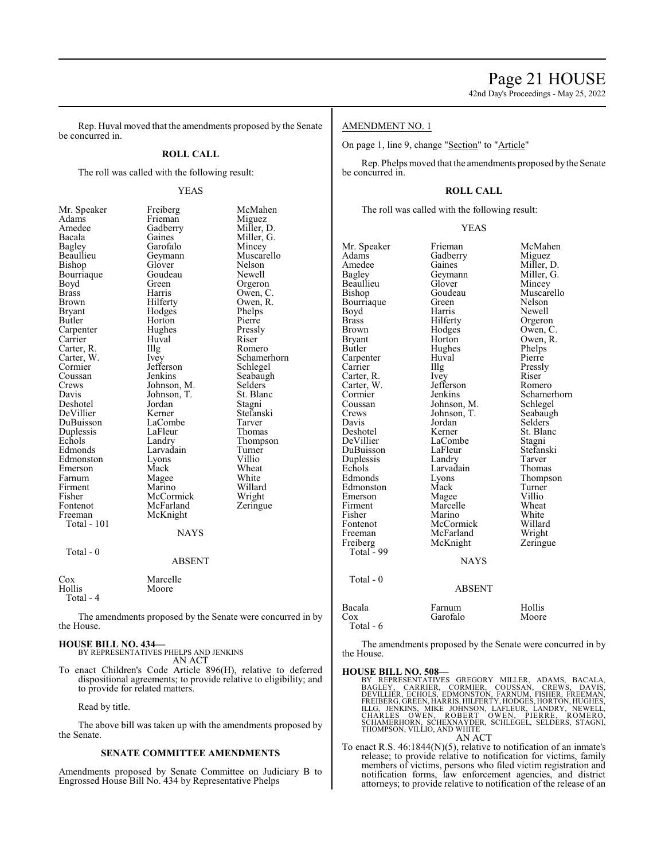Rep. Huval moved that the amendments proposed by the Senate be concurred in.

#### **ROLL CALL**

Miller, G.<br>Mincey

Owen, R.<br>Phelps

Schamerhorn<br>Schlegel

Seabaugh<br>Selders

Stefanski<br>Tarver

Thompson<br>Turner

Wheat<br>White

Zeringue

The roll was called with the following result:

| мг. эреакег                                    |
|------------------------------------------------|
| Adams                                          |
| Amedee                                         |
| Bacala                                         |
| Bagley<br>Beaullieu                            |
|                                                |
| Bishop                                         |
| Bourriaque                                     |
| Boyd<br>Brass                                  |
|                                                |
| Brown                                          |
| Bryant                                         |
| Butler                                         |
| Carpenter<br>Carrier                           |
|                                                |
|                                                |
|                                                |
|                                                |
| Carter, R.<br>Carter, W.<br>Cormier<br>Coussan |
| Crews                                          |
| Davis                                          |
|                                                |
| Deshotel<br>DeVillier                          |
| DuBuisson                                      |
| Duplessis                                      |
| Echols                                         |
| Edmonds                                        |
| Edmonston                                      |
| Emerson                                        |
| Farnum                                         |
| Firment                                        |
| Fisher                                         |
| Fontenot                                       |
| Freeman                                        |
| <b>Total - 101</b>                             |
|                                                |
|                                                |
| Total - 0                                      |
|                                                |
|                                                |
| Cox                                            |
| Hollis                                         |
| Total - 4                                      |
|                                                |

YEAS Mr. Speaker Freiberg McMahen<br>Adams Frieman Miguez Frieman<br>Gadberry Gadberry Miller, D.<br>Gaines Miller, G. Garofalo Mincey<br>Gevmann Muscarello Geymann Muscarellieu<br>Glover Nelson Bishop Glover Nelson Goudeau Newell<br>Green Orgeror Green Orgeron<br>Harris Owen C Harris Owen, C.<br>Hilferty Owen, R. Hodges Phelps<br>Horton Pierre Horton Pierre<br>
Hughes Pressly Hughes Pressl<br>Huyal Riser Carrier Huval Riser Illg Romero<br>Ivey Schame! Jefferson<br>Jenkins Johnson, M. Selders<br>Johnson, T. St. Blanc Johnson, T.<br>
Jordan Stagni Jordan<br>Kerner LaCombe Tarver<br>
LaFleur Thomas LaFleur<br>Landry Larvadain Turner<br>Lyons Villio Lyons<br>Mack Magee White<br>Marino Willard Marino Willard<br>
McCormick Wright McCormick<br>McFarland McKnight **NAYS** ABSENT Marcelle

The amendments proposed by the Senate were concurred in by the House.

Moore

#### **HOUSE BILL NO. 434—** BY REPRESENTATIVES PHELPS AND JENKINS

AN ACT

To enact Children's Code Article 896(H), relative to deferred dispositional agreements; to provide relative to eligibility; and to provide for related matters.

Read by title.

The above bill was taken up with the amendments proposed by the Senate.

#### **SENATE COMMITTEE AMENDMENTS**

Amendments proposed by Senate Committee on Judiciary B to Engrossed House Bill No. 434 by Representative Phelps

#### AMENDMENT NO. 1

On page 1, line 9, change "Section" to "Article"

Rep. Phelps moved that the amendments proposed bythe Senate be concurred in.

#### **ROLL CALL**

The roll was called with the following result:

#### YEAS

Mr. Speaker Frieman McMahen<br>Adams Gadberry Miguez Adams Gadberry<br>Amedee Gaines Amedee Gaines Miller, D. Bagley Geymann Miller, G. Geymann Miller, Glover Mincey Beaullieu Glover<br>Bishop Goudeau Goudeau Muscarello<br>Green Nelson Bourriaque Green Nelson<br>Boyd Harris Newell Boyd Harris<br>Brass Hilferty Brass Hilferty Orgeron<br>Brown Hodges Owen, C Brown Hodges Owen, C.<br>Brvant Horton Owen, R. Bryant Horton Owen, R.<br>Butler Hughes Phelps Hughes Phelps<br>Huval Pierre Carpenter Huval Pierre<br>Carrier IIIg Pressly Carrier Illg Pressl<br>Carter R. Ivev Riser Carter, R. Ivey Riser Riser<br>Carter, W. Jefferson Romero Carter, W. Jefferso<br>Cormier Jenkins Cormier Jenkins Schamerhorn<br>Coussan Johnson, M. Schlegel Coussan Johnson, M. Schlegel<br>Crews Johnson, T. Seabaugh Crews Johnson, T.<br>Davis Jordan Davis Jordan Selders Deshotel Kerner St. Blanc<br>DeVillier LaCombe Stagni LaCombe<br>LaFleur Stagni<br>Stefanski DuBuisson LaFleur Stefans<br>
Duplessis Landry Tarver Duplessis Landry Tarver Echols Larvadain<br>Edmonds Lyons Eyons Thompson<br>
Mack Turner Edmonston Mack Turner<br>Emerson Magee Villio Emerson Magee Villio<br>Firment Marcelle Wheat Firment Marcelle Wheat<br>Fisher Marino White Fisher Marino White<br>Fontenot McCormick Willard Fontenot McCormick Willard<br>
Freeman McFarland Wright Freeman McFarland Wright<br>
Freiberg McKnight Zeringue McKnight Total  $-99$ NAYS Total - 0 ABSENT Bacala Farnum Hollis<br>Cox Garofalo Moore Garofalo

Total - 6

The amendments proposed by the Senate were concurred in by the House.

**HOUSE BILL NO. 508—**<br>BY REPRESENTATIVES GREGORY MILLER, ADAMS, BACALA,<br>BAGLEY, CARRIER, CORMIER, COUSSAN, CREWS, DAVIS,<br>DEVILLIÈR, ECHOLS, EDMONSTON, FARNUM, FISHER, FREEMAN,<br>FREIBERG, GREEN, HARRIS, HILFERTY, HODGES, HOR AN ACT

To enact R.S. 46:1844(N)(5), relative to notification of an inmate's release; to provide relative to notification for victims, family members of victims, persons who filed victim registration and notification forms, law enforcement agencies, and district attorneys; to provide relative to notification of the release of an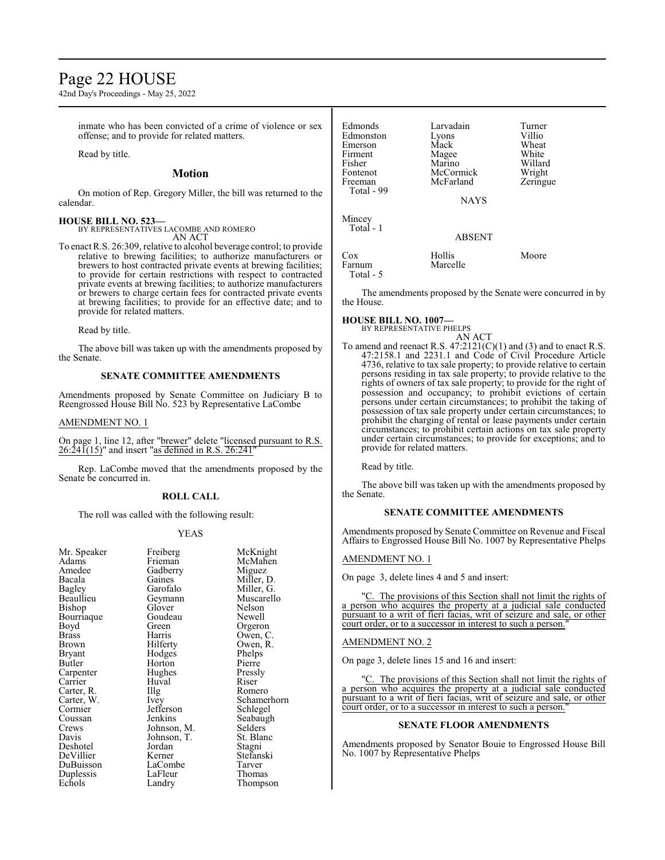## Page 22 HOUSE

42nd Day's Proceedings - May 25, 2022

inmate who has been convicted of a crime of violence or sex offense; and to provide for related matters.

Read by title.

#### **Motion**

On motion of Rep. Gregory Miller, the bill was returned to the calendar.

#### **HOUSE BILL NO. 523—**

BY REPRESENTATIVES LACOMBE AND ROMERO AN ACT

To enact R.S. 26:309, relative to alcohol beverage control; to provide relative to brewing facilities; to authorize manufacturers or brewers to host contracted private events at brewing facilities; to provide for certain restrictions with respect to contracted private events at brewing facilities; to authorize manufacturers or brewers to charge certain fees for contracted private events at brewing facilities; to provide for an effective date; and to provide for related matters.

Read by title.

The above bill was taken up with the amendments proposed by the Senate.

#### **SENATE COMMITTEE AMENDMENTS**

Amendments proposed by Senate Committee on Judiciary B to Reengrossed House Bill No. 523 by Representative LaCombe

#### AMENDMENT NO. 1

On page 1, line 12, after "brewer" delete "licensed pursuant to R.S.  $26:24\tilde{1}(15)$ " and insert "as defined in R.S.  $26:241$ "

Rep. LaCombe moved that the amendments proposed by the Senate be concurred in.

#### **ROLL CALL**

The roll was called with the following result:

#### YEAS

| Mr. Speaker | Freiberg    | McKnight   |
|-------------|-------------|------------|
| Adams       | Frieman     | McMahen    |
| Amedee      | Gadberry    | Miguez     |
| Bacala      | Gaines      | Miller, D. |
| Bagley      | Garofalo    | Miller, G. |
| Beaullieu   | Geymann     | Muscarello |
| Bishop      | Glover      | Nelson     |
| Bourriaque  | Goudeau     | Newell     |
| Boyd        | Green       | Orgeron    |
| Brass       | Harris      | Owen, C.   |
| Brown       | Hilferty    | Owen, R.   |
| Bryant      | Hodges      | Phelps     |
| Butler      | Horton      | Pierre     |
| Carpenter   | Hughes      | Pressly    |
| Carrier     | Huval       | Riser      |
| Carter, R.  | Illg        | Romero     |
| Carter, W.  | Ivey        | Schamerho  |
| Cormier     | Jefferson   | Schlegel   |
| Coussan     | Jenkins     | Seabaugh   |
| Crews       | Johnson, M. | Selders    |
| Davis       | Johnson, T. | St. Blanc  |
| Deshotel    | Jordan      | Stagni     |
| DeVillier   | Kerner      | Stefanski  |
| DuBuisson   | LaCombe     | Tarver     |
| Duplessis   | LaFleur     | Thomas     |
| Echols      | Landry      | Thompson   |
|             |             |            |

lcKnight lcMahen<br>liguez liller, D. liller. G. Iuscarello<br>elson rgeron wen, C wen, R.<br>helps chamerhorn chlegel eabaugh<br>elders t. Blanc tefanski<br>arver

| Edmonds<br>Edmonston<br>Emerson<br>Firment<br>Fisher<br>Fontenot<br>Freeman<br>Total - 99 | Larvadain<br>Lyons<br>Mack<br>Magee<br>Marino<br>McCormick<br>McFarland<br><b>NAYS</b> | Turner<br>Villio<br>Wheat<br>White<br>Willard<br>Wright<br>Zeringue |
|-------------------------------------------------------------------------------------------|----------------------------------------------------------------------------------------|---------------------------------------------------------------------|
| Mincey<br>Total - 1                                                                       | <b>ABSENT</b>                                                                          |                                                                     |
| Cox<br>Farnum<br>Total - 5                                                                | Hollis<br>Marcelle                                                                     | Moore                                                               |

The amendments proposed by the Senate were concurred in by the House.

#### **HOUSE BILL NO. 1007—**

BY REPRESENTATIVE PHELPS AN ACT

To amend and reenact R.S.  $47:2121(C)(1)$  and (3) and to enact R.S. 47:2158.1 and 2231.1 and Code of Civil Procedure Article 4736, relative to tax sale property; to provide relative to certain persons residing in tax sale property; to provide relative to the rights of owners of tax sale property; to provide for the right of possession and occupancy; to prohibit evictions of certain persons under certain circumstances; to prohibit the taking of possession of tax sale property under certain circumstances; to prohibit the charging of rental or lease payments under certain circumstances; to prohibit certain actions on tax sale property under certain circumstances; to provide for exceptions; and to provide for related matters.

Read by title.

The above bill was taken up with the amendments proposed by the Senate.

#### **SENATE COMMITTEE AMENDMENTS**

Amendments proposed by Senate Committee on Revenue and Fiscal Affairs to Engrossed House Bill No. 1007 by Representative Phelps

#### AMENDMENT NO. 1

On page 3, delete lines 4 and 5 and insert:

The provisions of this Section shall not limit the rights of a person who acquires the property at a judicial sale conducted pursuant to a writ of fieri facias, writ of seizure and sale, or other court order, or to a successor in interest to such a person.

#### AMENDMENT NO. 2

On page 3, delete lines 15 and 16 and insert:

"C. The provisions of this Section shall not limit the rights of a person who acquires the property at a judicial sale conducted pursuant to a writ of fieri facias, writ of seizure and sale, or other court order, or to a successor in interest to such a person.

#### **SENATE FLOOR AMENDMENTS**

Amendments proposed by Senator Bouie to Engrossed House Bill No. 1007 by Representative Phelps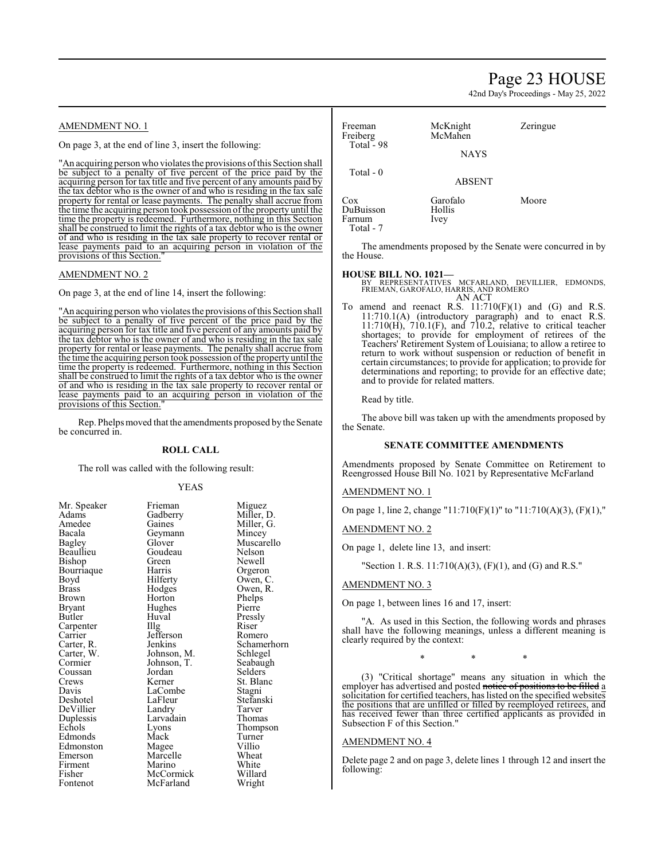## Page 23 HOUSE

42nd Day's Proceedings - May 25, 2022

#### AMENDMENT NO. 1

On page 3, at the end of line 3, insert the following:

"An acquiring person who violates the provisions of this Section shall be subject to a penalty of five percent of the price paid by the acquiring person for tax title and five percent of any amounts paid by the tax debtor who is the owner of and who is residing in the tax sale property for rental or lease payments. The penalty shall accrue from the time the acquiring person took possession ofthe property until the time the property is redeemed. Furthermore, nothing in this Section shall be construed to limit the rights of a tax debtor who is the owner of and who is residing in the tax sale property to recover rental or lease payments paid to an acquiring person in violation of the provisions of this Section."

#### AMENDMENT NO. 2

On page 3, at the end of line 14, insert the following:

"An acquiring person who violates the provisions ofthis Section shall be subject to a penalty of five percent of the price paid by the acquiring person for tax title and five percent of any amounts paid by the tax debtor who is the owner of and who is residing in the tax sale property for rental or lease payments. The penalty shall accrue from the time the acquiring person took possession ofthe property until the time the property is redeemed. Furthermore, nothing in this Section shall be construed to limit the rights of a tax debtor who is the owner of and who is residing in the tax sale property to recover rental or lease payments paid to an acquiring person in violation of the provisions of this Section."

Rep. Phelps moved that the amendments proposed by the Senate be concurred in.

#### **ROLL CALL**

The roll was called with the following result:

#### YEAS

| Mr. Speaker<br>Adams<br>Amedee<br>Bacala<br>Bagley<br>Beaullieu<br>Bishop<br>Bourriaque<br>Boyd<br>Brass<br>Brown<br>Bryant<br>Butler<br>Carpenter<br>Carrier<br>Carter, R.<br>Carter, W.<br>Cormier<br>Coussan<br>Crews<br>Davis<br>Deshotel<br>DeVillier<br>Duplessis<br>Echols<br>Edmonds | Frieman<br>Gadberry<br>Gaines<br>Geymann<br>Glover<br>Goudeau<br>Green<br>Harris<br>Hilferty<br>Hodges<br>Horton<br>Hughes<br>Huval<br>Illg<br>Jefferson<br>Jenkins<br>Johnson, M.<br>Johnson, T.<br>Jordan<br>Kerner<br>LaCombe<br>LaFleur<br>Landry<br>Larvadain<br>Lyons<br>Mack | Miguez<br>Miller, D.<br>Miller, G.<br>Mincey<br>Muscarello<br>Nelson<br>Newell<br>Orgeron<br>Owen, C.<br>Owen, R.<br>Phelps<br>Pierre<br>Pressly<br>Riser<br>Romero<br>Schamerho:<br>Schlegel<br>Seabaugh<br>Selders<br>St. Blanc<br>Stagni<br>Stefanski<br>Tarver<br>Thomas<br>Thompson<br>Turner |
|----------------------------------------------------------------------------------------------------------------------------------------------------------------------------------------------------------------------------------------------------------------------------------------------|-------------------------------------------------------------------------------------------------------------------------------------------------------------------------------------------------------------------------------------------------------------------------------------|----------------------------------------------------------------------------------------------------------------------------------------------------------------------------------------------------------------------------------------------------------------------------------------------------|
|                                                                                                                                                                                                                                                                                              |                                                                                                                                                                                                                                                                                     |                                                                                                                                                                                                                                                                                                    |
|                                                                                                                                                                                                                                                                                              |                                                                                                                                                                                                                                                                                     |                                                                                                                                                                                                                                                                                                    |
| Edmonston                                                                                                                                                                                                                                                                                    | Magee                                                                                                                                                                                                                                                                               | Villio                                                                                                                                                                                                                                                                                             |
| Emerson                                                                                                                                                                                                                                                                                      | Marcelle                                                                                                                                                                                                                                                                            | Wheat                                                                                                                                                                                                                                                                                              |
| Firment                                                                                                                                                                                                                                                                                      | Marino                                                                                                                                                                                                                                                                              | White                                                                                                                                                                                                                                                                                              |
| Fisher                                                                                                                                                                                                                                                                                       | McCormick                                                                                                                                                                                                                                                                           | Willard                                                                                                                                                                                                                                                                                            |
|                                                                                                                                                                                                                                                                                              |                                                                                                                                                                                                                                                                                     |                                                                                                                                                                                                                                                                                                    |
| Fontenot                                                                                                                                                                                                                                                                                     | McFarland                                                                                                                                                                                                                                                                           | Wright                                                                                                                                                                                                                                                                                             |
|                                                                                                                                                                                                                                                                                              |                                                                                                                                                                                                                                                                                     |                                                                                                                                                                                                                                                                                                    |

Romero Schamerhorn Schlegel Seabaugh Selders<sup>7</sup> St. Blanc Stagni Wright

| Freeman<br>Freiberg<br>Total - 98 | McKnight<br>McMahen<br><b>NAYS</b> | Zeringue |
|-----------------------------------|------------------------------------|----------|
| Total $-0$                        | <b>ABSENT</b>                      |          |
| Cox<br>DuBuisson<br>Farnum        | Garofalo<br>Hollis<br>Ivey         | Moore    |

The amendments proposed by the Senate were concurred in by the House.

#### **HOUSE BILL NO. 1021—**

Total - 7

BY REPRESENTATIVES MCFARLAND, DEVILLIER, EDMONDS, FRIEMAN, GAROFALO, HARRIS, AND ROMERO AN ACT

To amend and reenact R.S.  $11:710(F)(1)$  and  $(G)$  and R.S. 11:710.1(A) (introductory paragraph) and to enact R.S. 11:710(H), 710.1(F), and 710.2, relative to critical teacher shortages; to provide for employment of retirees of the Teachers' Retirement System of Louisiana; to allow a retiree to return to work without suspension or reduction of benefit in certain circumstances; to provide for application; to provide for determinations and reporting; to provide for an effective date; and to provide for related matters.

Read by title.

The above bill was taken up with the amendments proposed by the Senate.

#### **SENATE COMMITTEE AMENDMENTS**

Amendments proposed by Senate Committee on Retirement to Reengrossed House Bill No. 1021 by Representative McFarland

#### AMENDMENT NO. 1

On page 1, line 2, change "11:710(F)(1)" to "11:710(A)(3), (F)(1),"

#### AMENDMENT NO. 2

On page 1, delete line 13, and insert:

"Section 1. R.S. 11:710(A)(3), (F)(1), and (G) and R.S."

#### AMENDMENT NO. 3

On page 1, between lines 16 and 17, insert:

"A. As used in this Section, the following words and phrases shall have the following meanings, unless a different meaning is clearly required by the context:

\* \* \*

(3) "Critical shortage" means any situation in which the employer has advertised and posted notice of positions to be filled a solicitation for certified teachers, has listed on the specified websites the positions that are unfilled or filled by reemployed retirees, and has received fewer than three certified applicants as provided in Subsection F of this Section."

#### AMENDMENT NO. 4

Delete page 2 and on page 3, delete lines 1 through 12 and insert the following: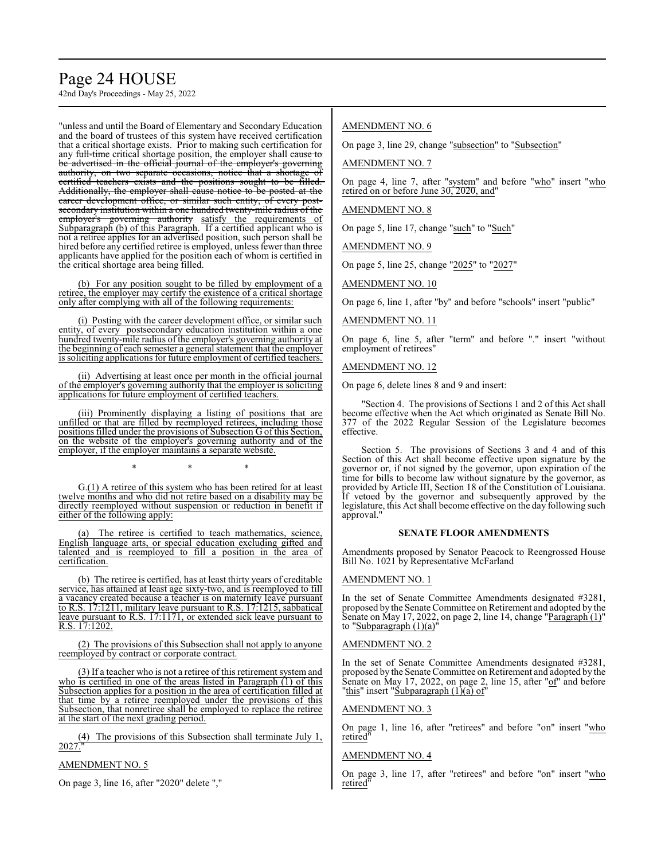# Page 24 HOUSE

42nd Day's Proceedings - May 25, 2022

"unless and until the Board of Elementary and Secondary Education and the board of trustees of this system have received certification that a critical shortage exists. Prior to making such certification for any full-time critical shortage position, the employer shall cause to be advertised in the official journal of the employer's governing authority, on two separate occasions, notice that a shortage of certified teachers exists and the positions sought to be filled. Additionally, the employer shall cause notice to be posted at the career development office, or similar such entity, of every postsecondary institution within a one hundred twenty-mile radius of the employer's governing authority satisfy the requirements of Subparagraph (b) of this Paragraph. If a certified applicant who is not a retiree applies for an advertised position, such person shall be hired before any certified retiree is employed, unless fewer than three applicants have applied for the position each of whom is certified in the critical shortage area being filled.

(b) For any position sought to be filled by employment of a retiree, the employer may certify the existence of a critical shortage only after complying with all of the following requirements:

(i) Posting with the career development office, or similar such entity, of every postsecondary education institution within a one hundred twenty-mile radius of the employer's governing authority at the beginning of each semester a general statement that the employer is soliciting applications for future employment of certified teachers.

(ii) Advertising at least once per month in the official journal of the employer's governing authority that the employer is soliciting applications for future employment of certified teachers.

(iii) Prominently displaying a listing of positions that are unfilled or that are filled by reemployed retirees, including those positions filled under the provisions of Subsection G of this Section, on the website of the employer's governing authority and of the employer, if the employer maintains a separate website.

G.(1) A retiree of this system who has been retired for at least twelve months and who did not retire based on a disability may be directly reemployed without suspension or reduction in benefit if either of the following apply:

\* \* \*

The retiree is certified to teach mathematics, science, English language arts, or special education excluding gifted and talented and is reemployed to fill a position in the area of certification.

(b) The retiree is certified, has at least thirty years of creditable service, has attained at least age sixty-two, and is reemployed to fill a vacancy created because a teacher is on maternity leave pursuant to R.S. 17:1211, military leave pursuant to R.S. 17:1215, sabbatical leave pursuant to R.S. 17:1171, or extended sick leave pursuant to R.S. 17:1202.

(2) The provisions of this Subsection shall not apply to anyone reemployed by contract or corporate contract.

(3) If a teacher who is not a retiree of this retirement system and who is certified in one of the areas listed in Paragraph (1) of this Subsection applies for a position in the area of certification filled at that time by a retiree reemployed under the provisions of this Subsection, that nonretiree shall be employed to replace the retiree at the start of the next grading period.

(4) The provisions of this Subsection shall terminate July 1,  $2027.$ 

#### AMENDMENT NO. 5

On page 3, line 16, after "2020" delete ","

#### AMENDMENT NO. 6

On page 3, line 29, change "subsection" to "Subsection"

AMENDMENT NO. 7

On page 4, line 7, after "system" and before "who" insert "who retired on or before June 30, 2020, and"

#### AMENDMENT NO. 8

On page 5, line 17, change "such" to "Such"

AMENDMENT NO. 9

On page 5, line 25, change "2025" to "2027"

AMENDMENT NO. 10

On page 6, line 1, after "by" and before "schools" insert "public"

#### AMENDMENT NO. 11

On page 6, line 5, after "term" and before "." insert "without employment of retirees"

#### AMENDMENT NO. 12

On page 6, delete lines 8 and 9 and insert:

"Section 4. The provisions of Sections 1 and 2 of this Act shall become effective when the Act which originated as Senate Bill No. 377 of the 2022 Regular Session of the Legislature becomes effective.

Section 5. The provisions of Sections 3 and 4 and of this Section of this Act shall become effective upon signature by the governor or, if not signed by the governor, upon expiration of the time for bills to become law without signature by the governor, as provided by Article III, Section 18 of the Constitution of Louisiana. If vetoed by the governor and subsequently approved by the legislature, this Act shall become effective on the day following such approval."

#### **SENATE FLOOR AMENDMENTS**

Amendments proposed by Senator Peacock to Reengrossed House Bill No. 1021 by Representative McFarland

#### AMENDMENT NO. 1

In the set of Senate Committee Amendments designated #3281, proposed by the Senate Committee on Retirement and adopted by the Senate on May 17, 2022, on page 2, line 14, change "Paragraph (1)" to "Subparagraph  $(1)(a)$ "

#### AMENDMENT NO. 2

In the set of Senate Committee Amendments designated #3281, proposed by the Senate Committee on Retirement and adopted by the Senate on May 17, 2022, on page 2, line 15, after "of" and before "this" insert "Subparagraph (1)(a) of"

#### AMENDMENT NO. 3

On page 1, line 16, after "retirees" and before "on" insert "who retired"

#### AMENDMENT NO. 4

On page 3, line 17, after "retirees" and before "on" insert "who retired"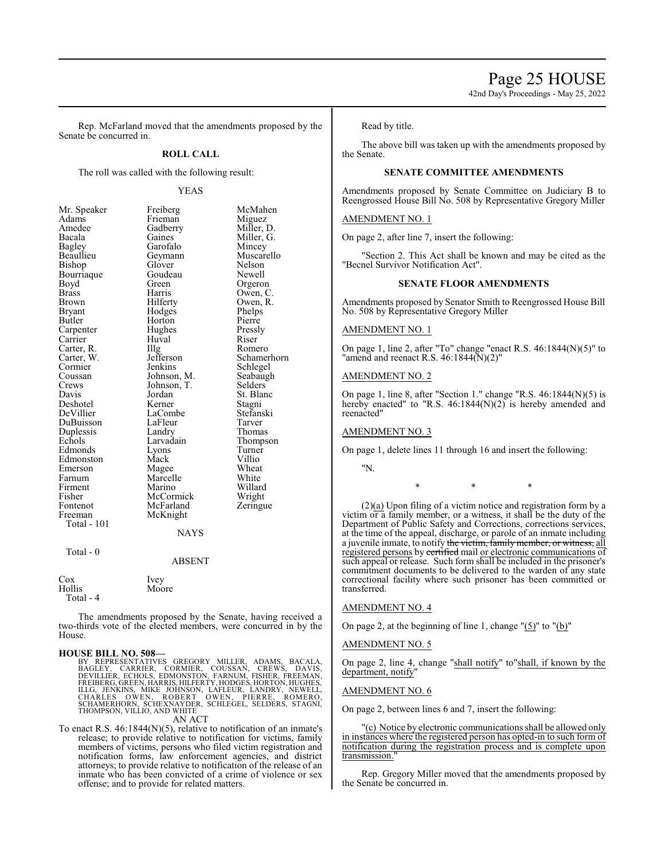42nd Day's Proceedings - May 25, 2022

Rep. McFarland moved that the amendments proposed by the Senate be concurred in.

#### **ROLL CALL**

The roll was called with the following result:

#### YEAS

| Mr. Speaker        | Freiberg      | McMahen     |
|--------------------|---------------|-------------|
| Adams              | Frieman       | Miguez      |
| Amedee             | Gadberry      | Miller, D.  |
| Bacala             | Gaines        | Miller, G.  |
| Bagley             | Garofalo      | Mincey      |
| Beaullieu          | Geymann       | Muscarello  |
| Bishop             | Glover        | Nelson      |
| Bourriaque         | Goudeau       | Newell      |
| Boyd               | Green         | Orgeron     |
| <b>Brass</b>       | Harris        | Owen, C.    |
| Brown              | Hilferty      | Owen, R.    |
| Bryant             | Hodges        | Phelps      |
| Butler             | Horton        | Pierre      |
| Carpenter          | Hughes        | Pressly     |
| Carrier            | Huval         | Riser       |
| Carter, R.         | Illg          | Romero      |
| Carter, W.         | Jefferson     | Schamerhorn |
| Cormier            | Jenkins       | Schlegel    |
| Coussan            | Johnson, M.   | Seabaugh    |
| Crews              | Johnson, T.   | Selders     |
| Davis              | Jordan        | St. Blanc   |
| Deshotel           | Kerner        | Stagni      |
| DeVillier          | LaCombe       | Stefanski   |
| DuBuisson          | LaFleur       | Tarver      |
| Duplessis          | Landry        | Thomas      |
| Echols             | Larvadain     | Thompson    |
| Edmonds            | Lyons         | Turner      |
| Edmonston          | Mack          | Villio      |
| Emerson            | Magee         | Wheat       |
| Farnum             | Marcelle      | White       |
| Firment            | Marino        | Willard     |
| Fisher             | McCormick     | Wright      |
| Fontenot           | McFarland     | Zeringue    |
| Freeman            | McKnight      |             |
| <b>Total - 101</b> |               |             |
|                    | <b>NAYS</b>   |             |
| Total - $0$        |               |             |
|                    | <b>ABSENT</b> |             |
| $\cos$             | Ivey          |             |

Hollis Moore Total - 4

The amendments proposed by the Senate, having received a two-thirds vote of the elected members, were concurred in by the House.

#### **HOUSE BILL NO. 508—**

BY REPRESENTATIVES GREGORY MILLER, ADAMS, BACALA,<br>BAGLEY, CARRIER, CORMIER, COUSSAN, CREWS, DAVIS,<br>DEVILLIER, ECHOLS, EDMONSTON, FARNUM, FISHER, FREEMAN,<br>FREIBERG,GREEN,HARRIS,HILFERTY,HODGES,HORTON,HUGHES,<br>ILLG, JENKINS,

AN ACT

To enact R.S. 46:1844(N)(5), relative to notification of an inmate's release; to provide relative to notification for victims, family members of victims, persons who filed victim registration and notification forms, law enforcement agencies, and district attorneys; to provide relative to notification of the release of an inmate who has been convicted of a crime of violence or sex offense; and to provide for related matters.

Read by title.

The above bill was taken up with the amendments proposed by the Senate.

#### **SENATE COMMITTEE AMENDMENTS**

Amendments proposed by Senate Committee on Judiciary B to Reengrossed House Bill No. 508 by Representative Gregory Miller

#### AMENDMENT NO. 1

On page 2, after line 7, insert the following:

"Section 2. This Act shall be known and may be cited as the "Becnel Survivor Notification Act".

#### **SENATE FLOOR AMENDMENTS**

Amendments proposed by Senator Smith to Reengrossed House Bill No. 508 by Representative Gregory Miller

#### AMENDMENT NO. 1

On page 1, line 2, after "To" change "enact R.S. 46:1844(N)(5)" to "amend and reenact R.S.  $46:1844(N)(2)$ "

#### AMENDMENT NO. 2

On page 1, line 8, after "Section 1." change "R.S. 46:1844(N)(5) is hereby enacted" to "R.S. 46:1844(N)(2) is hereby amended and reenacted"

#### AMENDMENT NO. 3

On page 1, delete lines 11 through 16 and insert the following:

"N.

\* \* \*

 $(2)(a)$  Upon filing of a victim notice and registration form by a victim or a family member, or a witness, it shall be the duty of the Department of Public Safety and Corrections, corrections services, at the time of the appeal, discharge, or parole of an inmate including a juvenile inmate, to notify <del>the victim, family member, or witness,</del> all registered persons by certified mail or electronic communications of such appeal or release. Such form shall be included in the prisoner's commitment documents to be delivered to the warden of any state correctional facility where such prisoner has been committed or transferred.

#### AMENDMENT NO. 4

On page 2, at the beginning of line 1, change  $(5)$ " to  $(6)$ "

#### AMENDMENT NO. 5

On page 2, line 4, change "shall notify" to"shall, if known by the department, notify

#### AMENDMENT NO. 6

On page 2, between lines 6 and 7, insert the following:

"(c) Notice by electronic communications shall be allowed only in instances where the registered person has opted-in to such form of notification during the registration process and is complete upon transmission."

Rep. Gregory Miller moved that the amendments proposed by the Senate be concurred in.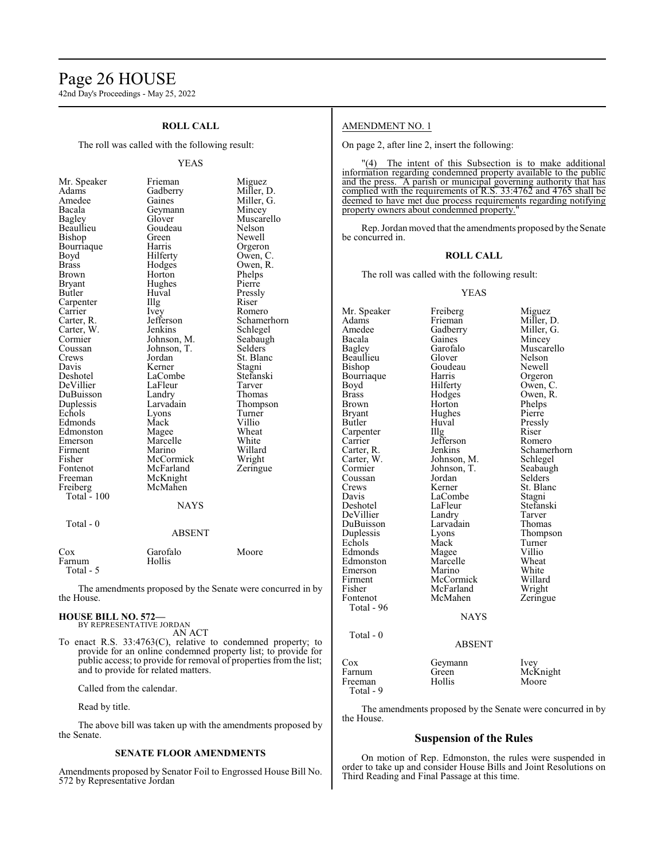## Page 26 HOUSE

42nd Day's Proceedings - May 25, 2022

#### **ROLL CALL**

The roll was called with the following result:

#### YEAS

| Mr. Speaker   | Frieman       | Miguez      |
|---------------|---------------|-------------|
| Adams         | Gadberry      | Miller, D.  |
| Amedee        | Gaines        | Miller, G.  |
| Bacala        | Geymann       | Mincey      |
| Bagley        | Glover        | Muscarello  |
| Beaullieu     | Goudeau       | Nelson      |
| Bishop        | Green         | Newell      |
| Bourriaque    | Harris        | Orgeron     |
| Boyd          | Hilferty      | Owen, C.    |
| <b>Brass</b>  | Hodges        | Owen, R.    |
| <b>Brown</b>  | Horton        | Phelps      |
| <b>Bryant</b> | Hughes        | Pierre      |
| Butler        | Huval         | Pressly     |
| Carpenter     | Illg          | Riser       |
| Carrier       | Ivey          | Romero      |
| Carter, R.    | Jefferson     | Schamerhorn |
| Carter, W.    | Jenkins       | Schlegel    |
| Cormier       | Johnson, M.   | Seabaugh    |
| Coussan       | Johnson, T.   | Selders     |
| Crews         | Jordan        | St. Blanc   |
| Davis         | Kerner        | Stagni      |
| Deshotel      | LaCombe       | Stefanski   |
| DeVillier     | LaFleur       | Tarver      |
| DuBuisson     | Landry        | Thomas      |
| Duplessis     | Larvadain     | Thompson    |
| Echols        | Lyons         | Turner      |
| Edmonds       | Mack          | Villio      |
| Edmonston     | Magee         | Wheat       |
| Emerson       | Marcelle      | White       |
| Firment       | Marino        | Willard     |
| Fisher        | McCormick     | Wright      |
| Fontenot      | McFarland     | Zeringue    |
| Freeman       | McKnight      |             |
| Freiberg      | McMahen       |             |
| Total - 100   |               |             |
|               | <b>NAYS</b>   |             |
| Total - 0     |               |             |
|               | <b>ABSENT</b> |             |
| Cox           | Garofalo      | Moore       |
| Farnum        | Hollis        |             |

The amendments proposed by the Senate were concurred in by the House.

#### **HOUSE BILL NO. 572—** BY REPRESENTATIVE JORDAN

Total - 5

AN ACT

To enact R.S. 33:4763(C), relative to condemned property; to provide for an online condemned property list; to provide for public access; to provide for removal of properties from the list; and to provide for related matters.

Called from the calendar.

Read by title.

The above bill was taken up with the amendments proposed by the Senate.

#### **SENATE FLOOR AMENDMENTS**

Amendments proposed by Senator Foil to Engrossed House Bill No. 572 by Representative Jordan

#### AMENDMENT NO. 1

On page 2, after line 2, insert the following:

"(4) The intent of this Subsection is to make additional information regarding condemned property available to the public and the press. A parish or municipal governing authority that has complied with the requirements of R.S. 33:4762 and 4765 shall be deemed to have met due process requirements regarding notifying property owners about condemned property.

Rep. Jordan moved that the amendments proposed by the Senate be concurred in.

#### **ROLL CALL**

The roll was called with the following result:

YEAS

Mr. Speaker Freiberg Miguez<br>Adams Frieman Miller, 1 Adams Frieman Miller, D.<br>Amedee Gadberry Miller, G. Amedee Gadberry Miller, G.<br>Bacala Gaines Mincey Bacala Gaines Mincey<br>Bagley Garofalo Muscar Beaullieu Glover Nelson<br>Bishop Goudeau Newell Bourriaque Harris<br>Boyd Hilferty Boyd Hilferty Owen, C.<br>Brass Hodges Owen, R. Brass Hodges Owen, R.<br>Brown Horton Phelps Brown Horton Phelps<br>Bryant Hughes Pierre Bryant Hughes<br>Butler Huval Carpenter IIIg Riser<br>Carrier Jefferson Romero Carrier Jefferson<br>Carter, R. Jenkins Carter, R. Jenkins Schamerhorn<br>Carter, W. Johnson, M. Schlegel Carter, W. Johnson, M. Cormier Johnson, T. Coussan Jordan<br>Crews Kerner Crews Kerner St. Blanc<br>
Davis LaCombe Stagni Davis LaCombe Stagni<br>
Deshotel LaFleur Stefanski LaFleur Stefans<br>Landry Tarver DeVillier Landry Tarver<br>
DuBuisson Larvadain Thomas DuBuisson Larvadain Thomas Duplessis Lyons Thomp<br>
Echols Mack Turner Echols Mack Turner Edmonds Magee Villio<br>Edmonston Marcelle Wheat Edmonston Marcelle Wheat<br>
Emerson Marino White Emerson Marino White<br>
Firment McCormick Willard Firment McCormick Willard<br>Fisher McFarland Wright Fisher McFarland<br>Fontenot McMahen Total - 96 NAYS Total - 0 ABSENT

Garofalo Muscarello<br>Glover Nelson Goudeau Newell<br>Harris Orgeron Huval Pressly<br>Illg Riser Johnson, T. Seabaugh<br>Jordan Selders Zeringue

| Cox       | Geymann | Ivev     |
|-----------|---------|----------|
| Farnum    | Green   | McKnight |
| Freeman   | Hollis  | Moore    |
| Total - 9 |         |          |

The amendments proposed by the Senate were concurred in by the House.

#### **Suspension of the Rules**

On motion of Rep. Edmonston, the rules were suspended in order to take up and consider House Bills and Joint Resolutions on Third Reading and Final Passage at this time.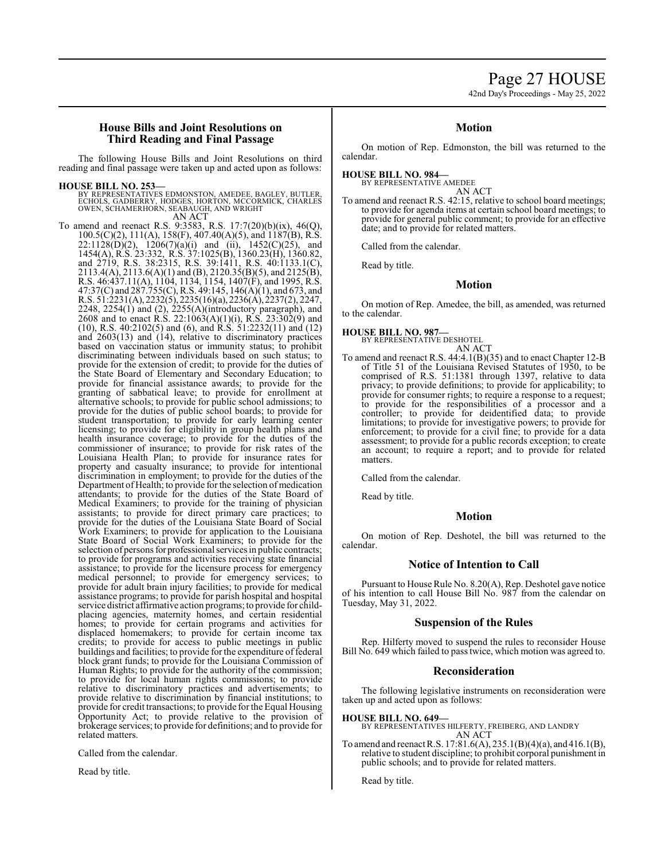## Page 27 HOUSE

42nd Day's Proceedings - May 25, 2022

#### **House Bills and Joint Resolutions on Third Reading and Final Passage**

The following House Bills and Joint Resolutions on third reading and final passage were taken up and acted upon as follows:

#### **HOUSE BILL NO. 253—**

BY REPRESENTATIVES EDMONSTON, AMEDEE, BAGLEY, BUTLER,<br>ECHOLS, GADBERRY, HODGES, HORTON, MCCORMICK, CHARLES<br>OWEN, SCHAMERHORN, SEABAUGH, AND WRIGHT AN ACT

To amend and reenact R.S. 9:3583, R.S. 17:7(20)(b)(ix), 46(Q), 100.5(C)(2), 111(A), 158(F), 407.40(A)(5), and 1187(B), R.S.  $22:1128(D)(2)$ ,  $1206(7)(a)(i)$  and (ii),  $1452(C)(25)$ , and 1454(A), R.S. 23:332, R.S. 37:1025(B), 1360.23(H), 1360.82, and 2719, R.S. 38:2315, R.S. 39:1411, R.S. 40:1133.1(C), 2113.4(A), 2113.6(A)(1) and (B), 2120.35(B)(5), and 2125(B), R.S. 46:437.11(A), 1104, 1134, 1154, 1407(F), and 1995, R.S. 47:37(C) and 287.755(C), R.S. 49:145, 146(A)(1), and 673, and R.S. 51:2231(A), 2232(5), 2235(16)(a), 2236(A), 2237(2), 2247, 2248, 2254(1) and (2), 2255(A)(introductory paragraph), and 2608 and to enact R.S. 22:1063(A)(1)(i), R.S. 23:302(9) and (10), R.S. 40:2102(5) and (6), and R.S. 51:2232(11) and (12) and 2603(13) and (14), relative to discriminatory practices based on vaccination status or immunity status; to prohibit discriminating between individuals based on such status; to provide for the extension of credit; to provide for the duties of the State Board of Elementary and Secondary Education; to provide for financial assistance awards; to provide for the granting of sabbatical leave; to provide for enrollment at alternative schools; to provide for public school admissions; to provide for the duties of public school boards; to provide for student transportation; to provide for early learning center licensing; to provide for eligibility in group health plans and health insurance coverage; to provide for the duties of the commissioner of insurance; to provide for risk rates of the Louisiana Health Plan; to provide for insurance rates for property and casualty insurance; to provide for intentional discrimination in employment; to provide for the duties of the Department of Health; to provide for the selection of medication attendants; to provide for the duties of the State Board of Medical Examiners; to provide for the training of physician assistants; to provide for direct primary care practices; to provide for the duties of the Louisiana State Board of Social Work Examiners; to provide for application to the Louisiana State Board of Social Work Examiners; to provide for the selection of persons for professional services in public contracts; to provide for programs and activities receiving state financial assistance; to provide for the licensure process for emergency medical personnel; to provide for emergency services; to provide for adult brain injury facilities; to provide for medical assistance programs; to provide for parish hospital and hospital service district affirmative action programs; to provide for childplacing agencies, maternity homes, and certain residential homes; to provide for certain programs and activities for displaced homemakers; to provide for certain income tax credits; to provide for access to public meetings in public buildings and facilities; to provide for the expenditure of federal block grant funds; to provide for the Louisiana Commission of Human Rights; to provide for the authority of the commission; to provide for local human rights commissions; to provide relative to discriminatory practices and advertisements; to provide relative to discrimination by financial institutions; to provide for credit transactions; to provide for the Equal Housing Opportunity Act; to provide relative to the provision of brokerage services; to provide for definitions; and to provide for related matters.

Called from the calendar.

Read by title.

#### **Motion**

On motion of Rep. Edmonston, the bill was returned to the calendar.

#### **HOUSE BILL NO. 984—**

BY REPRESENTATIVE AMEDEE AN ACT

To amend and reenact R.S. 42:15, relative to school board meetings; to provide for agenda items at certain school board meetings; to provide for general public comment; to provide for an effective date; and to provide for related matters.

Called from the calendar.

Read by title.

#### **Motion**

On motion of Rep. Amedee, the bill, as amended, was returned to the calendar.

**HOUSE BILL NO. 987—**

BY REPRESENTATIVE DESHOTEL AN ACT

To amend and reenact R.S. 44:4.1(B)(35) and to enact Chapter 12-B of Title 51 of the Louisiana Revised Statutes of 1950, to be comprised of R.S. 51:1381 through 1397, relative to data privacy; to provide definitions; to provide for applicability; to provide for consumer rights; to require a response to a request; to provide for the responsibilities of a processor and a controller; to provide for deidentified data; to provide limitations; to provide for investigative powers; to provide for enforcement; to provide for a civil fine; to provide for a data assessment; to provide for a public records exception; to create an account; to require a report; and to provide for related matters.

Called from the calendar.

Read by title.

#### **Motion**

On motion of Rep. Deshotel, the bill was returned to the calendar.

#### **Notice of Intention to Call**

Pursuant to House Rule No. 8.20(A), Rep. Deshotel gave notice of his intention to call House Bill No. 987 from the calendar on Tuesday, May 31, 2022.

#### **Suspension of the Rules**

Rep. Hilferty moved to suspend the rules to reconsider House Bill No. 649 which failed to pass twice, which motion was agreed to.

#### **Reconsideration**

The following legislative instruments on reconsideration were taken up and acted upon as follows:

**HOUSE BILL NO. 649—**

- BY REPRESENTATIVES HILFERTY, FREIBERG, AND LANDRY AN ACT
- To amend and reenact R.S. 17:81.6(A), 235.1(B)(4)(a), and 416.1(B), relative to student discipline; to prohibit corporal punishment in public schools; and to provide for related matters.

Read by title.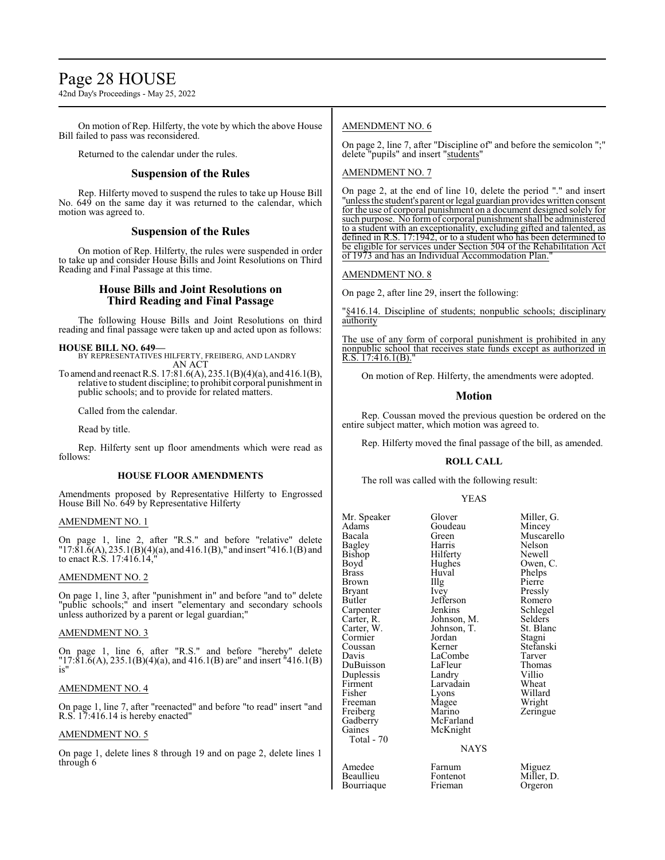## Page 28 HOUSE

42nd Day's Proceedings - May 25, 2022

On motion of Rep. Hilferty, the vote by which the above House Bill failed to pass was reconsidered.

Returned to the calendar under the rules.

#### **Suspension of the Rules**

Rep. Hilferty moved to suspend the rules to take up House Bill No. 649 on the same day it was returned to the calendar, which motion was agreed to.

#### **Suspension of the Rules**

On motion of Rep. Hilferty, the rules were suspended in order to take up and consider House Bills and Joint Resolutions on Third Reading and Final Passage at this time.

#### **House Bills and Joint Resolutions on Third Reading and Final Passage**

The following House Bills and Joint Resolutions on third reading and final passage were taken up and acted upon as follows:

#### **HOUSE BILL NO. 649—**

BY REPRESENTATIVES HILFERTY, FREIBERG, AND LANDRY AN ACT

To amend and reenact R.S. 17:81.6(A), 235.1(B)(4)(a), and 416.1(B), relative to student discipline; to prohibit corporal punishment in public schools; and to provide for related matters.

Called from the calendar.

Read by title.

Rep. Hilferty sent up floor amendments which were read as follows:

#### **HOUSE FLOOR AMENDMENTS**

Amendments proposed by Representative Hilferty to Engrossed House Bill No. 649 by Representative Hilferty

#### AMENDMENT NO. 1

On page 1, line 2, after "R.S." and before "relative" delete  $17:81.\bar{6}(A), 235.1(B)(4)(a),$  and  $416.1(B),$ " and insert "416.1(B) and to enact R.S. 17:416.14,"

#### AMENDMENT NO. 2

On page 1, line 3, after "punishment in" and before "and to" delete "public schools;" and insert "elementary and secondary schools unless authorized by a parent or legal guardian;"

#### AMENDMENT NO. 3

On page 1, line 6, after "R.S." and before "hereby" delete "17:81.6(A), 235.1(B)(4)(a), and 416.1(B) are" and insert "416.1(B) is"

#### AMENDMENT NO. 4

On page 1, line 7, after "reenacted" and before "to read" insert "and R.S. 17:416.14 is hereby enacted"

#### AMENDMENT NO. 5

On page 1, delete lines 8 through 19 and on page 2, delete lines 1 through 6

#### AMENDMENT NO. 6

On page 2, line 7, after "Discipline of" and before the semicolon ";" delete "pupils" and insert "students"

AMENDMENT NO. 7

On page 2, at the end of line 10, delete the period "." and insert "unless the student's parent or legal guardian provides written consent for the use of corporal punishment on a document designed solely for such purpose. No form of corporal punishment shall be administered to a student with an exceptionality, excluding gifted and talented, as defined in R.S. 17:1942, or to a student who has been determined to be eligible for services under Section 504 of the Rehabilitation Act of 1973 and has an Individual Accommodation Plan.

#### AMENDMENT NO. 8

On page 2, after line 29, insert the following:

"§416.14. Discipline of students; nonpublic schools; disciplinary authority

The use of any form of corporal punishment is prohibited in any nonpublic school that receives state funds except as authorized in R.S.  $17:416.1(B)$ .

On motion of Rep. Hilferty, the amendments were adopted.

#### **Motion**

Rep. Coussan moved the previous question be ordered on the entire subject matter, which motion was agreed to.

Rep. Hilferty moved the final passage of the bill, as amended.

#### **ROLL CALL**

The roll was called with the following result:

#### YEAS

| Mr. Speaker   | Glover      | Miller, G. |
|---------------|-------------|------------|
| Adams         | Goudeau     | Mincey     |
| Bacala        | Green       | Muscarello |
| <b>Bagley</b> | Harris      | Nelson     |
| Bishop        | Hilferty    | Newell     |
| Boyd          | Hughes      | Owen, C.   |
| Brass         | Huval       | Phelps     |
| Brown         | Illg        | Pierre     |
| Bryant        | Ivey        | Pressly    |
| Butler        | Jefferson   | Romero     |
| Carpenter     | Jenkins     | Schlegel   |
| Carter, R.    | Johnson, M. | Selders    |
| Carter, W.    | Johnson, T. | St. Blanc  |
| Cormier       | Jordan      | Stagni     |
| Coussan       | Kerner      | Stefanski  |
| Davis         | LaCombe     | Tarver     |
| DuBuisson     | LaFleur     | Thomas     |
| Duplessis     | Landry      | Villio     |
| Firment       | Larvadain   | Wheat      |
| Fisher        | Lyons       | Willard    |
| Freeman       | Magee       | Wright     |
| Freiberg      | Marino      | Zeringue   |
| Gadberry      | McFarland   |            |
| Gaines        | McKnight    |            |
| Total - 70    |             |            |
|               | NAYS        |            |
| Amedee        | Farnum      | Miguez     |
| Beaullieu     | Fontenot    | Miller. D. |

**Bourriaque** 

m Miguez<br>http://www.mot Fontenot Miller, D.<br>Frieman Orgeron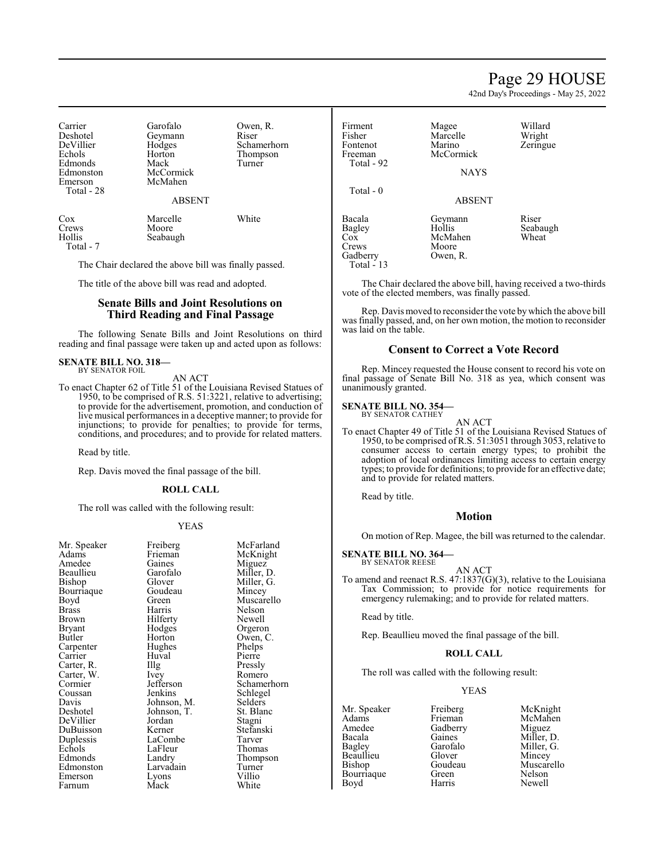## Page 29 HOUSE

42nd Day's Proceedings - May 25, 2022

Willard Wright Zeringue

| Carrier    | Garofalo      | Owen, R.    |
|------------|---------------|-------------|
| Deshotel   | Geymann       | Riser       |
| DeVillier  | Hodges        | Schamerhorn |
| Echols     | Horton        | Thompson    |
| Edmonds    | Mack          | Turner      |
| Edmonston  | McCormick     |             |
| Emerson    | McMahen       |             |
| Total - 28 |               |             |
|            | <b>ABSENT</b> |             |
| Cox        | Marcelle      | White       |
| Crews      | Moore         |             |
| Hollis     | Seabaugh      |             |

Total - 7

The Chair declared the above bill was finally passed.

The title of the above bill was read and adopted.

#### **Senate Bills and Joint Resolutions on Third Reading and Final Passage**

The following Senate Bills and Joint Resolutions on third reading and final passage were taken up and acted upon as follows:

## **SENATE BILL NO. 318—** BY SENATOR FOIL

AN ACT

To enact Chapter 62 of Title 51 of the Louisiana Revised Statues of 1950, to be comprised of R.S. 51:3221, relative to advertising; to provide for the advertisement, promotion, and conduction of live musical performances in a deceptive manner; to provide for injunctions; to provide for penalties; to provide for terms, conditions, and procedures; and to provide for related matters.

Read by title.

Rep. Davis moved the final passage of the bill.

#### **ROLL CALL**

The roll was called with the following result:

#### YEAS

| Mr. Speaker<br>Adams | Freiberg<br>Frieman | McFa<br>McKr |
|----------------------|---------------------|--------------|
| Amedee               | Gaines              | Migue        |
| Beaullieu            | Garofalo            | Miller       |
| Bishop               | Glover              | Miller       |
| Bourriaque           | Goudeau             | Mince        |
| Boyd                 | Green               | Musca        |
| <b>Brass</b>         | Harris              | Nelso        |
| Brown                | Hilferty            | Newe         |
| Bryant               | Hodges              | Orger        |
| Butler               | Horton              | Owen         |
| Carpenter            | Hughes              | Phelp:       |
| Carrier              | Huval               | Pierre       |
| Carter, R.           | Illg                | Pressl       |
| Carter, W.           | Ivey                | Rome         |
| Cormier              | Jefferson           | Schan        |
| Coussan              | Jenkins             | Schleg       |
| Davis                | Johnson, M.         | Seldei       |
| Deshotel             | Johnson, T.         | St. Bla      |
| DeVillier            | Jordan              | Stagn        |
| DuBuisson            | Kerner              | Stefar       |
| Duplessis            | LaCombe             | Tarve        |
| Echols               | LaFleur             | Thom         |
| Edmonds              | Landry              | Thom         |
| Edmonston            | Larvadain           | Turne        |
| Emerson              | Lyons               | Villio       |
| Farnum               | Mack                | White        |
|                      |                     |              |

McFarland McKnight Miguez Miller, D. Miller, G. Mincey Muscarello Nelson Newell Orgeron Owen, C. Phelps<br>Pierre Pressly Romero Schamerhorn Schlegel Selders St. Blanc Stagni Stefanski Tarver Thomas Thompson Turner<br>Villio White

| Firment<br>Fisher<br>Fontenot<br>Freeman<br>Total - 92     | Magee<br>Marcelle<br>Marino<br>McCormick          | Willa<br>Wrig<br>Zerin |
|------------------------------------------------------------|---------------------------------------------------|------------------------|
|                                                            | <b>NAYS</b>                                       |                        |
| Total - 0                                                  | <b>ABSENT</b>                                     |                        |
| Bacala<br>Bagley<br>Cox<br>Crews<br>Gadberry<br>Total - 13 | Geymann<br>Hollis<br>McMahen<br>Moore<br>Owen, R. | Riser<br>Seaba<br>Whea |

Seabaugh Wheat

The Chair declared the above bill, having received a two-thirds vote of the elected members, was finally passed.

Rep. Davis moved to reconsider the vote bywhich the above bill was finally passed, and, on her own motion, the motion to reconsider was laid on the table.

#### **Consent to Correct a Vote Record**

Rep. Mincey requested the House consent to record his vote on final passage of Senate Bill No. 318 as yea, which consent was unanimously granted.

#### **SENATE BILL NO. 354—**

BY SENATOR CATHEY

AN ACT To enact Chapter 49 of Title 51 of the Louisiana Revised Statues of 1950, to be comprised ofR.S. 51:3051 through 3053, relative to consumer access to certain energy types; to prohibit the adoption of local ordinances limiting access to certain energy types; to provide for definitions; to provide for an effective date; and to provide for related matters.

Read by title.

#### **Motion**

On motion of Rep. Magee, the bill was returned to the calendar.

**SENATE BILL NO. 364—** BY SENATOR REESE

AN ACT

To amend and reenact R.S. 47:1837(G)(3), relative to the Louisiana Tax Commission; to provide for notice requirements for emergency rulemaking; and to provide for related matters.

Read by title.

Rep. Beaullieu moved the final passage of the bill.

#### **ROLL CALL**

The roll was called with the following result:

#### YEAS

Amedee Gadberry<br>Bacala Gaines Bacala Gaines Miller, D.<br>Bagley Garofalo Miller, G. Beaullieu Glover<br>Bishop Goudeau Bourriaque Green Nelson<br>Bovd Harris Newell Boyd

Mr. Speaker Freiberg McKnight<br>
Adams Frieman McMahen Adams Frieman McMahen<br>Amedee Gadberry Miguez Garofalo Miller, G.<br>Glover Mincey Goudeau Muscarello<br>Green Nelson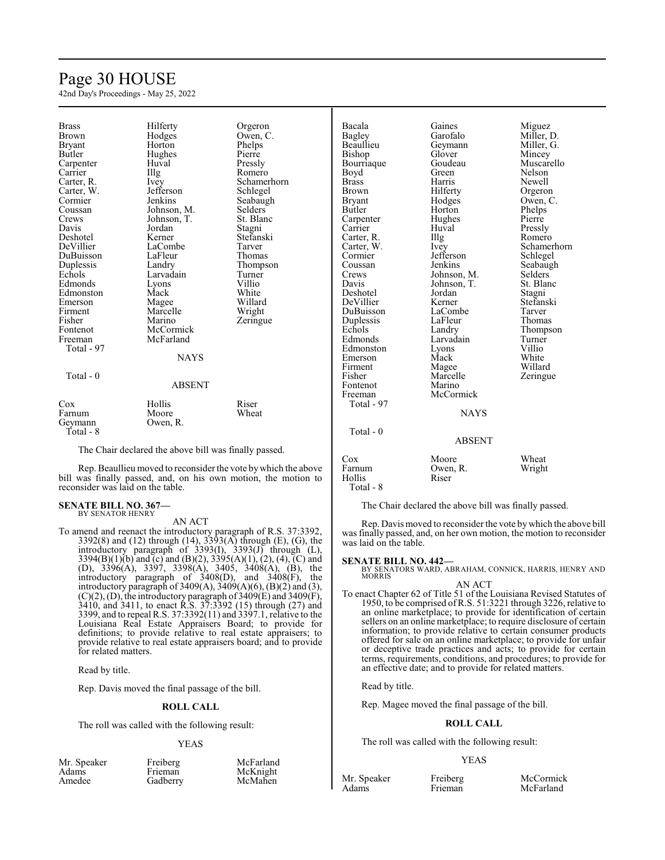## Page 30 HOUSE

42nd Day's Proceedings - May 25, 2022

| <b>Brass</b>  | Hilferty                                              | Orgeron        | Bacala        | Gaines        | Miguez      |
|---------------|-------------------------------------------------------|----------------|---------------|---------------|-------------|
| <b>Brown</b>  | Hodges                                                | Owen, C.       | Bagley        | Garofalo      | Miller, D.  |
| <b>Bryant</b> | Horton                                                | Phelps         | Beaullieu     | Geymann       | Miller, G.  |
| Butler        | Hughes                                                | Pierre         | Bishop        | Glover        | Mincey      |
| Carpenter     | Huval                                                 | Pressly        | Bourriaque    | Goudeau       | Muscarello  |
| Carrier       | Illg                                                  | Romero         | Boyd          | Green         | Nelson      |
| Carter, R.    | Ivey                                                  | Schamerhorn    | <b>Brass</b>  | Harris        | Newell      |
| Carter, W.    | Jefferson                                             | Schlegel       | <b>Brown</b>  | Hilferty      | Orgeron     |
| Cormier       | Jenkins                                               | Seabaugh       | <b>Bryant</b> | Hodges        | Owen, C.    |
| Coussan       | Johnson, M.                                           | <b>Selders</b> | Butler        | Horton        | Phelps      |
| Crews         | Johnson, T.                                           | St. Blanc      | Carpenter     | Hughes        | Pierre      |
| Davis         | Jordan                                                | Stagni         | Carrier       | Huval         | Pressly     |
| Deshotel      | Kerner                                                | Stefanski      | Carter, R.    | Illg          | Romero      |
| DeVillier     | LaCombe                                               | Tarver         | Carter, W.    | Ivey          | Schamerhorn |
| DuBuisson     | LaFleur                                               | Thomas         | Cormier       | Jefferson     | Schlegel    |
| Duplessis     | Landry                                                | Thompson       | Coussan       | Jenkins       | Seabaugh    |
| Echols        | Larvadain                                             | Turner         | Crews         | Johnson, M.   | Selders     |
| Edmonds       | Lyons                                                 | Villio         | Davis         | Johnson, T.   | St. Blanc   |
| Edmonston     | Mack                                                  | White          | Deshotel      | Jordan        | Stagni      |
| Emerson       | Magee                                                 | Willard        | DeVillier     | Kerner        | Stefanski   |
| Firment       | Marcelle                                              | Wright         | DuBuisson     | LaCombe       | Tarver      |
| Fisher        | Marino                                                | Zeringue       | Duplessis     | LaFleur       | Thomas      |
| Fontenot      | McCormick                                             |                | Echols        | Landry        | Thompson    |
| Freeman       | McFarland                                             |                | Edmonds       | Larvadain     | Turner      |
| Total - 97    |                                                       |                | Edmonston     | Lyons         | Villio      |
|               | <b>NAYS</b>                                           |                | Emerson       | Mack          | White       |
|               |                                                       |                | Firment       | Magee         | Willard     |
| Total - $0$   |                                                       |                | Fisher        | Marcelle      | Zeringue    |
|               | <b>ABSENT</b>                                         |                | Fontenot      | Marino        |             |
|               |                                                       |                | Freeman       | McCormick     |             |
| Cox           | Hollis                                                | Riser          | Total - 97    |               |             |
| Farnum        | Moore                                                 | Wheat          |               | <b>NAYS</b>   |             |
| Geymann       | Owen, R.                                              |                |               |               |             |
| Total - 8     |                                                       |                | Total - 0     |               |             |
|               |                                                       |                |               | <b>ABSENT</b> |             |
|               | The Chair declared the above bill was finally passed. |                |               |               |             |

Rep. Beaullieu moved to reconsider the vote bywhich the above bill was finally passed, and, on his own motion, the motion to

## reconsider was laid on the table.

## **SENATE BILL NO. 367—** BY SENATOR HENRY

AN ACT

To amend and reenact the introductory paragraph of R.S. 37:3392, 3392(8) and (12) through (14), 3393(A) through (E), (G), the introductory paragraph of 3393(I), 3393(J) through (L), 3394(B)(1)(b) and (c) and (B)(2), 3395(A)(1), (2), (4), (C) and (D), 3396(A), 3397, 3398(A), 3405, 3408(A), (B), the introductory paragraph of 3408(D), and 3408(F), the introductory paragraph of 3409 $(A)$ , 3409 $(A)(6)$ ,  $(B)(2)$  and  $(3)$ ,  $(C)(2)$ , (D), the introductory paragraph of 3409(E) and 3409(F), 3410, and 3411, to enact R.S. 37:3392 (15) through (27) and 3399, and to repeal R.S. 37:3392(11) and 3397.1, relative to the Louisiana Real Estate Appraisers Board; to provide for definitions; to provide relative to real estate appraisers; to provide relative to real estate appraisers board; and to provide for related matters.

Read by title.

Rep. Davis moved the final passage of the bill.

#### **ROLL CALL**

The roll was called with the following result:

#### YEAS

| Mr. Speaker | Freiberg | McFarland |
|-------------|----------|-----------|
| Adams       | Frieman  | McKnight  |
| Amedee      | Gadberry | McMahen   |

The Chair declared the above bill was finally passed.

Cox Moore Wheat<br>Farnum Owen, R. Wright Owen, R. Riser

Rep. Davis moved to reconsider the vote bywhich the above bill was finally passed, and, on her own motion, the motion to reconsider was laid on the table.

#### **SENATE BILL NO. 442—**

Hollis Total - 8

> BY SENATORS WARD, ABRAHAM, CONNICK, HARRIS, HENRY AND **MORRIS**

AN ACT To enact Chapter 62 of Title 51 of the Louisiana Revised Statutes of 1950, to be comprised ofR.S. 51:3221 through 3226, relative to an online marketplace; to provide for identification of certain sellers on an online marketplace; to require disclosure of certain information; to provide relative to certain consumer products offered for sale on an online marketplace; to provide for unfair or deceptive trade practices and acts; to provide for certain terms, requirements, conditions, and procedures; to provide for an effective date; and to provide for related matters.

Read by title.

Rep. Magee moved the final passage of the bill.

#### **ROLL CALL**

The roll was called with the following result:

#### YEAS

| Speaker |  |
|---------|--|
| ms      |  |

Mr. Speaker Freiberg McCormick<br>Adams Frieman McFarland McFarland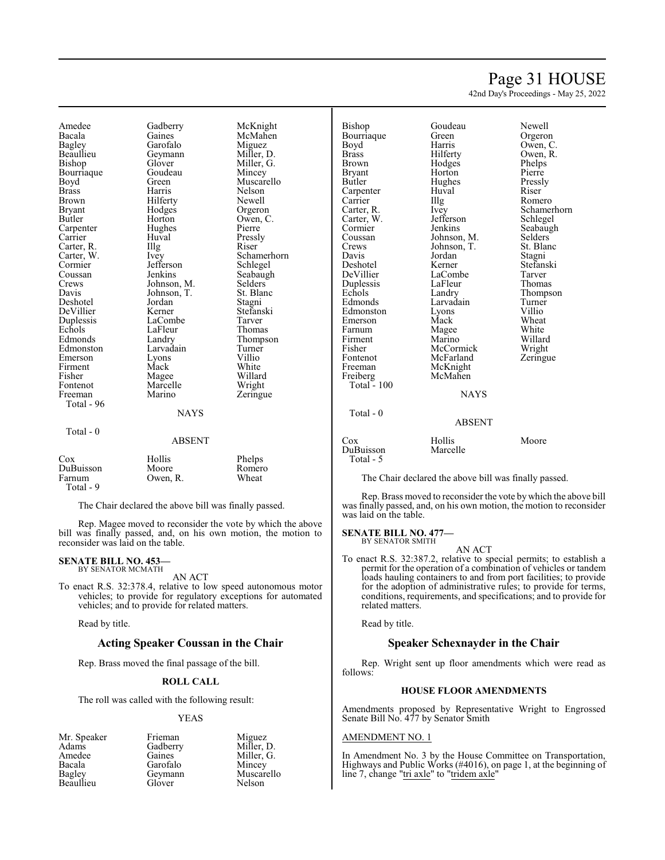## Page 31 HOUSE

42nd Day's Proceedings - May 25, 2022

Amedee Gadberry McKnight<br>Bacala Gaines McMahen Bacala Gaines McMahen Bagley Garofalo<br>Beaullieu Geymann Beaullieu Geymann Miller, D.<br>Bishop Glover Miller, G. Glover Miller, G.<br>Goudeau Mincey Bourriaque<br>Boyd Boyd Green Muscarello<br>Brass Harris Nelson Brass Harris Nelson Brown Hilferty<br>Bryant Hodges Bryant Hodges Orgeron<br>Butler Horton Owen C Horton Owen, C.<br>Hughes Pierre Carpenter Hughe<br>Carrier Huval Huval Pressly<br>Illg Riser Carter, R. Illg<br>Carter, W. Ivey Carter, W. Ivey Schamerhorn<br>
Cormier Iefferson Schlegel Cormier Jefferson Schlegel<br>Coussan Jenkins Seabaugl Coussan Jenkins Seabaugh<br>Crews Johnson, M. Selders Crews Johnson, M. Selders Davis Johnson, T. St. Blanc Johnson, T. St. Blanch<br>Jordan Stagni Deshotel Jordan Stagni DeVillier Kerner Stefans<br>Duplessis LaCombe Tarver Duplessis LaCombe Tarver<br>
Echols LaFleur Thomas Echols LaFleur<br>Edmonds Landry Edmonds Landry Thompson<br>Edmonston Larvadain Turner Larvadain Turner<br>Lyons Villio Emerson Lyons Villio<br>
Firment Mack White Firment Mack White<br>
Fisher Magee Willard Fisher Magee Willard<br>Fontenot Marcelle Wright Fontenot Marcelle<br>Freeman Marino Total - 96 **NAYS**  Total - 0 ABSENT Cox Hollis Phelps DuBuisson Moore Romer<br>Farnum Owen, R. Wheat Owen, R. Total - 9

The Chair declared the above bill was finally passed.

Rep. Magee moved to reconsider the vote by which the above bill was finally passed, and, on his own motion, the motion to reconsider was laid on the table.

#### **SENATE BILL NO. 453—** BY SENATOR MCMATH

AN ACT

To enact R.S. 32:378.4, relative to low speed autonomous motor vehicles; to provide for regulatory exceptions for automated vehicles; and to provide for related matters.

Read by title.

#### **Acting Speaker Coussan in the Chair**

Rep. Brass moved the final passage of the bill.

#### **ROLL CALL**

The roll was called with the following result:

#### YEAS

Mr. Speaker Frieman Miguez<br>Adams Gadberry Miller, 1 Adams Gadberry Miller, D.<br>Amedee Gaines Miller, G. Amedee Gaines Miller, G.<br>Bacala Garofalo Mincey Bacala Garofalo<br>Bagley Geymann **Beaullieu** 

Geymann Muscarello<br>Glover Nelson

Zeringue

Bishop Goudeau Newell<br>Bourriaque Green Orgeron Bourriaque Green<br>Boyd Harris Boyd Harris Owen, C.<br>Brass Hilferty Owen, R. Brass Hilferty Owen, R. **Bryant** Butler Hughes Pressly<br>Carpenter Huval Riser Carpenter Huv<br>Carrier Hllg Carrier Illg Romero<br>Carter, R. Ivev Schame Carter, W. Jefferson<br>Cormier Jenkins Cormier Jenkins Seabaugh<br>Coussan Johnson, M. Selders Coussan Johnson, M. Selders<br>Crews Johnson, T. St. Blanc Crews Johnson, T. St. Blanck<br>Davis Jordan Stagni Davis Jordan Stagni Deshotel Kerner Stefanski Duplessis LaFleu<br>
Echols Landry Echols Landry Thompson<br>
Edmonds Larvadain Turner Edmonston Lyons Villio<br>Emerson Mack Wheat Emerson Mack Wheat<br>
Farnum Magee White Farnum Magee<br>Firment Marino Firment Marino Willard<br>Fisher McCormick Wright Fisher McCormick Wright<br>Fontenot McFarland Zeringue Fontenot McFarland<br>Freeman McKnight Freiberg Total  $-100$ 

Total - 0

McKnight<br>McMahen

Hodges Phelps<br>
Horton Pierre Ivey Schamerhorn<br>Jefferson Schlegel LaCombe<br>
LaFleur Thomas Larvadain Turner<br>Lyons Villio

#### ABSENT

**NAYS** 

| Cox        | Hollis   | Moore |
|------------|----------|-------|
| DuBuisson  | Marcelle |       |
| Total $-5$ |          |       |

The Chair declared the above bill was finally passed.

Rep. Brass moved to reconsider the vote by which the above bill was finally passed, and, on his own motion, the motion to reconsider was laid on the table.

#### **SENATE BILL NO. 477—** BY SENATOR SMITH

AN ACT

To enact R.S. 32:387.2, relative to special permits; to establish a permit for the operation of a combination of vehicles or tandem loads hauling containers to and from port facilities; to provide for the adoption of administrative rules; to provide for terms, conditions, requirements, and specifications; and to provide for related matters.

Read by title.

#### **Speaker Schexnayder in the Chair**

Rep. Wright sent up floor amendments which were read as follows:

#### **HOUSE FLOOR AMENDMENTS**

Amendments proposed by Representative Wright to Engrossed Senate Bill No. 477 by Senator Smith

#### AMENDMENT NO. 1

In Amendment No. 3 by the House Committee on Transportation, Highways and Public Works (#4016), on page 1, at the beginning of line 7, change "tri axle" to "tridem axle"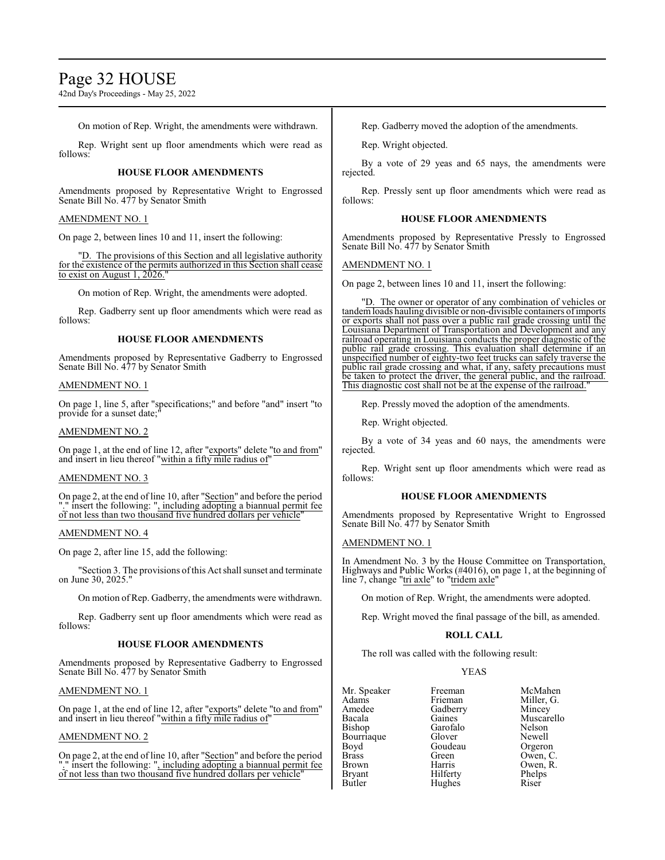## Page 32 HOUSE

42nd Day's Proceedings - May 25, 2022

On motion of Rep. Wright, the amendments were withdrawn.

Rep. Wright sent up floor amendments which were read as follows:

#### **HOUSE FLOOR AMENDMENTS**

Amendments proposed by Representative Wright to Engrossed Senate Bill No. 477 by Senator Smith

#### AMENDMENT NO. 1

On page 2, between lines 10 and 11, insert the following:

"D. The provisions of this Section and all legislative authority for the existence of the permits authorized in this Section shall cease to exist on August 1, 2026."

On motion of Rep. Wright, the amendments were adopted.

Rep. Gadberry sent up floor amendments which were read as follows:

#### **HOUSE FLOOR AMENDMENTS**

Amendments proposed by Representative Gadberry to Engrossed Senate Bill No. 477 by Senator Smith

#### AMENDMENT NO. 1

On page 1, line 5, after "specifications;" and before "and" insert "to provide for a sunset date;"

#### AMENDMENT NO. 2

On page 1, at the end of line 12, after "exports" delete "to and from" and insert in lieu thereof "within a fifty mile radius of"

#### AMENDMENT NO. 3

On page 2, at the end of line 10, after "Section" and before the period "." insert the following: ", including adopting a biannual permit fee of not less than two thousand five hundred dollars per vehicle"

#### AMENDMENT NO. 4

On page 2, after line 15, add the following:

"Section 3. The provisions ofthis Act shall sunset and terminate on June 30, 2025."

On motion of Rep. Gadberry, the amendments were withdrawn.

Rep. Gadberry sent up floor amendments which were read as follows:

#### **HOUSE FLOOR AMENDMENTS**

Amendments proposed by Representative Gadberry to Engrossed Senate Bill No. 477 by Senator Smith

#### AMENDMENT NO. 1

On page 1, at the end of line 12, after "exports" delete "to and from" and insert in lieu thereof "within a fifty mile radius of"

#### AMENDMENT NO. 2

On page 2, at the end of line 10, after "Section" and before the period "." insert the following: ", including adopting a biannual permit fee of not less than two thousand five hundred dollars per vehicle"

Rep. Gadberry moved the adoption of the amendments.

Rep. Wright objected.

By a vote of 29 yeas and 65 nays, the amendments were rejected.

Rep. Pressly sent up floor amendments which were read as follows:

#### **HOUSE FLOOR AMENDMENTS**

Amendments proposed by Representative Pressly to Engrossed Senate Bill No. 477 by Senator Smith

#### AMENDMENT NO. 1

On page 2, between lines 10 and 11, insert the following:

"D. The owner or operator of any combination of vehicles or tandemloads hauling divisible or non-divisible containers ofimports or exports shall not pass over a public rail grade crossing until the Louisiana Department of Transportation and Development and any railroad operating in Louisiana conducts the proper diagnostic of the public rail grade crossing. This evaluation shall determine if an unspecified number of eighty-two feet trucks can safely traverse the public rail grade crossing and what, if any, safety precautions must be taken to protect the driver, the general public, and the railroad. This diagnostic cost shall not be at the expense of the railroad."

Rep. Pressly moved the adoption of the amendments.

Rep. Wright objected.

By a vote of 34 yeas and 60 nays, the amendments were rejected.

Rep. Wright sent up floor amendments which were read as follows:

#### **HOUSE FLOOR AMENDMENTS**

Amendments proposed by Representative Wright to Engrossed Senate Bill No. 477 by Senator Smith

#### AMENDMENT NO. 1

In Amendment No. 3 by the House Committee on Transportation, Highways and Public Works (#4016), on page 1, at the beginning of line 7, change "tri axle" to "tridem axle"

On motion of Rep. Wright, the amendments were adopted.

Rep. Wright moved the final passage of the bill, as amended.

#### **ROLL CALL**

The roll was called with the following result:

#### YEAS

| Mr. Speaker  | Freeman  | McMahen    |
|--------------|----------|------------|
| Adams        | Frieman  | Miller, G. |
| Amedee       | Gadberry | Mincey     |
| Bacala       | Gaines   | Muscarello |
| Bishop       | Garofalo | Nelson     |
| Bourriaque   | Glover   | Newell     |
| Boyd         | Goudeau  | Orgeron    |
| <b>Brass</b> | Green    | Owen, C.   |
| Brown        | Harris   | Owen, R.   |
| Bryant       | Hilferty | Phelps     |
| Butler       | Hughes   | Riser      |
|              |          |            |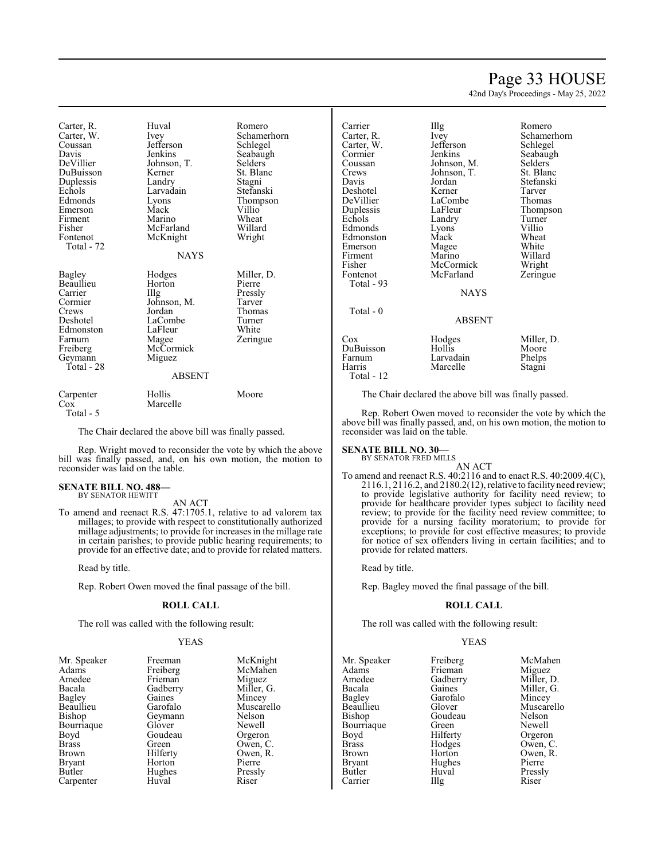## Page 33 HOUSE

Schamerhorn Schlegel

St. Blanc Stefanski Tarver Thomas Thompson Turner Villio Wheat<br>White

42nd Day's Proceedings - May 25, 2022

Carter, R. Huval Romero Carter, W. Ivey Schamerhorn<br>
Coussan Jefferson Schlegel Coussan Jefferson<br>Davis Jenkins Davis Jenkins Seabaugh<br>DeVillier Johnson, T. Selders DuBuisson Duplessis Landry Stagni<br>
Echols Larvadain Stefanski Echols Larvadain<br>Edmonds Lyons Emerson Mack Villio<sup>T</sup><br>Firment Marino Wheat Firment Marino Wheat<br>
Fisher McFarland Willard Fisher McFarland Willard<br>Fontenot McKnight Wright Total - 72 Bagley Hodges Miller, D. Beaullieu Horton Pierre Carrier IIIg Pressly Carrier Illg Pressly Cormier Johnson, M. Tarver Crews Jordan Thomas<br>
Deshotel LaCombe Turner Edmonston LaFleu<br>
Farnum Magee Farnum Magee Zeringue<br>
Freiberg McCormick Zeringue

Geymann Total - 28 McKnight **NAYS** 

Johnson, T. Selders<br>Kerner St. Blanc Lyons Thompson<br>Mack Villio

LaCombe<br>
LaFleur White<br>
White

Carpenter Hollis Moore<br>Cox Marcelle Moore Marcelle Total - 5

McCormick<br>Miguez

The Chair declared the above bill was finally passed.

Rep. Wright moved to reconsider the vote by which the above bill was finally passed, and, on his own motion, the motion to reconsider was laid on the table.

ABSENT

#### **SENATE BILL NO. 488—** BY SENATOR HEWITT

AN ACT

To amend and reenact R.S. 47:1705.1, relative to ad valorem tax millages; to provide with respect to constitutionally authorized millage adjustments; to provide for increases in the millage rate in certain parishes; to provide public hearing requirements; to provide for an effective date; and to provide for related matters.

Read by title.

Rep. Robert Owen moved the final passage of the bill.

#### **ROLL CALL**

The roll was called with the following result:

#### YEAS

| Mr. Speaker   | Freeman  | McKnight   |
|---------------|----------|------------|
| Adams         | Freiberg | McMahen    |
| Amedee        | Frieman  | Miguez     |
| Bacala        | Gadberry | Miller, G. |
| Bagley        | Gaines   | Mincey     |
| Beaullieu     | Garofalo | Muscarello |
| Bishop        | Geymann  | Nelson     |
| Bourriaque    | Glover   | Newell     |
| Boyd          | Goudeau  | Orgeron    |
| <b>Brass</b>  | Green    | Owen, C.   |
| Brown         | Hilferty | Owen, R.   |
| <b>Bryant</b> | Horton   | Pierre     |
| Butler        | Hughes   | Pressly    |
| Carpenter     | Huval    | Riser      |

| Carrier    | Illg          | Romero     |
|------------|---------------|------------|
| Carter, R. | Ivey          | Schamerh   |
| Carter, W. | Jefferson     | Schlegel   |
| Cormier    | Jenkins       | Seabaugh   |
| Coussan    | Johnson, M.   | Selders    |
| Crews      | Johnson, T.   | St. Blanc  |
| Davis      | Jordan        | Stefanski  |
| Deshotel   | Kerner        | Tarver     |
| DeVillier  | LaCombe       | Thomas     |
| Duplessis  | LaFleur       | Thompsor   |
| Echols     | Landry        | Turner     |
| Edmonds    | Lyons         | Villio     |
| Edmonston  | Mack          | Wheat      |
| Emerson    | Magee         | White      |
| Firment    | Marino        | Willard    |
| Fisher     | McCormick     | Wright     |
| Fontenot   | McFarland     | Zeringue   |
| Total - 93 | NAYS          |            |
| Total - 0  | <b>ABSENT</b> |            |
| Cox        | Hodges        | Miller, D. |
| DuBuisson  | Hollis        | Moore      |
| Farnum     | Larvadain     | Phelps     |
| Harris     | Marcelle      | Stagni     |

Total - 12

The Chair declared the above bill was finally passed.

Rep. Robert Owen moved to reconsider the vote by which the above bill was finally passed, and, on his own motion, the motion to reconsider was laid on the table.

#### **SENATE BILL NO. 30—**

BY SENATOR FRED MILLS

AN ACT To amend and reenact R.S. 40:2116 and to enact R.S. 40:2009.4(C), 2116.1, 2116.2, and 2180.2(12), relative to facility need review; to provide legislative authority for facility need review; to provide for healthcare provider types subject to facility need review; to provide for the facility need review committee; to provide for a nursing facility moratorium; to provide for exceptions; to provide for cost effective measures; to provide for notice of sex offenders living in certain facilities; and to provide for related matters.

Read by title.

Rep. Bagley moved the final passage of the bill.

#### **ROLL CALL**

The roll was called with the following result:

#### YEAS

|             | McMahen                                    |
|-------------|--------------------------------------------|
| Frieman     | Miguez                                     |
|             | Miller, D.                                 |
| Gaines      | Miller, G.                                 |
| Garofalo    | Mincey                                     |
| Glover      | Muscarello                                 |
| Goudeau     | Nelson                                     |
| Green       | Newell                                     |
|             | Orgeron                                    |
|             | Owen, C.                                   |
| Horton      | Owen, R.                                   |
| Hughes      | Pierre                                     |
| Huval       | Pressly                                    |
| $\prod$ llg | Riser                                      |
|             | Freiberg<br>Gadberry<br>Hilferty<br>Hodges |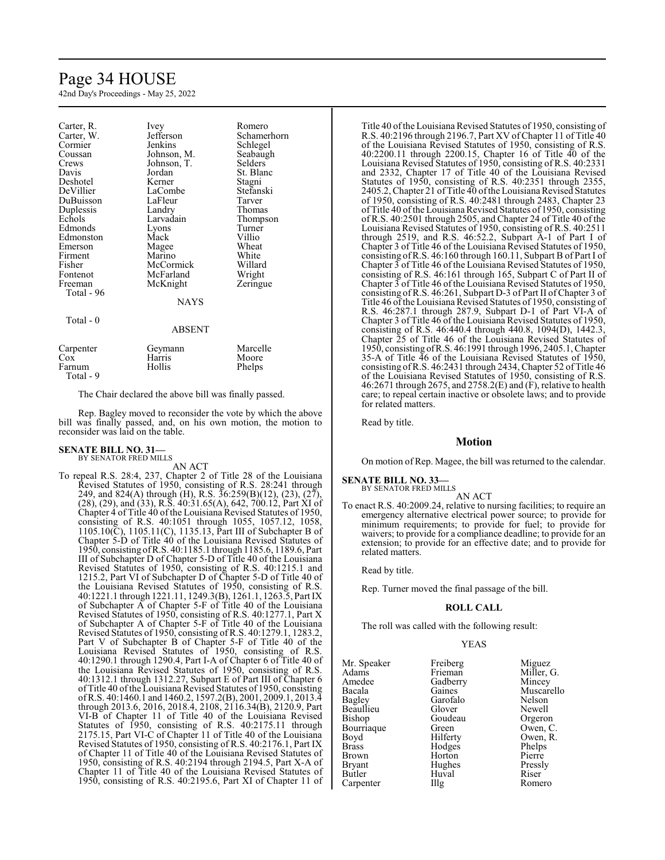## Page 34 HOUSE

42nd Day's Proceedings - May 25, 2022

| Carter, R. | Ivey          | Romero      |
|------------|---------------|-------------|
| Carter, W. | Jefferson     | Schamerhorn |
| Cormier    | Jenkins       | Schlegel    |
| Coussan    | Johnson, M.   | Seabaugh    |
| Crews      | Johnson, T.   | Selders     |
| Davis      | Jordan        | St. Blanc   |
| Deshotel   | Kerner        | Stagni      |
| DeVillier  | LaCombe       | Stefanski   |
| DuBuisson  | LaFleur       | Tarver      |
| Duplessis  | Landry        | Thomas      |
| Echols     | Larvadain     | Thompson    |
| Edmonds    | Lyons         | Turner      |
| Edmonston  | Mack          | Villio      |
| Emerson    | Magee         | Wheat       |
| Firment    | Marino        | White       |
| Fisher     | McCormick     | Willard     |
| Fontenot   | McFarland     | Wright      |
| Freeman    | McKnight      | Zeringue    |
| Total - 96 |               |             |
|            | <b>NAYS</b>   |             |
| Total $-0$ |               |             |
|            | <b>ABSENT</b> |             |
| Carpenter  | Geymann       | Marcelle    |
| Cox        | Harris        | Moore       |
| Farnum     | Hollis        | Phelps      |
| Total - 9  |               |             |

The Chair declared the above bill was finally passed.

Rep. Bagley moved to reconsider the vote by which the above bill was finally passed, and, on his own motion, the motion to reconsider was laid on the table.

#### **SENATE BILL NO. 31—** BY SENATOR FRED MILLS

AN ACT

To repeal R.S. 28:4, 237, Chapter 2 of Title 28 of the Louisiana Revised Statutes of 1950, consisting of R.S. 28:241 through 249, and 824(A) through (H), R.S. 36:259(B)(12), (23), (27), (28), (29), and (33), R.S. 40:31.65(A), 642, 700.12, Part XI of Chapter 4 of Title 40 of the Louisiana Revised Statutes of 1950, consisting of R.S. 40:1051 through 1055, 1057.12, 1058, 1105.10(C), 1105.11(C), 1135.13, Part III of Subchapter B of Chapter 5-D of Title 40 of the Louisiana Revised Statutes of 1950, consisting ofR.S. 40:1185.1 through 1185.6, 1189.6, Part III of Subchapter D of Chapter 5-D of Title 40 of the Louisiana Revised Statutes of 1950, consisting of R.S. 40:1215.1 and 1215.2, Part VI of Subchapter D of Chapter 5-D of Title 40 of the Louisiana Revised Statutes of 1950, consisting of R.S. 40:1221.1 through 1221.11, 1249.3(B), 1261.1, 1263.5, Part IX of Subchapter A of Chapter 5-F of Title 40 of the Louisiana Revised Statutes of 1950, consisting of R.S. 40:1277.1, Part X of Subchapter A of Chapter 5-F of Title 40 of the Louisiana Revised Statutes of 1950, consisting of R.S. 40:1279.1, 1283.2, Part V of Subchapter B of Chapter 5-F of Title 40 of the Louisiana Revised Statutes of 1950, consisting of R.S. 40:1290.1 through 1290.4, Part I-A of Chapter 6 of Title 40 of the Louisiana Revised Statutes of 1950, consisting of R.S. 40:1312.1 through 1312.27, Subpart E of Part III of Chapter 6 of Title 40 of the Louisiana Revised Statutes of 1950, consisting ofR.S. 40:1460.1 and 1460.2, 1597.2(B), 2001, 2009.1, 2013.4 through 2013.6, 2016, 2018.4, 2108, 2116.34(B), 2120.9, Part VI-B of Chapter 11 of Title 40 of the Louisiana Revised Statutes of 1950, consisting of R.S. 40:2175.11 through 2175.15, Part VI-C of Chapter 11 of Title 40 of the Louisiana Revised Statutes of 1950, consisting of R.S. 40:2176.1, Part IX of Chapter 11 of Title 40 of the Louisiana Revised Statutes of 1950, consisting of R.S. 40:2194 through 2194.5, Part X-A of Chapter 11 of Title 40 of the Louisiana Revised Statutes of 1950, consisting of R.S. 40:2195.6, Part XI of Chapter 11 of

Title 40 ofthe Louisiana Revised Statutes of 1950, consisting of R.S. 40:2196 through 2196.7, Part XV ofChapter 11 of Title 40 of the Louisiana Revised Statutes of 1950, consisting of R.S. 40:2200.11 through 2200.15, Chapter 16 of Title 40 of the Louisiana Revised Statutes of 1950, consisting of R.S. 40:2331 and 2332, Chapter 17 of Title 40 of the Louisiana Revised Statutes of 1950, consisting of R.S. 40:2351 through 2355, 2405.2, Chapter 21 of Title 40 ofthe Louisiana Revised Statutes of 1950, consisting of R.S. 40:2481 through 2483, Chapter 23 of Title 40 of the Louisiana Revised Statutes of 1950, consisting of R.S. 40:2501 through 2505, and Chapter 24 of Title 40 of the Louisiana Revised Statutes of 1950, consisting of R.S. 40:2511 through 2519, and R.S. 46:52.2, Subpart A-1 of Part I of Chapter 3 of Title 46 of the Louisiana Revised Statutes of 1950, consisting ofR.S. 46:160 through 160.11, Subpart B of Part I of Chapter 3 of Title 46 of the Louisiana Revised Statutes of 1950, consisting of R.S. 46:161 through 165, Subpart C of Part II of Chapter 3 of Title 46 of the Louisiana Revised Statutes of 1950, consisting of R.S. 46:261, Subpart D-3 of Part II ofChapter 3 of Title 46 ofthe Louisiana Revised Statutes of 1950, consisting of R.S. 46:287.1 through 287.9, Subpart D-1 of Part VI-A of Chapter 3 of Title 46 of the Louisiana Revised Statutes of 1950, consisting of R.S. 46:440.4 through 440.8, 1094(D), 1442.3, Chapter 25 of Title 46 of the Louisiana Revised Statutes of 1950, consisting ofR.S. 46:1991 through 1996, 2405.1, Chapter 35-A of Title 46 of the Louisiana Revised Statutes of 1950, consisting ofR.S. 46:2431 through 2434, Chapter 52 of Title 46 of the Louisiana Revised Statutes of 1950, consisting of R.S. 46:2671 through 2675, and 2758.2(E) and (F), relative to health care; to repeal certain inactive or obsolete laws; and to provide for related matters.

Read by title.

#### **Motion**

On motion of Rep. Magee, the bill was returned to the calendar.

#### **SENATE BILL NO. 33—** BY SENATOR FRED MILLS

AN ACT

To enact R.S. 40:2009.24, relative to nursing facilities; to require an emergency alternative electrical power source; to provide for minimum requirements; to provide for fuel; to provide for waivers; to provide for a compliance deadline; to provide for an extension; to provide for an effective date; and to provide for related matters.

Read by title.

Rep. Turner moved the final passage of the bill.

#### **ROLL CALL**

The roll was called with the following result:

Huval<br>Illg

#### YEAS

Mr. Speaker Freiberg Miguez<br>
Adams Frieman Miller. Adams Frieman Miller, G.<br>Amedee Gadberry Mincey Amedee Gadberry<br>Bacala Gaines Bacala Gaines Muscarello<br>
Bagley Garofalo Nelson Beaullieu Glover Newell Bourriaque Green<br>Bovd Hilferty Boyd Hilferty Owen, R.<br>Brass Hodges Phelps Brass Hodges Phelps Brown Horton Pierre Bryant **Hughes** Pressl<br>Butler Huval Riser

Garofalo Nelson<br>Glover Newell Goudeau Orgeron<br>Green Owen, C. Carpenter Illg Romero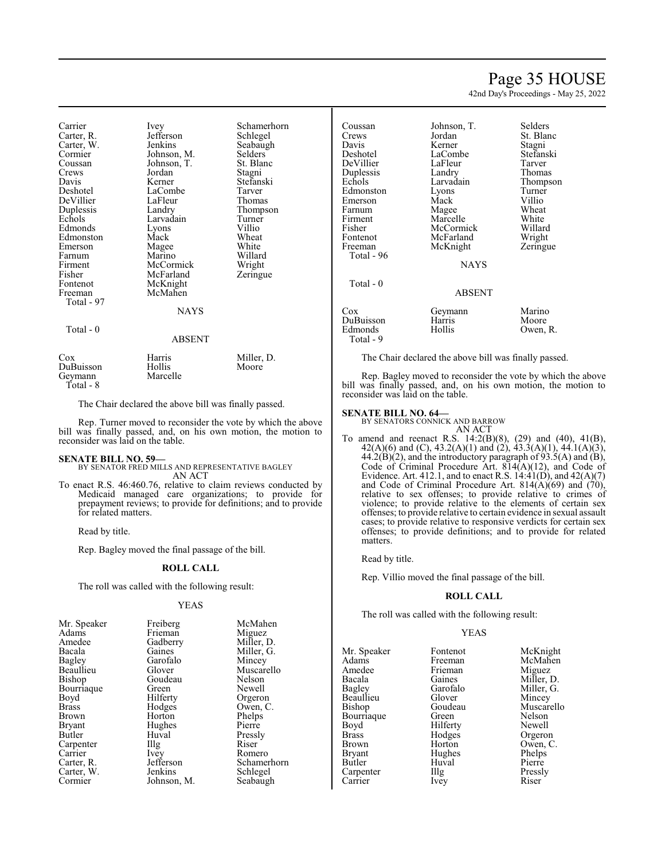## Page 35 HOUSE

42nd Day's Proceedings - May 25, 2022

Carrier Ivey Schamerhorn<br>Carter R. Jefferson Schlegel Jefferson Schlegel<br>Jenkins Seabaugh Carter, W. Jenkins Seabaughter, Seabaughter, Seabaughter, Seabaughter, Seabaughter, Seabaughter, Seabaughter, Seabaughter, Seabaughter, Seabaughter, Seabaughter, Seabaughter, Seabaughter, Seabaughter, Seabaughter, Seabaugh Cormier Johnson, M. Selders Coussan Johnson, T. St. Blanc Coussan Johnson, T.<br>Crews Jordan Stagni Davis Kerner Stefanski LaCombe Tarver<br>
LaFleur Thomas DeVillier LaFleur<br>Duplessis Landry Duplessis Landry Thompson Larvadain Turner<br>Lyons Villio Edmonds Lyons Villio<br>Edmonston Mack Wheat Edmonston Mack Wheat<br>
Emerson Magee White Emerson Magee<br>Farnum Marino Willard<br>Wright Firment McCormick Wright<br>
Fisher McFarland Zeringue Fisher McFarland<br>Fontenot McKnight Fontenot McKnight<br>Freeman McMahen McMahen Total - 97 NAYS Total - 0 ABSENT Cox Harris Miller, D. DuBuisson Hollis<br>Geymann Marcelle Geymann

The Chair declared the above bill was finally passed.

Rep. Turner moved to reconsider the vote by which the above bill was finally passed, and, on his own motion, the motion to reconsider was laid on the table.

Total - 8

**SENATE BILL NO. 59—** BY SENATOR FRED MILLS AND REPRESENTATIVE BAGLEY AN ACT

To enact R.S. 46:460.76, relative to claim reviews conducted by Medicaid managed care organizations; to provide for prepayment reviews; to provide for definitions; and to provide for related matters.

Read by title.

Rep. Bagley moved the final passage of the bill.

#### **ROLL CALL**

The roll was called with the following result:

#### YEAS

| Mr. Speaker   | Freiberg    | McMahen     |
|---------------|-------------|-------------|
| Adams         | Frieman     | Miguez      |
| Amedee        | Gadberry    | Miller, D.  |
| Bacala        | Gaines      | Miller, G.  |
| <b>Bagley</b> | Garofalo    | Mincey      |
| Beaullieu     | Glover      | Muscarello  |
| Bishop        | Goudeau     | Nelson      |
| Bourriaque    | Green       | Newell      |
| Boyd          | Hilferty    | Orgeron     |
| <b>Brass</b>  | Hodges      | Owen, C.    |
| Brown         | Horton      | Phelps      |
| <b>Bryant</b> | Hughes      | Pierre      |
| Butler        | Huval       | Pressly     |
| Carpenter     | Illg        | Riser       |
| Carrier       | <i>lvey</i> | Romero      |
| Carter, R.    | Jefferson   | Schamerhorn |
| Carter, W.    | Jenkins     | Schlegel    |
| Cormier       | Johnson, M. | Seabaugh    |

| Coussan    | Johnson, T. | Selders   |
|------------|-------------|-----------|
| Crews      | Jordan      | St. Blanc |
| Davis      | Kerner      | Stagni    |
| Deshotel   | LaCombe     | Stefanski |
| DeVillier  | LaFleur     | Tarver    |
| Duplessis  | Landry      | Thomas    |
| Echols     | Larvadain   | Thompson  |
| Edmonston  | Lyons       | Turner    |
| Emerson    | Mack        | Villio    |
| Farnum     | Magee       | Wheat     |
| Firment    | Marcelle    | White     |
| Fisher     | McCormick   | Willard   |
| Fontenot   | McFarland   | Wright    |
| Freeman    | McKnight    | Zeringue  |
| Total - 96 |             |           |
|            | <b>NAYS</b> |           |
| Total $-0$ |             |           |
|            | ABSENT      |           |
| Cox        | Geymann     | Marino    |
| DuBuisson  | Harris      | Moore     |
| Edmonds    | Hollis      | Owen, R.  |
| Total - 9  |             |           |

The Chair declared the above bill was finally passed.

Rep. Bagley moved to reconsider the vote by which the above bill was finally passed, and, on his own motion, the motion to reconsider was laid on the table.

#### **SENATE BILL NO. 64—**

BY SENATORS CONNICK AND BARROW AN ACT

To amend and reenact R.S. 14:2(B)(8), (29) and (40), 41(B), 42(A)(6) and (C), 43.2(A)(1) and (2), 43.3(A)(1), 44.1(A)(3),  $44.2(B)(2)$ , and the introductory paragraph of 93.5(A) and (B), Code of Criminal Procedure Art. 814(A)(12), and Code of Evidence. Art. 412.1, and to enact R.S.  $14:41(D)$ , and  $42(A)(7)$ and Code of Criminal Procedure Art.  $814(A)(69)$  and  $(70)$ , relative to sex offenses; to provide relative to crimes of violence; to provide relative to the elements of certain sex offenses; to provide relative to certain evidence in sexual assault cases; to provide relative to responsive verdicts for certain sex offenses; to provide definitions; and to provide for related matters.

Read by title.

Rep. Villio moved the final passage of the bill.

#### **ROLL CALL**

The roll was called with the following result:

#### YEAS

| Mr. Speaker   | Fontenot | McKnight   |
|---------------|----------|------------|
| Adams         | Freeman  | McMahen    |
| Amedee        | Frieman  | Miguez     |
| Bacala        | Gaines   | Miller, D. |
| Bagley        | Garofalo | Miller, G. |
| Beaullieu     | Glover   | Mincey     |
| Bishop        | Goudeau  | Muscarello |
| Bourriaque    | Green    | Nelson     |
| Boyd          | Hilferty | Newell     |
| <b>Brass</b>  | Hodges   | Orgeron    |
| <b>Brown</b>  | Horton   | Owen, C.   |
| <b>Bryant</b> | Hughes   | Phelps     |
| Butler        | Huval    | Pierre     |
| Carpenter     | Illg     | Pressly    |
| Carrier       | Ivey     | Riser      |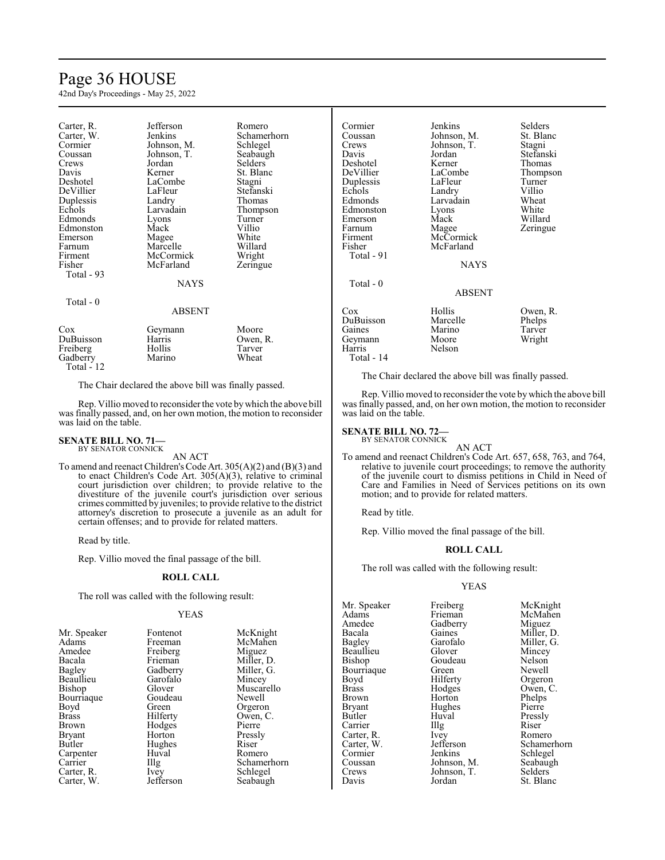## Page 36 HOUSE

42nd Day's Proceedings - May 25, 2022

| Carter, R.<br>Carter, W.<br>Cormier<br>Coussan<br>Crews<br>Davis<br>Deshotel<br>DeVillier<br>Duplessis<br>Echols<br>Edmonds<br>Edmonston<br>Emerson<br>Farnum<br>Firment | Jefferson<br>Jenkins<br>Johnson, M.<br>Johnson, T.<br>Jordan<br>Kerner<br>LaCombe<br>LaFleur<br>Landry<br>Larvadain<br>Lyons<br>Mack<br>Magee<br>Marcelle<br>McCormick | Romero<br>Schamerhorn<br>Schlegel<br>Seabaugh<br>Selders<br>St. Blanc<br>Stagni<br>Stefanski<br>Thomas<br>Thompson<br>Turner<br>Villio<br>White<br>Willard<br>Wright |
|--------------------------------------------------------------------------------------------------------------------------------------------------------------------------|------------------------------------------------------------------------------------------------------------------------------------------------------------------------|----------------------------------------------------------------------------------------------------------------------------------------------------------------------|
| Fisher<br>Total - 93                                                                                                                                                     | McFarland<br>NAYS                                                                                                                                                      | Zeringue                                                                                                                                                             |
| Total $-0$                                                                                                                                                               | ABSENT                                                                                                                                                                 |                                                                                                                                                                      |
| Cox<br>DuBuisson<br>Freiberg<br>Gadberry<br><b>Total - 12</b>                                                                                                            | Geymann<br>Harris<br>Hollis<br>Marino                                                                                                                                  | Moore<br>Owen, R.<br>Tarver<br>Wheat                                                                                                                                 |

The Chair declared the above bill was finally passed.

Rep. Villio moved to reconsiderthe vote bywhich the above bill was finally passed, and, on her own motion, the motion to reconsider was laid on the table.

#### **SENATE BILL NO. 71—** BY SENATOR CONNICK

AN ACT

To amend and reenact Children's Code Art. 305(A)(2) and (B)(3) and to enact Children's Code Art. 305(A)(3), relative to criminal court jurisdiction over children; to provide relative to the divestiture of the juvenile court's jurisdiction over serious crimes committed by juveniles; to provide relative to the district attorney's discretion to prosecute a juvenile as an adult for certain offenses; and to provide for related matters.

Read by title.

Rep. Villio moved the final passage of the bill.

#### **ROLL CALL**

The roll was called with the following result:

#### YEAS

| Mr. Speaker  | Fontenot             | McKnight    |
|--------------|----------------------|-------------|
| Adams        | Freeman              | McMahen     |
| Amedee       | Freiberg             | Miguez      |
| Bacala       | Frieman              | Miller, D.  |
| Bagley       | Gadberry             | Miller, G.  |
| Beaullieu    | Garofalo             | Mincey      |
| Bishop       | Glover               | Muscarello  |
| Bourriaque   | Goudeau              | Newell      |
| Boyd         | Green                | Orgeron     |
| <b>Brass</b> | Hilferty             | Owen, C.    |
| Brown        | Hodges               | Pierre      |
| Bryant       | Horton               | Pressly     |
| Butler       | Hughes               | Riser       |
| Carpenter    | Huval                | Romero      |
| Carrier      | $\prod$ <sup>g</sup> | Schamerhorn |
| Carter, R.   | <i>lvey</i>          | Schlegel    |
| Carter, W.   | Jefferson            | Seabaugh    |

Cormier Jenkins Selders<br>Coussan Johnson M. St. Blanc Coussan Johnson, M. St. Blanchessen<br>
Johnson, T. Stagni Crews Johnson, T.<br>Davis Jordan Jordan Stefanski<br>Kerner Thomas Deshotel Kerner<br>DeVillier LaCombe LaCombe<br>
LaFleur Turner<br>
Turner Duplessis LaFleur Turner<br>
Echols Landry Villio Echols Landry Villio<br>Edmonds Larvadain Wheat Larvadain Wheat<br>
Lyons White Edmonston Lyons White Emerson Mack<br>Farnum Magee Farnum Magee Zeringue<br>Firment McCormick Zeringue Firment McCormick<br>Fisher McFarland McFarland Total - 91 **NAYS**  Total - 0 ABSENT Cox Hollis Owen, R.<br>
DuBuisson Marcelle Phelps DuBuisson Marcelle Phelps Marino Tarver<br>Moore Wright Geymann<br>Harris Nelson Total - 14

The Chair declared the above bill was finally passed.

Rep. Villio moved to reconsider the vote bywhich the above bill was finally passed, and, on her own motion, the motion to reconsider was laid on the table.

## **SENATE BILL NO. 72—**<br>BY SENATOR CONNICK

AN ACT

To amend and reenact Children's Code Art. 657, 658, 763, and 764, relative to juvenile court proceedings; to remove the authority of the juvenile court to dismiss petitions in Child in Need of Care and Families in Need of Services petitions on its own motion; and to provide for related matters.

Read by title.

Rep. Villio moved the final passage of the bill.

#### **ROLL CALL**

The roll was called with the following result:

#### YEAS

Mr. Speaker Freiberg McKnight<br>
Adams Frieman McMahen Adams Frieman McMahen<br>Amedee Gadberry Miguez Amedee Gadberry<br>Bacala Gaines Bacala Gaines Miller, D.<br>Bagley Garofalo Miller, G. Beaullieu Glover Mincey<br>Bishop Goudeau Nelson Bourriaque Green<br>Boyd Hilferty Boyd Hilferty Orgeron<br>Brass Hodges Owen, C Brass Hodges Owen, C.<br>Brown Horton Phelps Brown Horton Phelps<br>Bryant Hughes Pierre Bryant Hughes<br>Butler Huval Carrier Illg Riser<br>Carter R Ivev Romero Carter, R. Ivey<br>Carter, W. Jefferson Carter, W. Jefferson Schamerhorn<br>
Cormier Jenkins Schlegel Cormier Jenkins Schlegel<br>Coussan Johnson, M. Seabaugh Coussan Johnson, M. Seabaughters Seabaughters Seabaughters Seabaughters Seabaughters Seabaughters Seabaughters Crews Johnson, T.<br>Davis Jordan

Garofalo Miller, G.<br>Glover Mincey Goudeau Nelson<br>Green Newell Huval Pressly<br>Illg Riser St. Blanc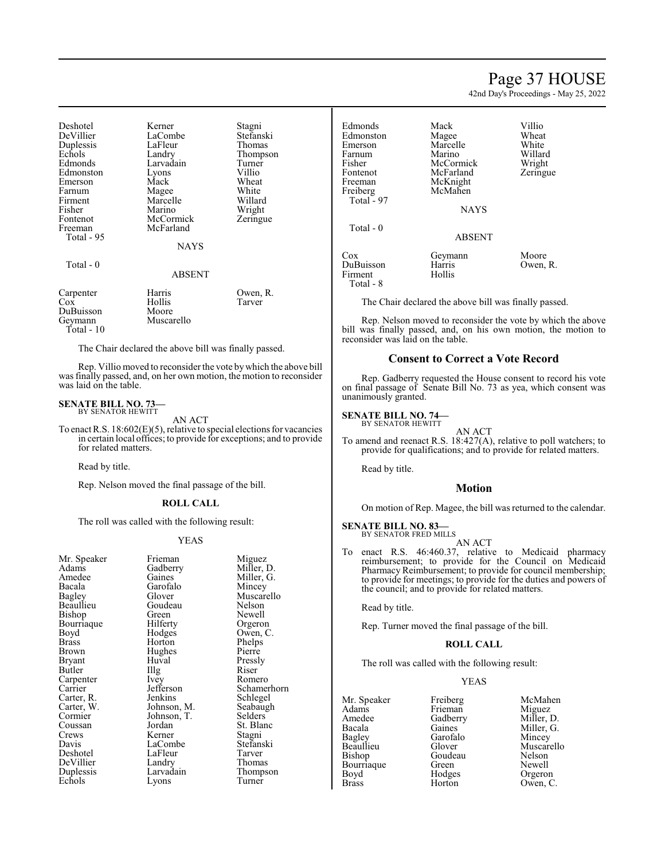## Page 37 HOUSE

42nd Day's Proceedings - May 25, 2022

| Deshotel<br>DeVillier<br>Duplessis<br>Echols<br>Edmonds<br>Edmonston<br>Emerson<br>Farnum<br>Firment<br>Fisher<br>Fontenot<br>Freeman<br>Total - 95 | Kerner<br>LaCombe<br>LaFleur<br>Landry<br>Larvadain<br>Lyons<br>Mack<br>Magee<br>Marcelle<br>Marino<br>McCormick<br>McFarland<br><b>NAYS</b> | Stagni<br>Stefanski<br>Thomas<br>Thompson<br>Turner<br>Villio<br>Wheat<br>White<br>Willard<br>Wright<br>Zeringue |
|-----------------------------------------------------------------------------------------------------------------------------------------------------|----------------------------------------------------------------------------------------------------------------------------------------------|------------------------------------------------------------------------------------------------------------------|
| Total - 0                                                                                                                                           | ABSENT                                                                                                                                       |                                                                                                                  |
| Carpenter<br>Cox<br>DuBuisson<br>Geymann<br>Total - 10                                                                                              | Harris<br>Hollis<br>Moore<br>Muscarello                                                                                                      | Owen, R.<br>Tarver                                                                                               |

The Chair declared the above bill was finally passed.

Rep. Villio moved to reconsider the vote bywhich the above bill was finally passed, and, on her own motion, the motion to reconsider was laid on the table.

#### **SENATE BILL NO. 73—** BY SENATOR HEWITT

AN ACT

To enact R.S. 18:602(E)(5), relative to special elections for vacancies in certain local offices; to provide for exceptions; and to provide for related matters.

Read by title.

Rep. Nelson moved the final passage of the bill.

#### **ROLL CALL**

The roll was called with the following result:

#### YEAS

| Mr. Speaker | Frieman              | Migue   |
|-------------|----------------------|---------|
| Adams       | Gadberry             | Miller  |
| Amedee      | Gaines               | Miller  |
| Bacala      | Garofalo             | Mince   |
| Bagley      | Glover               | Musca   |
| Beaullieu   | Goudeau              | Nelson  |
| Bishop      | Green                | Newel   |
| Bourriaque  | Hilferty             | Orgero  |
| Boyd        | Hodges               | Owen,   |
| Brass       | Horton               | Phelps  |
| Brown       | Hughes               | Pierre  |
| Bryant      | Huval                | Pressl  |
| Butler      | $\prod$ <sup>g</sup> | Riser   |
| Carpenter   | Ivey                 | Romer   |
| Carrier     | Jefferson            | Schan   |
| Carter, R.  | Jenkins              | Schleg  |
| Carter, W.  | Johnson, M.          | Seaba   |
| Cormier     | Johnson, T.          | Selder  |
| Coussan     | Jordan               | St. Bla |
| Crews       | Kerner               | Stagni  |
| Davis       | LaCombe              | Stefan  |
| Deshotel    | LaFleur              | Tarver  |
| DeVillier   | Landry               | Thoma   |
| Duplessis   | Larvadain            | Thomp   |
| Echols      | Lyons                | Turnei  |
|             |                      |         |

Miguez Miller, D. Miller, G. Mincey Muscarello Nelson Newell Orgeron Owen, C. Phelps Pierre Pressly<br>Riser Romero Schamerhorn Schlegel Seabaugh Selders St. Blanc Stefanski Tarver Thomas Thompson **Turner** 

| Edmonds<br>Edmonston<br>Emerson<br>Farnum<br>Fisher<br>Fontenot<br>Freeman<br>Freiberg<br>Total $-97$ | Mack<br>Magee<br>Marcelle<br>Marino<br>McCormick<br>McFarland<br>McKnight<br>McMahen<br><b>NAYS</b> | Villio<br>Wheat<br>White<br>Willard<br>Wright<br>Zeringue |
|-------------------------------------------------------------------------------------------------------|-----------------------------------------------------------------------------------------------------|-----------------------------------------------------------|
| Total $-0$                                                                                            | <b>ABSENT</b>                                                                                       |                                                           |
| Cox<br>DuBuisson<br>Firment<br>Total - 8                                                              | Geymann<br>Harris<br>Hollis                                                                         | Moore<br>Owen, R.                                         |

The Chair declared the above bill was finally passed.

Rep. Nelson moved to reconsider the vote by which the above bill was finally passed, and, on his own motion, the motion to reconsider was laid on the table.

#### **Consent to Correct a Vote Record**

Rep. Gadberry requested the House consent to record his vote on final passage of Senate Bill No. 73 as yea, which consent was unanimously granted.

#### **SENATE BILL NO. 74—** BY SENATOR HEWITT

AN ACT

To amend and reenact R.S. 18:427(A), relative to poll watchers; to provide for qualifications; and to provide for related matters.

Read by title.

#### **Motion**

On motion of Rep. Magee, the bill was returned to the calendar.

#### **SENATE BILL NO. 83—**

BY SENATOR FRED MILLS AN ACT

To enact R.S. 46:460.37, relative to Medicaid pharmacy reimbursement; to provide for the Council on Medicaid Pharmacy Reimbursement; to provide for council membership; to provide for meetings; to provide for the duties and powers of the council; and to provide for related matters.

Read by title.

Rep. Turner moved the final passage of the bill.

#### **ROLL CALL**

The roll was called with the following result:

#### YEAS

Mr. Speaker Freiberg McMahen<br>Adams Frieman Miguez Adams Frieman<br>Amedee Gadberry Amedee Gadberry Miller, D.<br>Bacala Gaines Miller, G. Bacala Gaines Miller, G.<br>Bagley Garofalo Mincey Bagley Garofalo<br>Beaullieu Glover Beaullieu Glover Muscarello<br>Bishop Goudeau Nelson Bourriaque Green<br>Boyd Hodges Boyd Hodges Orgeron<br>Brass Horton Owen, C

Goudeau Nelson<br>Green Newell Owen, C.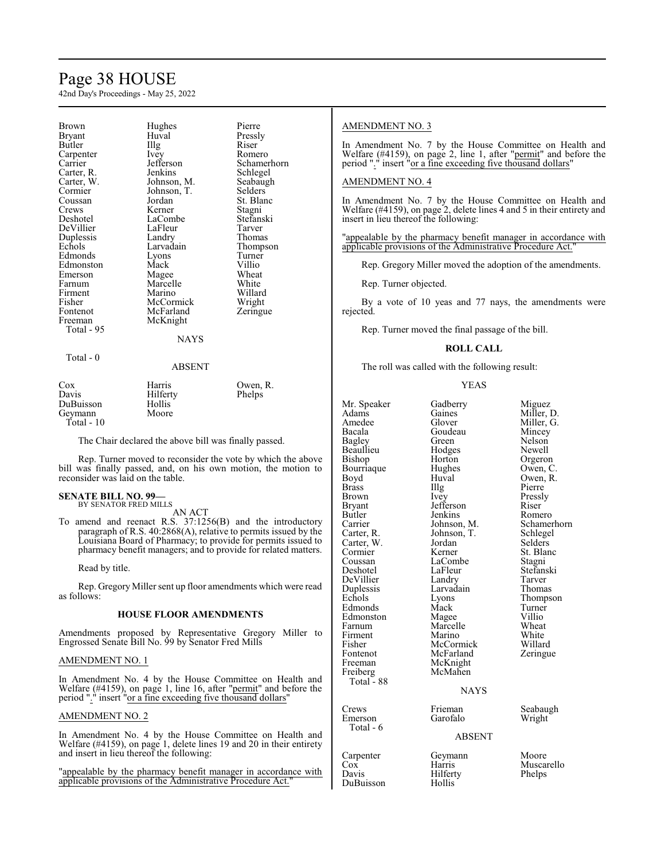## Page 38 HOUSE

42nd Day's Proceedings - May 25, 2022

| Brown         | Hughes        | Pierre      |
|---------------|---------------|-------------|
| <b>Bryant</b> | Huval         | Pressly     |
| Butler        | Illg          | Riser       |
| Carpenter     | <i>lvey</i>   | Romero      |
| Carrier       | Jefferson     | Schamerhorn |
| Carter, R.    | Jenkins       | Schlegel    |
| Carter, W.    | Johnson, M.   | Seabaugh    |
| Cormier       | Johnson, T.   | Selders     |
| Coussan       | Jordan        | St. Blanc   |
| Crews         | Kerner        | Stagni      |
| Deshotel      | LaCombe       | Stefanski   |
| DeVillier     | LaFleur       | Tarver      |
| Duplessis     | Landry        | Thomas      |
| Echols        | Larvadain     | Thompson    |
| Edmonds       | Lyons         | Turner      |
| Edmonston     | Mack          | Villio      |
| Emerson       | Magee         | Wheat       |
| Farnum        | Marcelle      | White       |
| Firment       | Marino        | Willard     |
| Fisher        | McCormick     | Wright      |
| Fontenot      | McFarland     | Zeringue    |
| Freeman       | McKnight      |             |
| Total - 95    |               |             |
|               | <b>NAYS</b>   |             |
| Total - 0     |               |             |
|               | <b>ADCENT</b> |             |

## ABSENT

| $\cos$       | Harris   | Owen, R. |
|--------------|----------|----------|
| Davis        | Hilferty | Phelps   |
| DuBuisson    | Hollis   |          |
| Geymann      | Moore    |          |
| Total - $10$ |          |          |

The Chair declared the above bill was finally passed.

Rep. Turner moved to reconsider the vote by which the above bill was finally passed, and, on his own motion, the motion to reconsider was laid on the table.

#### **SENATE BILL NO. 99—** BY SENATOR FRED MILLS

AN ACT

To amend and reenact R.S. 37:1256(B) and the introductory paragraph of R.S. 40:2868(A), relative to permits issued by the Louisiana Board of Pharmacy; to provide for permits issued to pharmacy benefit managers; and to provide for related matters.

Read by title.

Rep. Gregory Miller sent up floor amendments which were read as follows:

#### **HOUSE FLOOR AMENDMENTS**

Amendments proposed by Representative Gregory Miller to Engrossed Senate Bill No. 99 by Senator Fred Mills

#### AMENDMENT NO. 1

In Amendment No. 4 by the House Committee on Health and Welfare (#4159), on page 1, line 16, after "permit" and before the period "." insert "or a fine exceeding five thousand dollars"

#### AMENDMENT NO. 2

In Amendment No. 4 by the House Committee on Health and Welfare (#4159), on page 1, delete lines 19 and 20 in their entirety and insert in lieu thereof the following:

"appealable by the pharmacy benefit manager in accordance with applicable provisions of the Administrative Procedure Act."

#### AMENDMENT NO. 3

In Amendment No. 7 by the House Committee on Health and Welfare (#4159), on page 2, line 1, after "permit" and before the period "." insert "or a fine exceeding five thousand dollars"

#### AMENDMENT NO. 4

In Amendment No. 7 by the House Committee on Health and Welfare (#4159), on page 2, delete lines 4 and 5 in their entirety and insert in lieu thereof the following:

"appealable by the pharmacy benefit manager in accordance with applicable provisions of the Administrative Procedure Act."

Rep. Gregory Miller moved the adoption of the amendments.

Rep. Turner objected.

By a vote of 10 yeas and 77 nays, the amendments were rejected.

Rep. Turner moved the final passage of the bill.

#### **ROLL CALL**

The roll was called with the following result:

#### YEAS

| Mr. Speaker<br>Adams<br>Amedee<br>Bacala<br>Bagley<br>Beaullieu<br>Bishop<br>Bourriaque<br>Boyd<br><b>Brass</b><br>Brown<br>Bryant<br>Butler<br>Carrier<br>Carter, R.<br>Carter, W.<br>Cormier<br>Coussan<br>Deshotel<br>DeVillier<br>Duplessis<br>Echols<br>Edmonds<br>Edmonston<br>Farnum<br>Firment<br>Fisher<br>Fontenot<br>Freeman<br>Freiberg<br>Total - 88 | Gadberry<br>Gaines<br>Glover<br>Goudeau<br>Green)<br>Hodges<br>Horton<br>Hughes<br>Huval<br>Illg<br>Ivey<br>Jefferson<br>Jenkins<br>Johnson, M.<br>Johnson, T.<br>Jordan<br>Kerner<br>LaCombe<br>LaFleur<br>Landry<br>Larvadain<br>Lyons<br>Mack<br>Magee<br>Marcelle<br>Marino<br>McCormick<br>McFarland<br>McKnight<br>McMahen | Miguez<br>Miller, D.<br>Miller, G.<br>Mincey<br>Nelson<br>Newell<br>Orgeron<br>Owen, C.<br>Owen, R.<br>Pierre<br>Pressly<br>Riser<br>Romero<br>Schamerhorn<br>Schlegel<br>Selders<br>St. Blanc<br>Stagni<br>Stefanski<br>Tarver<br>Thomas<br>Thompson<br>Turner<br>Villio<br>Wheat<br>White<br>Willard<br>Zeringue |
|-------------------------------------------------------------------------------------------------------------------------------------------------------------------------------------------------------------------------------------------------------------------------------------------------------------------------------------------------------------------|----------------------------------------------------------------------------------------------------------------------------------------------------------------------------------------------------------------------------------------------------------------------------------------------------------------------------------|--------------------------------------------------------------------------------------------------------------------------------------------------------------------------------------------------------------------------------------------------------------------------------------------------------------------|
|                                                                                                                                                                                                                                                                                                                                                                   | <b>NAYS</b>                                                                                                                                                                                                                                                                                                                      |                                                                                                                                                                                                                                                                                                                    |
| Crews<br>Emerson<br>Total - 6                                                                                                                                                                                                                                                                                                                                     | Frieman<br>Garofalo<br><b>ABSENT</b>                                                                                                                                                                                                                                                                                             | Seabaugh<br>Wright                                                                                                                                                                                                                                                                                                 |
| Carpenter                                                                                                                                                                                                                                                                                                                                                         | Geymann                                                                                                                                                                                                                                                                                                                          | Moore                                                                                                                                                                                                                                                                                                              |

Hilferty<br>Hollis

DuBuisson

Cox Harris Muscarello<br>
Davis Hilferty Phelps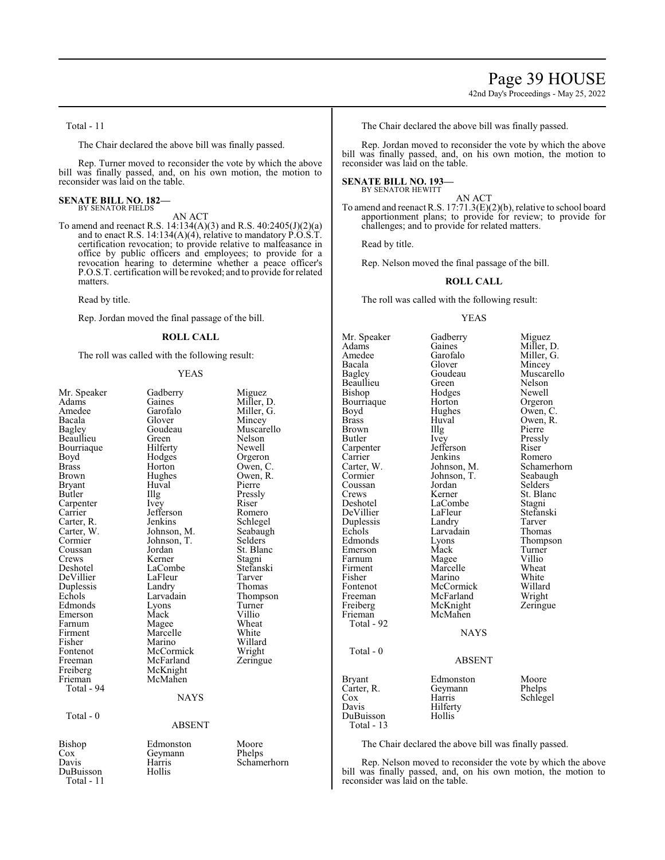42nd Day's Proceedings - May 25, 2022

Total - 11

The Chair declared the above bill was finally passed.

Rep. Turner moved to reconsider the vote by which the above bill was finally passed, and, on his own motion, the motion to reconsider was laid on the table.

#### **SENATE BILL NO. 182—** BY SENATOR FIELDS

AN ACT

To amend and reenact R.S. 14:134(A)(3) and R.S. 40:2405(J)(2)(a) and to enact R.S. 14:134(A)(4), relative to mandatory P.O.S.T. certification revocation; to provide relative to malfeasance in office by public officers and employees; to provide for a revocation hearing to determine whether a peace officer's P.O.S.T. certification will be revoked; and to provide for related matters.

Read by title.

Rep. Jordan moved the final passage of the bill.

#### **ROLL CALL**

The roll was called with the following result:

#### YEAS

| Mr. Speaker<br>Adams<br>Amedee<br>Bacala<br>Bagley<br>Beaullieu<br>Bourriaque<br>Boyd<br><b>Brass</b><br><b>Brown</b><br><b>Bryant</b><br>Butler<br>Carpenter<br>Carrier<br>Carter, R.<br>Carter, W.<br>Cormier<br>Coussan<br>Crews<br>Deshotel<br>DeVillier<br>Duplessis<br>Echols<br>Edmonds<br>Emerson<br>Farnum<br>Firment<br>Fisher<br>Fontenot<br>Freeman<br>Freiberg<br>Frieman<br>Total - 94<br>Total - 0 | Gadberry<br>Gaines<br>Garofalo<br>Glover<br>Goudeau<br>Green<br>Hilferty<br>Hodges<br>Horton<br>Hughes<br>Huval<br>Illg<br><i>lvey</i><br>Jefferson<br>Jenkins<br>Johnson, M.<br>Johnson, T.<br>Jordan<br>Kerner<br>LaCombe<br>LaFleur<br>Landry<br>Larvadain<br>Lyons<br>Mack<br>Magee<br>Marcelle<br>Marino<br>McCormick<br>McFarland<br>McKnight<br>McMahen<br><b>NAYS</b> | Miguez<br>Miller, D.<br>Miller, G.<br>Mincey<br>Muscarello<br>Nelson<br>Newell<br>Orgeron<br>Owen, C.<br>Owen, R.<br>Pierre<br>Pressly<br>Riser<br>Romero<br>Schlegel<br>Seabaugh<br>Selders<br>St. Blanc<br>Stagni<br>Stefanski<br>Tarver<br>Thomas<br>Thompson<br>Turner<br>Villio<br>Wheat<br>White<br>Willard<br>Wright<br>Zeringue |
|-------------------------------------------------------------------------------------------------------------------------------------------------------------------------------------------------------------------------------------------------------------------------------------------------------------------------------------------------------------------------------------------------------------------|-------------------------------------------------------------------------------------------------------------------------------------------------------------------------------------------------------------------------------------------------------------------------------------------------------------------------------------------------------------------------------|-----------------------------------------------------------------------------------------------------------------------------------------------------------------------------------------------------------------------------------------------------------------------------------------------------------------------------------------|
|                                                                                                                                                                                                                                                                                                                                                                                                                   | <b>ABSENT</b>                                                                                                                                                                                                                                                                                                                                                                 |                                                                                                                                                                                                                                                                                                                                         |
|                                                                                                                                                                                                                                                                                                                                                                                                                   |                                                                                                                                                                                                                                                                                                                                                                               |                                                                                                                                                                                                                                                                                                                                         |
| Bishop<br>Cox<br>Davis<br>DuBuisson<br>Total - 11                                                                                                                                                                                                                                                                                                                                                                 | Edmonston<br>Geymann<br>Harris<br>Hollis                                                                                                                                                                                                                                                                                                                                      | Moore<br>Phelps<br>Schamerhorn                                                                                                                                                                                                                                                                                                          |

The Chair declared the above bill was finally passed.

Rep. Jordan moved to reconsider the vote by which the above bill was finally passed, and, on his own motion, the motion to reconsider was laid on the table.

#### **SENATE BILL NO. 193—** BY SENATOR HEWITT

AN ACT

To amend and reenact R.S. 17:71.3(E)(2)(b), relative to school board apportionment plans; to provide for review; to provide for challenges; and to provide for related matters.

Read by title.

Rep. Nelson moved the final passage of the bill.

#### **ROLL CALL**

The roll was called with the following result:

#### YEAS

Mr. Speaker Gadberry Miguez<br>Adams Gaines Miller, 1 Adams Gaines Miller, D.<br>Amedee Garofalo Miller, G. Amedee Garofalo Miller, G.<br>Bacala Glover Mincey Bacala Glover Mincey Goudeau Muscarello<br>Green Nelson Beaullieu Green Nelson<br>Bishop Hodges Newell Bourriaque Horton Orgeron<br>Boyd Hughes Owen, C. Boyd Hughes<br>Brass Huval Brown Illg<br>Butler Ivey Carpenter Jefferson Riser<br>Carrier Jenkins Romero Carrier Jenkins Romero<br>Carter, W. Johnson, M. Schamerhorn Carter, W. Johnson, M. Schamerh<br>Cormier Johnson, T. Seabaugh Coussan Jordan<br>Crews Kerner Crews Kerner St. Blanc<br>Deshotel LaCombe Stagni DeVillier LaFleur Stefans<br>Duplessis Landry Tarver Duplessis Landry Tarver Echols Larvadain<br>Edmonds Lyons Emerson Mack Turner<br>
Farnum Magee Villio Farnum Magee Villio<br>Firment Marcelle Wheat Firment Marcelle Wheat<br>
Fisher Marino White Fisher Marino White<br>Fontenot McCormick Willard Fontenot McCormick Willard<br>Freeman McFarland Wright Freeman McFarland Wright<br>
Freiberg McKnight Zeringue Freiberg McKnight<br>Frieman McMahen McMahen Total - 92 Total - 0 Davis DuBu

Hodges Newell<br>Horton Orgeron Huval Owen, R.<br>Illg Pierre Ivey Pressly<br>Jefferson Riser Johnson, T. Seabaughter Seabaughter Seabaughter Seabaughter Seabaughter Seabaughter Seabaughter Seabaughter Seabaughter Seabaughter Seabaughter Seabaughter Seabaughter Seabaughter Seabaughter Seabaughter Seabaughter Seabau LaCombe Stagni<br>LaFleur Stefanski Lyons Thompson<br>
Mack Turner

Schlegel

NAYS

#### ABSENT

| <b>Bryant</b> | Edmonston | Moore  |
|---------------|-----------|--------|
| Carter, R.    | Geymann   | Phelps |
| $\cos$        | Harris    | Schleg |
| Davis         | Hilferty  |        |
| DuBuisson     | Hollis    |        |
| Total - 13    |           |        |

The Chair declared the above bill was finally passed.

Rep. Nelson moved to reconsider the vote by which the above bill was finally passed, and, on his own motion, the motion to reconsider was laid on the table.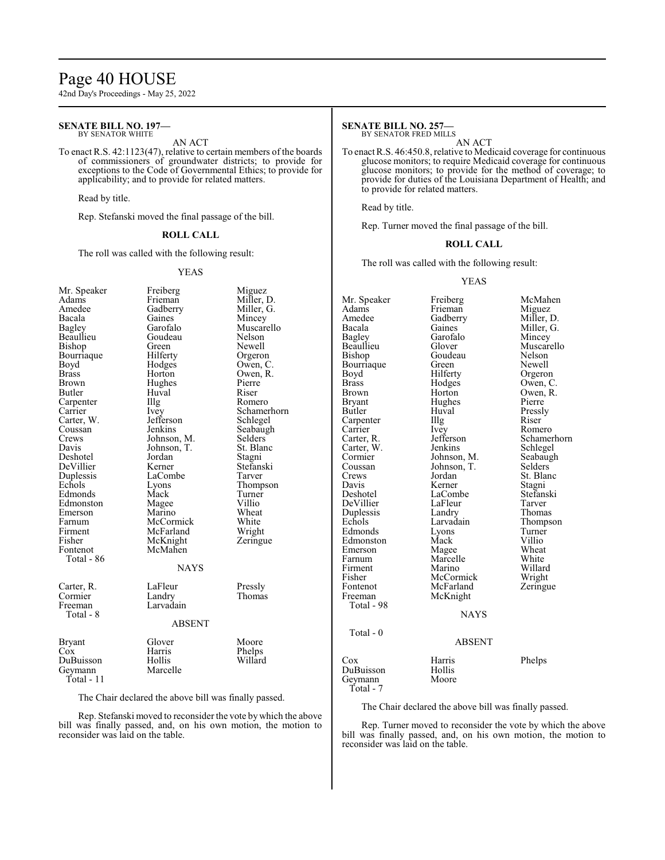## Page 40 HOUSE

42nd Day's Proceedings - May 25, 2022

#### **SENATE BILL NO. 197—** BY SENATOR WHITE

#### AN ACT

To enact R.S. 42:1123(47), relative to certain members of the boards of commissioners of groundwater districts; to provide for exceptions to the Code of Governmental Ethics; to provide for applicability; and to provide for related matters.

Read by title.

Rep. Stefanski moved the final passage of the bill.

#### **ROLL CALL**

The roll was called with the following result:

#### YEAS

| Mr. Speaker   | Freiberg    | Miguez      |  |
|---------------|-------------|-------------|--|
| Adams         | Frieman     | Miller, D.  |  |
| Amedee        | Gadberry    | Miller, G.  |  |
| Bacala        | Gaines      | Mincey      |  |
| Bagley        | Garofalo    | Muscarello  |  |
| Beaullieu     | Goudeau     | Nelson      |  |
| Bishop        | Green       | Newell      |  |
| Bourriaque    | Hilferty    | Orgeron     |  |
| Boyd          | Hodges      | Owen, C.    |  |
| <b>Brass</b>  | Horton      | Owen, R.    |  |
| Brown         | Hughes      | Pierre      |  |
| Butler        | Huval       | Riser       |  |
| Carpenter     | Illg        | Romero      |  |
| Carrier       | Ivey        | Schamerhorn |  |
| Carter, W.    | Jefferson   | Schlegel    |  |
| Coussan       | Jenkins     | Seabaugh    |  |
| Crews         | Johnson, M. | Selders     |  |
| Davis         | Johnson, T. | St. Blanc   |  |
| Deshotel      | Jordan      | Stagni      |  |
| DeVillier     | Kerner      | Stefanski   |  |
| Duplessis     | LaCombe     | Tarver      |  |
| Echols        | Lyons       | Thompson    |  |
| Edmonds       | Mack        | Turner      |  |
| Edmonston     | Magee       | Villio      |  |
| Emerson       | Marino      | Wheat       |  |
| Farnum        | McCormick   | White       |  |
| Firment       | McFarland   | Wright      |  |
| Fisher        | McKnight    | Zeringue    |  |
| Fontenot      | McMahen     |             |  |
| Total - 86    |             |             |  |
|               | <b>NAYS</b> |             |  |
| Carter, R.    | LaFleur     | Pressly     |  |
| Cormier       | Landry      | Thomas      |  |
| Freeman       | Larvadain   |             |  |
| Total - 8     |             |             |  |
| <b>ABSENT</b> |             |             |  |
| <b>Bryant</b> | Glover      | Moore       |  |
| Cox           | Harris      | Phelps      |  |
| DuBuisson     | Hollis      | Willard     |  |
| Geymann       | Marcelle    |             |  |
| Total - 11    |             |             |  |
|               |             |             |  |

The Chair declared the above bill was finally passed.

Rep. Stefanski moved to reconsider the vote by which the above bill was finally passed, and, on his own motion, the motion to reconsider was laid on the table.

## **SENATE BILL NO. 257—**

BY SENATOR FRED MILLS

AN ACT To enact R.S. 46:450.8, relative to Medicaid coverage for continuous glucose monitors; to require Medicaid coverage for continuous glucose monitors; to provide for the method of coverage; to provide for duties of the Louisiana Department of Health; and to provide for related matters.

Read by title.

Rep. Turner moved the final passage of the bill.

#### **ROLL CALL**

The roll was called with the following result:

#### YEAS

Mr. Speaker Freiberg McMahen<br>Adams Frieman Miguez Adams Frieman<br>Amedee Gadberry Amedee Gadberry Miller, D.<br>Bacala Gaines Miller, G. Bacala Gaines Miller, G. Bagley Garofalo Mincey Bagley Garofalo<br>Beaullieu Glover Beaulieu Glover Muscarello<br>Bishop Goudeau Nelson Goudeau Nelson<br>Green Newell Bourriaque Green<br>Boyd Hilferty Boyd Hilferty Orgeron<br>Brass Hodges Owen, C Brass Hodges Owen, C.<br>Brown Horton Owen, R. Brown Horton Owen, R.<br>Bryant Hughes Pierre Bryant Hughes<br>Butler Huyal Huval Pressly<br>Illg Riser Carpenter Illg<br>Carrier Ivey Carrier Ivey Romero<br>Carter, R. Jefferson Schame Jefferson Schamerhorn<br>Jenkins Schlegel Carter, W. Jenkins Schlegel Cormier Johnson, M. Seabaugh<br>Coussan Johnson, T. Selders Coussan Johnson, T.<br>Crews Jordan Crews Jordan St. Blanc<br>
Davis Kerner Stagni Davis Kerner Stagni<br>Deshotel LaCombe Stefanski LaCombe<br>LaFleur Stefans<br>Tarver DeVillier LaFleur Tarver<br>
Duplessis Landry Thomas Duplessis Landry<br>Echols Larvadain Larvadain Thompson<br>Lyons Turner Edmonds Lyons Turner<br>Edmonston Mack Villio Edmonston Mack Villio<br>Emerson Magee Wheat Emerson Magee Wheat<br>
Farnum Marcelle White Farnum Marcelle<br>Firment Marino Firment Marino Willard<br>
Fisher McCormick Wright Fisher McCormick Wright<br>
Fontenot McFarland Zeringue Fontenot McFarland<br>Freeman McKnight McKnight Total - 98 NAYS Total - 0 ABSENT Cox Harris Phelps DuBuisson Hollis Geymann Total - 7

The Chair declared the above bill was finally passed.

Rep. Turner moved to reconsider the vote by which the above bill was finally passed, and, on his own motion, the motion to reconsider was laid on the table.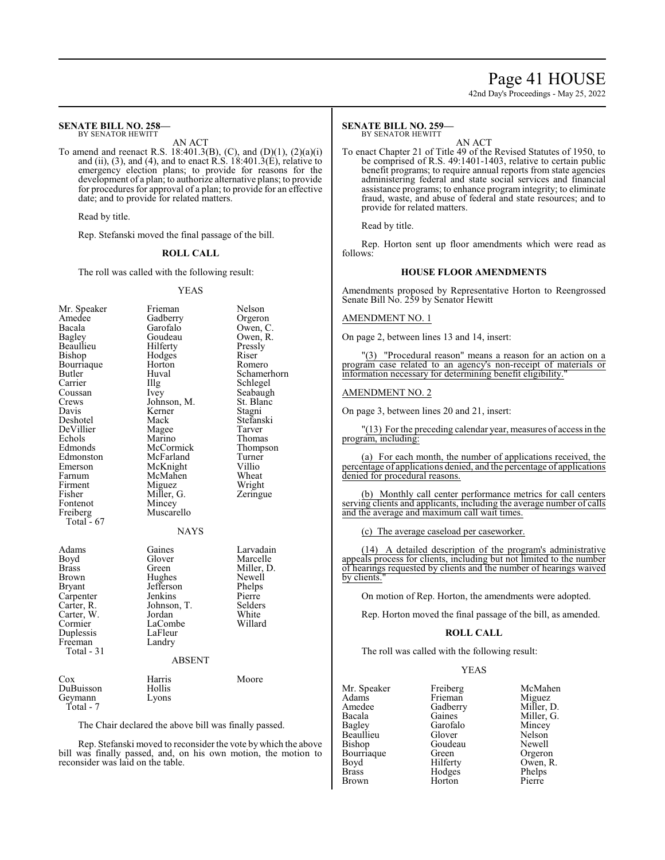## Page 41 HOUSE

42nd Day's Proceedings - May 25, 2022

#### **SENATE BILL NO. 258—** BY SENATOR HEWITT

AN ACT

To amend and reenact R.S. 18:401.3(B), (C), and (D)(1), (2)(a)(i) and (ii), (3), and (4), and to enact R.S.  $18:401.3(E)$ , relative to emergency election plans; to provide for reasons for the development of a plan; to authorize alternative plans; to provide for procedures for approval of a plan; to provide for an effective date; and to provide for related matters.

Read by title.

Rep. Stefanski moved the final passage of the bill.

#### **ROLL CALL**

The roll was called with the following result:

#### YEAS

| Mr. Speaker<br>Amedee<br>Bacala<br>Bagley<br>Beaullieu<br>Bishop<br>Bourriaque<br>Butler<br>Carrier<br>Coussan<br>Crews<br>Davis<br>Deshotel<br>DeVillier<br>Echols<br>Edmonds<br>Edmonston<br>Emerson<br>Farnum<br>Firment<br>Fisher<br>Fontenot<br>Freiberg<br>Total - 67 | Frieman<br>Gadberry<br>Garofalo<br>Goudeau<br>Hilferty<br>Hodges<br>Horton<br>Huval<br>Illg<br>Ivey<br>Johnson, M.<br>Kerner<br>Mack<br>Magee<br>Marino<br>McCormick<br>McFarland<br>McKnight<br>McMahen<br>Miguez<br>Miller, G.<br>Mincey<br>Muscarello<br><b>NAYS</b> | Nelson<br>Orgeron<br>Owen, C.<br>Owen, R.<br>Pressly<br>Riser<br>Romero<br>Schamerhorn<br>Schlegel<br>Seabaugh<br>St. Blanc<br>Stagni<br>Stefanski<br>Tarver<br>Thomas<br>Thompson<br>Turner<br>Villio<br>Wheat<br>Wright<br>Zeringue |
|-----------------------------------------------------------------------------------------------------------------------------------------------------------------------------------------------------------------------------------------------------------------------------|-------------------------------------------------------------------------------------------------------------------------------------------------------------------------------------------------------------------------------------------------------------------------|---------------------------------------------------------------------------------------------------------------------------------------------------------------------------------------------------------------------------------------|
| Adams<br>Boyd<br>Brass<br>Brown<br><b>Bryant</b><br>Carpenter<br>Carter, R.<br>Carter, W.<br>Cormier<br>Duplessis<br>Freeman<br>Total $-31$                                                                                                                                 | Gaines<br>Glover<br>Green<br>Hughes<br>Jefferson<br>Jenkins<br>Johnson, T.<br>Jordan<br>LaCombe<br>LaFleur<br>Landry<br><b>ABSENT</b>                                                                                                                                   | Larvadain<br>Marcelle<br>Miller, D.<br>Newell<br>Phelps<br>Pierre<br>Selders<br>White<br>Willard                                                                                                                                      |
| Cox<br>DuBuisson<br>Geymann<br>Total - 7                                                                                                                                                                                                                                    | Harris<br>Hollis<br>Lyons                                                                                                                                                                                                                                               | Moore                                                                                                                                                                                                                                 |

The Chair declared the above bill was finally passed.

Rep. Stefanski moved to reconsider the vote by which the above bill was finally passed, and, on his own motion, the motion to reconsider was laid on the table.

#### **SENATE BILL NO. 259—** BY SENATOR HEWITT

AN ACT

To enact Chapter 21 of Title 49 of the Revised Statutes of 1950, to be comprised of R.S. 49:1401-1403, relative to certain public benefit programs; to require annual reports from state agencies administering federal and state social services and financial assistance programs; to enhance program integrity; to eliminate fraud, waste, and abuse of federal and state resources; and to provide for related matters.

Read by title.

Rep. Horton sent up floor amendments which were read as follows:

#### **HOUSE FLOOR AMENDMENTS**

Amendments proposed by Representative Horton to Reengrossed Senate Bill No. 259 by Senator Hewitt

#### AMENDMENT NO. 1

On page 2, between lines 13 and 14, insert:

"(3) "Procedural reason" means a reason for an action on a program case related to an agency's non-receipt of materials or information necessary for determining benefit eligibility.

#### AMENDMENT NO. 2

On page 3, between lines 20 and 21, insert:

"(13) For the preceding calendar year, measures of access in the program, including:

(a) For each month, the number of applications received, the percentage of applications denied, and the percentage of applications denied for procedural reasons.

(b) Monthly call center performance metrics for call centers serving clients and applicants, including the average number of calls and the average and maximum call wait times.

(c) The average caseload per caseworker.

(14) A detailed description of the program's administrative appeals process for clients, including but not limited to the number of hearings requested by clients and the number of hearings waived by clients.

On motion of Rep. Horton, the amendments were adopted.

Rep. Horton moved the final passage of the bill, as amended.

#### **ROLL CALL**

The roll was called with the following result:

#### YEAS

| Mr. Speaker  | Freiberg | McMahen    |
|--------------|----------|------------|
| Adams        | Frieman  | Miguez     |
| Amedee       | Gadberry | Miller, D. |
| Bacala       | Gaines   | Miller, G. |
| Bagley       | Garofalo | Mincey     |
| Beaullieu    | Glover   | Nelson     |
| Bishop       | Goudeau  | Newell     |
| Bourriague   | Green    | Orgeron    |
| Boyd         | Hilferty | Owen, R.   |
| <b>Brass</b> | Hodges   | Phelps     |
| <b>Brown</b> | Horton   | Pierre     |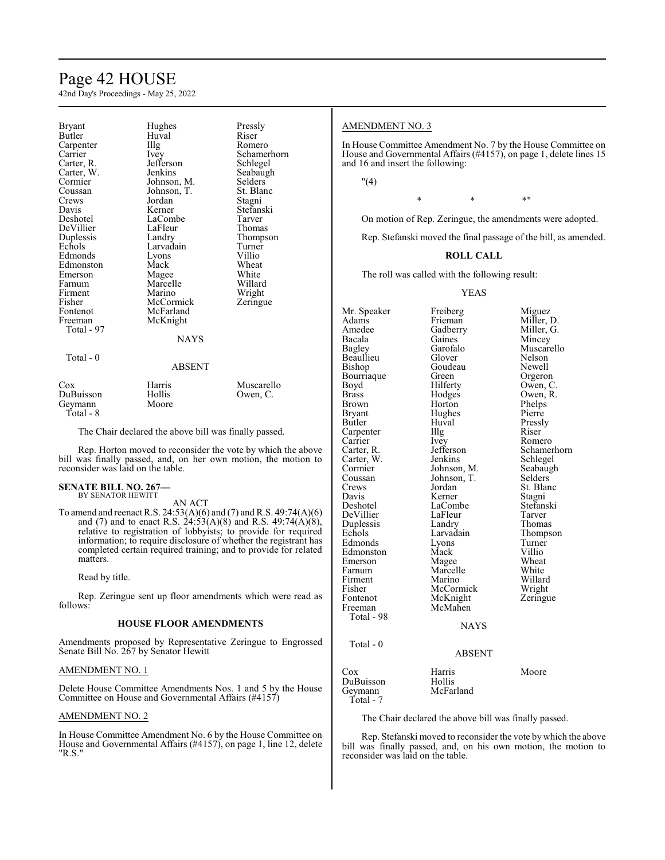## Page 42 HOUSE

42nd Day's Proceedings - May 25, 2022

| Bryant<br>Butler<br>Carpenter<br>Carrier<br>Carter, R.<br>Carter, W.<br>Cormier<br>Coussan<br>Crews<br>Davis<br>Deshotel<br>DeVillier<br>Duplessis<br>Echols<br>Edmonds<br>Edmonston<br>Emerson<br>Farnum<br>Firment<br>Fisher<br>Fontenot<br>Freeman<br>Total - 97<br>Total - 0 | Hughes<br>Huval<br>Illg<br><i>lvey</i><br>Jefferson<br>Jenkins<br>Johnson, M.<br>Johnson, T.<br>Jordan<br>Kerner<br>LaCombe<br>LaFleur<br>Landry<br>Larvadain<br>Lyons<br>Mack<br>Magee<br>Marcelle<br>Marino<br>McCormick<br>McFarland<br>McKnight<br><b>NAYS</b> | Pressly<br>Riser<br>Romero<br>Schamerhorn<br>Schlegel<br>Seabaugh<br>Selders<br>St. Blanc<br>Stagni<br>Stefanski<br>Tarver<br>Thomas<br>Thompson<br>Turner<br>Villio<br>Wheat<br>White<br>Willard<br>Wright<br>Zeringue |
|----------------------------------------------------------------------------------------------------------------------------------------------------------------------------------------------------------------------------------------------------------------------------------|--------------------------------------------------------------------------------------------------------------------------------------------------------------------------------------------------------------------------------------------------------------------|-------------------------------------------------------------------------------------------------------------------------------------------------------------------------------------------------------------------------|
|                                                                                                                                                                                                                                                                                  | <b>ABSENT</b>                                                                                                                                                                                                                                                      |                                                                                                                                                                                                                         |
| Cox<br>DuBuisson<br>Geymann                                                                                                                                                                                                                                                      | Harris<br>Hollis<br>Moore                                                                                                                                                                                                                                          | Muscarello<br>Owen, C.                                                                                                                                                                                                  |

The Chair declared the above bill was finally passed.

Rep. Horton moved to reconsider the vote by which the above bill was finally passed, and, on her own motion, the motion to reconsider was laid on the table.

#### **SENATE BILL NO. 267—** BY SENATOR HEWITT

Geymann Total - 8

AN ACT

To amend and reenact R.S. 24:53(A)(6) and (7) and R.S. 49:74(A)(6) and (7) and to enact R.S. 24:53(A)(8) and R.S. 49:74(A)(8), relative to registration of lobbyists; to provide for required information; to require disclosure of whether the registrant has completed certain required training; and to provide for related matters.

Read by title.

Rep. Zeringue sent up floor amendments which were read as follows:

#### **HOUSE FLOOR AMENDMENTS**

Amendments proposed by Representative Zeringue to Engrossed Senate Bill No. 267 by Senator Hewitt

#### AMENDMENT NO. 1

Delete House Committee Amendments Nos. 1 and 5 by the House Committee on House and Governmental Affairs (#4157)

#### AMENDMENT NO. 2

In House Committee Amendment No. 6 by the House Committee on House and Governmental Affairs (#4157), on page 1, line 12, delete "R.S."

#### AMENDMENT NO. 3

In House Committee Amendment No. 7 by the House Committee on House and Governmental Affairs (#4157), on page 1, delete lines 15 and 16 and insert the following:

"(4)

 $*$  \*  $*$  \*

On motion of Rep. Zeringue, the amendments were adopted.

Rep. Stefanski moved the final passage of the bill, as amended.

#### **ROLL CALL**

The roll was called with the following result:

#### YEAS

Mr. Speaker Freiberg Miguez<br>Adams Frieman Miller, 1 Adams Frieman Miller, D.<br>Amedee Gadberry Miller, G. Amedee Gadberry Miller, G.<br>Bacala Gaines Mincey Bacala Gaines Mincey<br>Bagley Garofalo Muscar Beaullieu Glover Nelson<br>Bishop Goudeau Newell Bourriaque Green<br>Boyd Hilferty Boyd Hilferty Owen, C.<br>Brass Hodges Owen, R. Brass Hodges Owen, R.<br>Brown Horton Phelps Brown Horton Phelps<br>Bryant Hughes Pierre Bryant Hughes<br>Butler Huval Carpenter Illg<br>Carrier Ivey Carrier Ivey Romero<br>Carter, R. Jefferson Schame Carter, W.<br>Cormier Cormier Johnson, M. Seabaugh<br>Coussan Johnson, T. Selders Coussan Johnson, T.<br>Crews Jordan Crews Jordan St. Blanc<br>
Davis Kerner Stagni Davis Kerner<br>Deshotel LaCombe DeVillier LaFleur Tarver<br>
Duplessis Landry Thomas Duplessis Landry<br>Echols Larvadain Edmonds Lyons Turner<br>Edmonston Mack Villio Edmonston Mack Villio<br>Emerson Magee Wheat Emerson Magee Wheat<br>
Farnum Marcelle White Farnum Marcelle White<br>Firment Marino Willard Firment Marino Willard<br>Fisher McCormick Wright Fisher McCormick Wright<br>Fontenot McKnight Zeringue Fontenot McKnight<br>Freeman McMahen Total - 98 Total - 0 Cox Harris Moore

Total - 7

Garofalo Muscarello<br>Glover Nelson Goudeau Newell<br>Green Orgeron Huval Pressly<br>Illg Riser Jefferson Schamerhorn<br>Jenkins Schlegel LaCombe Stefanski<br>LaFleur Tarver Larvadain Thompson<br>Lyons Turner

## **NAYS**

ABSENT

McMahen

DuBuisson Hollis McFarland

The Chair declared the above bill was finally passed.

Rep. Stefanski moved to reconsider the vote by which the above bill was finally passed, and, on his own motion, the motion to reconsider was laid on the table.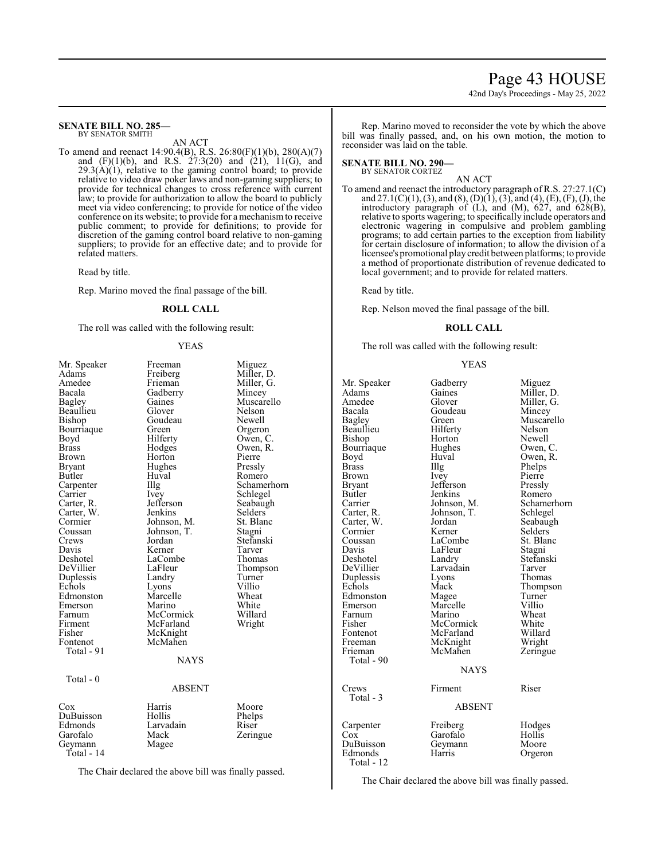## Page 43 HOUSE 42nd Day's Proceedings - May 25, 2022

**SENATE BILL NO. 285—** BY SENATOR SMITH

AN ACT

To amend and reenact 14:90.4(B), R.S. 26:80(F)(1)(b), 280(A)(7) and (F)(1)(b), and R.S. 27:3(20) and (21), 11(G), and  $29.3(A)(1)$ , relative to the gaming control board; to provide relative to video draw poker laws and non-gaming suppliers; to provide for technical changes to cross reference with current law; to provide for authorization to allow the board to publicly meet via video conferencing; to provide for notice of the video conference on its website; to provide for a mechanismto receive public comment; to provide for definitions; to provide for discretion of the gaming control board relative to non-gaming suppliers; to provide for an effective date; and to provide for related matters.

Read by title.

Rep. Marino moved the final passage of the bill.

#### **ROLL CALL**

The roll was called with the following result:

#### YEAS

| Mr. Speaker  | Freeman     | Miguez      |
|--------------|-------------|-------------|
| Adams        | Freiberg    | Miller, D.  |
| Amedee       | Frieman     | Miller, G.  |
| Bacala       | Gadberry    | Mincey      |
| Bagley       | Gaines      | Muscarello  |
| Beaullieu    | Glover      | Nelson      |
| Bishop       | Goudeau     | Newell      |
| Bourriaque   | Green       | Orgeron     |
| Boyd         | Hilferty    | Owen, C.    |
| <b>Brass</b> | Hodges      | Owen, R.    |
| Brown        | Horton      | Pierre      |
| Bryant       | Hughes      | Pressly     |
| Butler       | Huval       | Romero      |
| Carpenter    | Illg        | Schamerhorn |
| Carrier      | Ivey        | Schlegel    |
| Carter, R.   | Jefferson   | Seabaugh    |
| Carter, W.   | Jenkins     | Selders     |
| Cormier      | Johnson, M. | St. Blanc   |
| Coussan      | Johnson, T. | Stagni      |
| Crews        | Jordan      | Stefanski   |
| Davis        | Kerner      | Tarver      |
| Deshotel     | LaCombe     | Thomas      |
| DeVillier    | LaFleur     | Thompson    |
| Duplessis    | Landry      | Turner      |
| Echols       | Lyons       | Villio      |
| Edmonston    | Marcelle    | Wheat       |
| Emerson      | Marino      | White       |
| Farnum       | McCormick   | Willard     |
| Firment      | McFarland   | Wright      |
| Fisher       | McKnight    |             |
| Fontenot     | McMahen     |             |
| Total - 91   |             |             |
|              | <b>NAYS</b> |             |
| Total $-0$   |             |             |
|              | ABSENT      |             |
| Cox          | Harris      | Moore       |
| DuBuisson    | Hollis      | Phelps      |
| Edmonds      | Larvadain   | Riser       |
| Garofalo     | Mack        | Zeringue    |
| Geymann      | Magee       |             |
| Total - 14   |             |             |
|              |             |             |

The Chair declared the above bill was finally passed.

Rep. Marino moved to reconsider the vote by which the above bill was finally passed, and, on his own motion, the motion to reconsider was laid on the table.

**SENATE BILL NO. 290—** BY SENATOR CORTEZ

AN ACT

To amend and reenact the introductory paragraph of R.S. 27:27.1(C) and  $27.1(C)(1)$ , (3), and (8), (D)(1), (3), and (4), (E), (F), (J), the introductory paragraph of (L), and (M), 627, and 628(B), relative to sports wagering; to specifically include operators and electronic wagering in compulsive and problem gambling programs; to add certain parties to the exception from liability for certain disclosure of information; to allow the division of a licensee's promotional playcredit between platforms; to provide a method of proportionate distribution of revenue dedicated to local government; and to provide for related matters.

Read by title.

Rep. Nelson moved the final passage of the bill.

#### **ROLL CALL**

The roll was called with the following result:

#### YEAS

| Mr. Speaker                 | Gadberry                      | Miguez          |
|-----------------------------|-------------------------------|-----------------|
| Adams                       | Gaines                        | Miller, D.      |
| Amedee                      | Glover                        | Miller, G.      |
| Bacala                      | Goudeau                       | Mincey          |
| Bagley                      | Green                         | Muscarello      |
| Beaullieu                   | Hilferty                      | Nelson          |
| Bishop                      | Horton                        | Newell          |
| Bourriaque                  | Hughes                        | Owen, C.        |
| Boyd                        | Huval                         | Owen, R.        |
| Brass                       | Illg                          | Phelps          |
| Brown                       | Ivey                          | Pierre          |
| Bryant                      | Jefferson                     | Pressly         |
| Butler                      | Jenkins                       | Romero          |
| Carrier                     | Johnson, M.                   | Schamerhorn     |
| Carter, R.                  | Johnson, T.                   | Schlegel        |
| Carter, W.                  | Jordan                        | Seabaugh        |
| Cormier                     | Kerner                        | Selders         |
| Coussan                     | LaCombe                       | St. Blanc       |
| Davis                       | LaFleur                       | Stagni          |
| Deshotel                    | Landry                        | Stefanski       |
| DeVillier                   | Larvadain                     | Tarver          |
| Duplessis                   | Lyons                         | Thomas          |
| Echols                      | Mack                          | Thompson        |
| Edmonston                   | Magee                         | Turner          |
| Emerson                     | Marcelle                      | Villio          |
| Farnum                      | Marino                        | Wheat           |
| Fisher                      | McCormick                     | White           |
| Fontenot                    | McFarland                     | Willard         |
| Freeman                     | McKnight                      | Wright          |
| Frieman<br>Total - 90       | McMahen                       | Zeringue        |
|                             | <b>NAYS</b>                   |                 |
| Crews<br>Total - 3          | Firment<br><b>ABSENT</b>      | Riser           |
| Carpenter                   | Freiberg                      | Hodges          |
| Cox<br>DuBuisson<br>Edmonds | Garofalo<br>Geymann<br>Harris | Hollis<br>Moore |
| Total - 12                  |                               | Orgeron         |

The Chair declared the above bill was finally passed.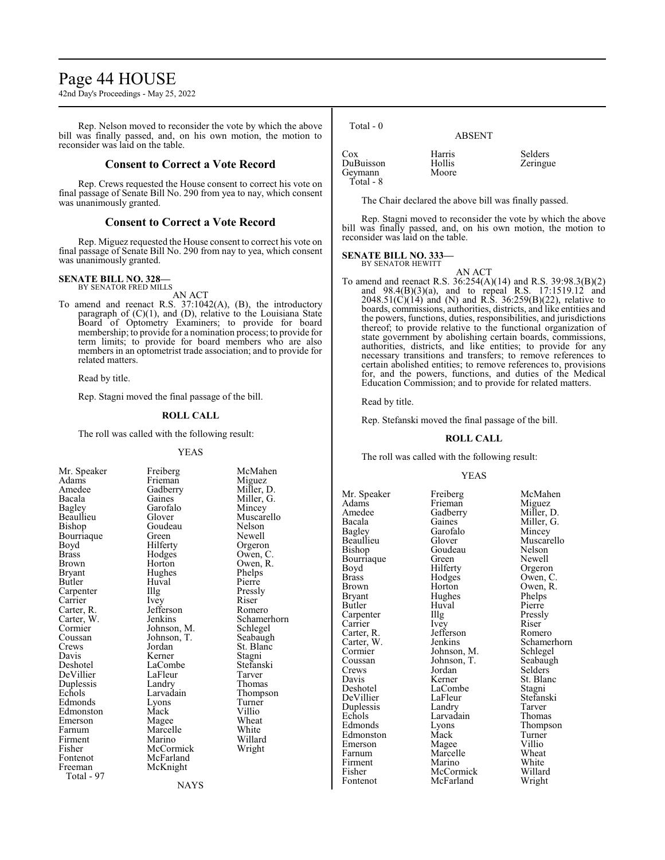## Page 44 HOUSE

42nd Day's Proceedings - May 25, 2022

Rep. Nelson moved to reconsider the vote by which the above bill was finally passed, and, on his own motion, the motion to reconsider was laid on the table.

#### **Consent to Correct a Vote Record**

Rep. Crews requested the House consent to correct his vote on final passage of Senate Bill No. 290 from yea to nay, which consent was unanimously granted.

#### **Consent to Correct a Vote Record**

Rep. Miguez requested the House consent to correct his vote on final passage of Senate Bill No. 290 from nay to yea, which consent was unanimously granted.

#### **SENATE BILL NO. 328—**

BY SENATOR FRED MILLS AN ACT

To amend and reenact R.S. 37:1042(A), (B), the introductory paragraph of (C)(1), and (D), relative to the Louisiana State Board of Optometry Examiners; to provide for board membership; to provide for a nomination process; to provide for term limits; to provide for board members who are also members in an optometrist trade association; and to provide for related matters.

Read by title.

Rep. Stagni moved the final passage of the bill.

#### **ROLL CALL**

The roll was called with the following result:

#### YEAS

| Mr. Speaker  | Freiberg    | McM    |
|--------------|-------------|--------|
| Adams        | Frieman     | Migu   |
| Amedee       | Gadberry    | Millei |
| Bacala       | Gaines      | Miller |
| Bagley       | Garofalo    | Mince  |
| Beaullieu    | Glover      | Musc   |
| Bishop       | Goudeau     | Nelso  |
| Bourriaque   | Green       | Newe   |
| Boyd         | Hilferty    | Orger  |
| <b>Brass</b> | Hodges      | Owen   |
| Brown        | Horton      | Owen   |
| Bryant       | Hughes      | Phelp  |
| Butler       | Huval       | Pierre |
| Carpenter    | Illg        | Pressl |
| Carrier      | Ivey        | Riser  |
| Carter, R.   | Jefferson   | Rome   |
| Carter, W.   | Jenkins     | Schan  |
| Cormier      | Johnson, M. | Schle  |
| Coussan      | Johnson, T. | Seaba  |
| Crews        | Jordan      | St. Bl |
| Davis        | Kerner      | Stagn  |
| Deshotel     | LaCombe     | Stefar |
| DeVillier    | LaFleur     | Tarve  |
| Duplessis    | Landry      | Thom   |
| Echols       | Larvadain   | Thom   |
| Edmonds      | Lyons       | Turne  |
| Edmonston    | Mack        | Villio |
| Emerson      | Magee       | Whea   |
| Farnum       | Marcelle    | White  |
| Firment      | Marino      | Willa  |
| Fisher       | McCormick   | Wrigl  |
| Fontenot     | McFarland   |        |
| Freeman      | McKnight    |        |
| Total - 97   |             |        |

Freiberg McMahen<br>Frieman Miguez Gadberry Miller, D.<br>Gaines Miller, G. Gaines Miller, G.<br>Garofalo Mincey Garofalo Mincey<br>Glover Muscare Muscarello<br>Nelson Green Newell<br>Hilferty Orgeror Hilferty Orgeron<br>Hodges Owen, C Hodges Owen, C.<br>Horton Owen, R. Owen, R.<br>Phelps Hughes Phelps<br>Huval Pierre The Pressly<br>
The Pressly<br>
Riser Jefferson Romero<br>Jenkins Schamer Schamerhorn<br>Schlegel Johnson, M. Schlegel<br>Johnson, T. Seabaugh St. Blanc<br>Stagni Kerner Stagni<br>LaCombe Stefanski LaCombe Stefans<br>LaFleur Tarver Landry Thomas<br>Larvadain Thomps Thompson<br>Turner Lyons Turner<br>
Mack Villio Magee Wheat<br>
Marcelle White Marcelle White<br>
Marino Willard Marino Willard<br>
McCormick Wright

 Total - 0 ABSENT Cox Harris Selders<br>
DuBuisson Hollis Zeringue DuBuisson Hollis<br>Geymann Moore Geymann Total - 8

The Chair declared the above bill was finally passed.

Rep. Stagni moved to reconsider the vote by which the above bill was finally passed, and, on his own motion, the motion to reconsider was laid on the table.

**SENATE BILL NO. 333—** BY SENATOR HEWITT

- AN ACT
- To amend and reenact R.S. 36:254(A)(14) and R.S. 39:98.3(B)(2) and 98.4(B)(3)(a), and to repeal R.S. 17:1519.12 and 2048.51(C)(14) and (N) and R.S. 36:259(B)(22), relative to boards, commissions, authorities, districts, and like entities and the powers, functions, duties, responsibilities, and jurisdictions thereof; to provide relative to the functional organization of state government by abolishing certain boards, commissions, authorities, districts, and like entities; to provide for any necessary transitions and transfers; to remove references to certain abolished entities; to remove references to, provisions for, and the powers, functions, and duties of the Medical Education Commission; and to provide for related matters.

Read by title.

Rep. Stefanski moved the final passage of the bill.

#### **ROLL CALL**

The roll was called with the following result:

#### YEAS

Adams Frieman<br>Amedee Gadberry Bagley Garofalo<br>Beaullieu Glover Bourriaque Green<br>Boyd Hilferty Carter, R. Jefferson<br>Carter, W. Jenkins Cormier Johnson, M.<br>Coussan Johnson, T. Echols Larvadain<br>Edmonds Lyons

Mr. Speaker Freiberg McMahen<br>Adams Frieman Miguez Amedee Gadberry Miller, D.<br>Bacala Gaines Miller. G. Bacala Gaines Miller, G.<br>Bagley Garofalo Mincey Beaullieu Glover Muscarello Goudeau Nelson<br>Green Newell Boyd Hilferty Orgeron<br>Brass Hodges Owen, C Brass Hodges Owen, C. Brown Horton Owen, R.<br>Bryant Hughes Phelps Hughes Phelps<br>Huval Pierre Butler Huval Pierre<br>
Carpenter IIIg Pressly Carpenter Illg Pressl<br>Carrier Ivey Riser Carrier Ivey Riser<br>Carter, R. Jefferson Romero Coussan Johnson, T. Seabaugh Crews Jordan Selders<br>
Davis Kerner St. Blan Davis Kerner St. Blanc<br>Deshotel LaCombe Stagni LaCombe<br>
LaFleur Stefanski DeVillier LaFleur Stefans<br>Duplessis Landry Tarver Duplessis Landry Tarver<br>
Echols Larvadain Thomas Eyons Thompson<br>
Mack Turner Edmonston Mack Turner<br>
Emerson Magee Villio Emerson Magee Villio<br>Farnum Marcelle Wheat Marcelle Wheat<br>
Marino White Firment Marino White<br>Fisher McCormick Willard Fisher McCormick Willard McFarland

Carter, W. Jenkins Schamerhorn<br>Cormier Johnson, M. Schlegel

**NAYS**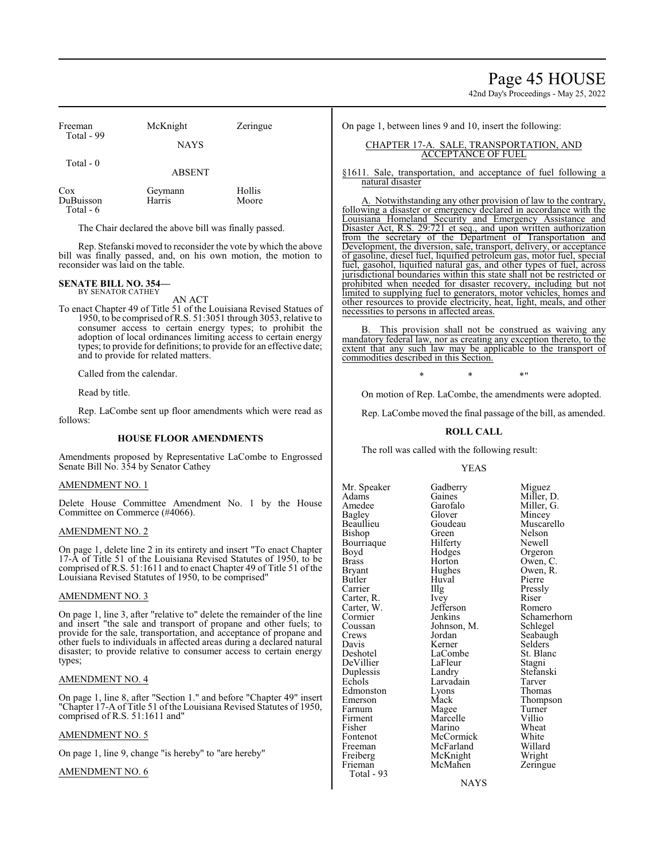## Page 45 HOUSE

42nd Day's Proceedings - May 25, 2022

| Freeman                       | McKnight          | Zeringue        |
|-------------------------------|-------------------|-----------------|
| Total - 99                    | <b>NAYS</b>       |                 |
| Total $-0$                    | <b>ABSENT</b>     |                 |
| Cox<br>DuBuisson<br>Total - 6 | Geymann<br>Harris | Hollis<br>Moore |

The Chair declared the above bill was finally passed.

Rep. Stefanski moved to reconsider the vote by which the above bill was finally passed, and, on his own motion, the motion to reconsider was laid on the table.

#### **SENATE BILL NO. 354—** BY SENATOR CATHEY

AN ACT

To enact Chapter 49 of Title 51 of the Louisiana Revised Statues of 1950, to be comprised ofR.S. 51:3051 through 3053, relative to consumer access to certain energy types; to prohibit the adoption of local ordinances limiting access to certain energy types; to provide for definitions; to provide for an effective date; and to provide for related matters.

Called from the calendar.

Read by title.

Rep. LaCombe sent up floor amendments which were read as follows:

#### **HOUSE FLOOR AMENDMENTS**

Amendments proposed by Representative LaCombe to Engrossed Senate Bill No. 354 by Senator Cathey

#### AMENDMENT NO. 1

Delete House Committee Amendment No. 1 by the House Committee on Commerce (#4066).

#### AMENDMENT NO. 2

On page 1, delete line 2 in its entirety and insert "To enact Chapter 17-A of Title 51 of the Louisiana Revised Statutes of 1950, to be comprised of R.S. 51:1611 and to enact Chapter 49 of Title 51 of the Louisiana Revised Statutes of 1950, to be comprised"

#### AMENDMENT NO. 3

On page 1, line 3, after "relative to" delete the remainder of the line and insert "the sale and transport of propane and other fuels; to provide for the sale, transportation, and acceptance of propane and other fuels to individuals in affected areas during a declared natural disaster; to provide relative to consumer access to certain energy types;

#### AMENDMENT NO. 4

On page 1, line 8, after "Section 1." and before "Chapter 49" insert "Chapter 17-A of Title 51 of the Louisiana Revised Statutes of 1950, comprised of R.S. 51:1611 and"

#### AMENDMENT NO. 5

On page 1, line 9, change "is hereby" to "are hereby"

#### AMENDMENT NO. 6

On page 1, between lines 9 and 10, insert the following:

#### CHAPTER 17-A. SALE, TRANSPORTATION, AND ACCEPTANCE OF FUEL

§1611. Sale, transportation, and acceptance of fuel following a natural disaster

A. Notwithstanding any other provision of law to the contrary, following a disaster or emergency declared in accordance with the Louisiana Homeland Security and Emergency Assistance and Disaster Act, R.S. 29:721 et seq., and upon written authorization from the secretary of the Department of Transportation and Development, the diversion, sale, transport, delivery, or acceptance of gasoline, diesel fuel, liquified petroleum gas, motor fuel, special fuel, gasohol, liquified natural gas, and other types of fuel, across jurisdictional boundaries within this state shall not be restricted or prohibited when needed for disaster recovery, including but not limited to supplying fuel to generators, motor vehicles, homes and other resources to provide electricity, heat, light, meals, and other necessities to persons in affected areas.

This provision shall not be construed as waiving any mandatory federal law, nor as creating any exception thereto, to the extent that any such law may be applicable to the transport of commodities described in this Section.

 $*$  \*  $*$  \*  $*$  "

On motion of Rep. LaCombe, the amendments were adopted.

Rep. LaCombe moved the final passage of the bill, as amended.

#### **ROLL CALL**

The roll was called with the following result:

#### YEAS

Mr. Speaker Gadberry Miguez<br>Adams Gaines Miller, 1 Adams Gaines Miller, D.<br>Amedee Garofalo Miller G Amedee Garofalo Miller, G.<br>Bagley Glover Mincey Bagley Glover Mincey Bishop Green Nelson<br>Bourriaque Hilferty Newell Bourriaque Hilferty<br>Boyd Hodges Boyd Hodges Orgeron Brass Horton Owen, C. Bryant Hughes Owen, R.<br>Butler Huval Pierre Butler Huval Pierre Carrier IIIg Pressly<br>Carter, R. Ivey Riser Carter, R. Ivey Riser Riser<br>Carter, W. Jefferson Romero Carter, W. Jefferson<br>Cormier Jenkins Coussan Johnson, M.<br>Crews Jordan Crews Jordan Seabaugh<br>
Davis Kerner Selders Davis Kerner Selders<br>Deshotel LaCombe St. Blanc DeVillier LaFleur Stagni Duplessis Landry Stefans<br>Echols Larvadain Tarver Edmonston Lyons<br>Emerson Mack Emerson Mack Thompson<br>
Farnum Magee Turner Farnum Magee Turner<br>Firment Marcelle Villio Firment Marcelle Villio<br>Fisher Marino Wheat Fisher Marino Wheat<br>Fontenot McCormick White Fontenot McCormick White Freeman McFarland Willard<br>
Freiberg McKnight Wright Freiberg McKnight Wright<br>Frieman McMahen Zeringue Total - 93

LaCombe<br>
LaFleur Stagni Larvadain Tarver<br>
Lyons Thomas McMahen

Goudeau Muscarello<br>Green Nelson Cormier Jenkins Schamerhorn<br>Coussan Johnson, M. Schlegel

NAYS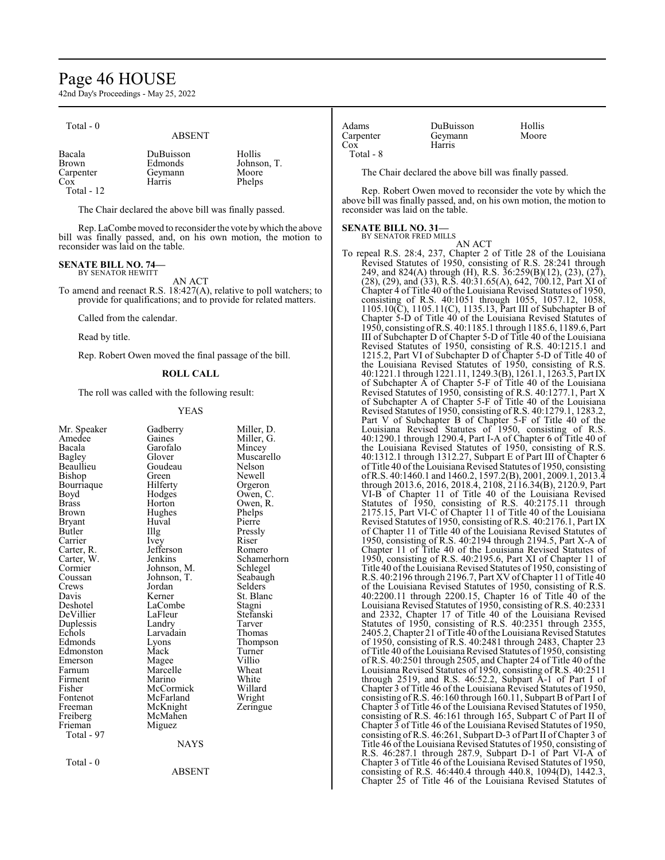## Page 46 HOUSE

42nd Day's Proceedings - May 25, 2022

| Total - 0 |  |
|-----------|--|
|-----------|--|

## ABSENT

The Chair declared the above bill was finally passed.

Rep. LaCombe moved to reconsider the vote by which the above bill was finally passed, and, on his own motion, the motion to reconsider was laid on the table.

#### **SENATE BILL NO. 74—**

BY SENATOR HEWITT AN ACT

To amend and reenact R.S. 18:427(A), relative to poll watchers; to provide for qualifications; and to provide for related matters.

Called from the calendar.

Read by title.

Rep. Robert Owen moved the final passage of the bill.

#### **ROLL CALL**

The roll was called with the following result:

#### YEAS

| Mr. Speaker | Gadberry    | Miller, D.  |
|-------------|-------------|-------------|
| Amedee      | Gaines      | Miller, G.  |
| Bacala      | Garofalo    | Mincey      |
| Bagley      | Glover      | Muscarello  |
| Beaullieu   | Goudeau     | Nelson      |
| Bishop      | Green       | Newell      |
| Bourriaque  | Hilferty    | Orgeron     |
| Boyd        | Hodges      | Owen, C.    |
| Brass       | Horton      | Owen, R.    |
| Brown       | Hughes      | Phelps      |
| Bryant      | Huval       | Pierre      |
| Butler      | Illg        | Pressly     |
| Carrier     | <i>lvey</i> | Riser       |
| Carter, R.  | Jefferson   | Romero      |
| Carter, W.  | Jenkins     | Schamerhorn |
| Cormier     | Johnson, M. | Schlegel    |
| Coussan     | Johnson, T. | Seabaugh    |
| Crews       | Jordan      | Selders     |
| Davis       | Kerner      | St. Blanc   |
| Deshotel    | LaCombe     | Stagni      |
| DeVillier   | LaFleur     | Stefanski   |
| Duplessis   | Landry      | Tarver      |
| Echols      | Larvadain   | Thomas      |
| Edmonds     | Lyons       | Thompson    |
| Edmonston   | Mack        | Turner      |
| Emerson     | Magee       | Villio      |
| Farnum      | Marcelle    | Wheat       |
| Firment     | Marino      | White       |
| Fisher      | McCormick   | Willard     |
| Fontenot    | McFarland   | Wright      |
| Freeman     | McKnight    | Zeringue    |
| Freiberg    | McMahen     |             |
| Frieman     | Miguez      |             |
| Total - 97  |             |             |
|             | <b>NAYS</b> |             |
| Total - 0   |             |             |
|             | ABSENT      |             |
|             |             |             |

| Adams     | DuBuisson | <b>Hollis</b> |
|-----------|-----------|---------------|
| Carpenter | Geymann   | Moore         |
| Cox       | Harris    |               |
| Total - 8 |           |               |

The Chair declared the above bill was finally passed.

Rep. Robert Owen moved to reconsider the vote by which the above bill was finally passed, and, on his own motion, the motion to reconsider was laid on the table.

#### **SENATE BILL NO. 31—**

BY SENATOR FRED MILLS

AN ACT To repeal R.S. 28:4, 237, Chapter 2 of Title 28 of the Louisiana Revised Statutes of 1950, consisting of R.S. 28:241 through 249, and 824(A) through (H), R.S. 36:259(B)(12), (23), (27), (28), (29), and (33), R.S. 40:31.65(A), 642, 700.12, Part XI of Chapter 4 of Title 40 of the Louisiana Revised Statutes of 1950, consisting of R.S. 40:1051 through 1055, 1057.12, 1058, 1105.10(C), 1105.11(C), 1135.13, Part III of Subchapter B of Chapter 5-D of Title 40 of the Louisiana Revised Statutes of 1950, consisting ofR.S. 40:1185.1 through 1185.6, 1189.6, Part III of Subchapter D of Chapter 5-D of Title 40 of the Louisiana Revised Statutes of 1950, consisting of R.S. 40:1215.1 and 1215.2, Part VI of Subchapter D of Chapter 5-D of Title 40 of the Louisiana Revised Statutes of 1950, consisting of R.S. 40:1221.1 through 1221.11, 1249.3(B), 1261.1, 1263.5, Part IX of Subchapter A of Chapter 5-F of Title 40 of the Louisiana Revised Statutes of 1950, consisting of R.S. 40:1277.1, Part X of Subchapter A of Chapter 5-F of Title 40 of the Louisiana Revised Statutes of 1950, consisting of R.S. 40:1279.1, 1283.2, Part V of Subchapter B of Chapter 5-F of Title 40 of the Louisiana Revised Statutes of 1950, consisting of R.S. 40:1290.1 through 1290.4, Part I-A of Chapter 6 of Title 40 of the Louisiana Revised Statutes of 1950, consisting of R.S. 40:1312.1 through 1312.27, Subpart E of Part III of Chapter 6 of Title 40 ofthe Louisiana Revised Statutes of 1950, consisting ofR.S. 40:1460.1 and 1460.2, 1597.2(B), 2001, 2009.1, 2013.4 through 2013.6, 2016, 2018.4, 2108, 2116.34(B), 2120.9, Part VI-B of Chapter 11 of Title 40 of the Louisiana Revised Statutes of 1950, consisting of R.S. 40:2175.11 through 2175.15, Part VI-C of Chapter 11 of Title 40 of the Louisiana Revised Statutes of 1950, consisting of R.S. 40:2176.1, Part IX of Chapter 11 of Title 40 of the Louisiana Revised Statutes of 1950, consisting of R.S. 40:2194 through 2194.5, Part X-A of Chapter 11 of Title 40 of the Louisiana Revised Statutes of 1950, consisting of R.S. 40:2195.6, Part XI of Chapter 11 of Title 40 of the Louisiana Revised Statutes of 1950, consisting of R.S. 40:2196 through 2196.7, Part XV ofChapter 11 of Title 40 of the Louisiana Revised Statutes of 1950, consisting of R.S. 40:2200.11 through 2200.15, Chapter 16 of Title 40 of the Louisiana Revised Statutes of 1950, consisting of R.S. 40:2331 and 2332, Chapter 17 of Title 40 of the Louisiana Revised Statutes of 1950, consisting of R.S. 40:2351 through 2355, 2405.2, Chapter 21 of Title 40 ofthe Louisiana Revised Statutes of 1950, consisting of R.S. 40:2481 through 2483, Chapter 23 of Title 40 of the Louisiana Revised Statutes of 1950, consisting of R.S. 40:2501 through 2505, and Chapter 24 of Title 40 of the Louisiana Revised Statutes of 1950, consisting of R.S. 40:2511 through 2519, and R.S. 46:52.2, Subpart A-1 of Part I of Chapter 3 of Title 46 of the Louisiana Revised Statutes of 1950, consisting of R.S. 46:160 through 160.11, Subpart B of Part I of Chapter 3 of Title 46 of the Louisiana Revised Statutes of 1950, consisting of R.S. 46:161 through 165, Subpart C of Part II of Chapter 3 of Title 46 of the Louisiana Revised Statutes of 1950, consisting of R.S. 46:261, Subpart D-3 of Part II of Chapter 3 of Title 46 ofthe Louisiana Revised Statutes of 1950, consisting of R.S. 46:287.1 through 287.9, Subpart D-1 of Part VI-A of Chapter 3 of Title 46 of the Louisiana Revised Statutes of 1950, consisting of R.S. 46:440.4 through 440.8, 1094(D), 1442.3, Chapter 25 of Title 46 of the Louisiana Revised Statutes of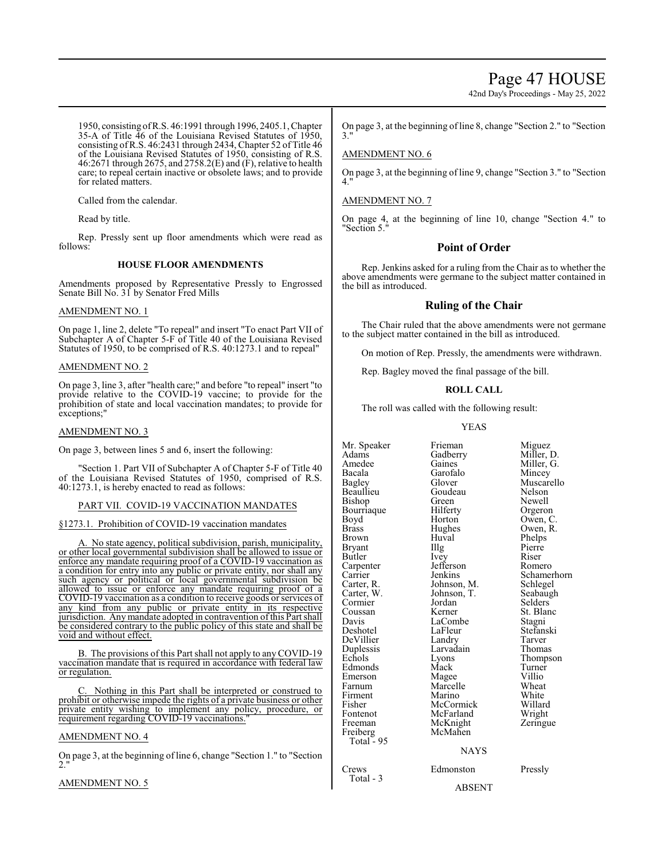## Page 47 HOUSE

42nd Day's Proceedings - May 25, 2022

1950, consisting ofR.S. 46:1991 through 1996, 2405.1, Chapter 35-A of Title 46 of the Louisiana Revised Statutes of 1950, consisting ofR.S. 46:2431 through 2434, Chapter 52 of Title 46 of the Louisiana Revised Statutes of 1950, consisting of R.S. 46:2671 through 2675, and 2758.2(E) and (F), relative to health care; to repeal certain inactive or obsolete laws; and to provide for related matters.

Called from the calendar.

Read by title.

Rep. Pressly sent up floor amendments which were read as follows:

#### **HOUSE FLOOR AMENDMENTS**

Amendments proposed by Representative Pressly to Engrossed Senate Bill No. 31 by Senator Fred Mills

#### AMENDMENT NO. 1

On page 1, line 2, delete "To repeal" and insert "To enact Part VII of Subchapter A of Chapter 5-F of Title 40 of the Louisiana Revised Statutes of 1950, to be comprised of R.S. 40:1273.1 and to repeal"

#### AMENDMENT NO. 2

On page 3, line 3, after "health care;" and before "to repeal" insert "to provide relative to the COVID-19 vaccine; to provide for the prohibition of state and local vaccination mandates; to provide for exceptions;

#### AMENDMENT NO. 3

On page 3, between lines 5 and 6, insert the following:

"Section 1. Part VII of Subchapter A of Chapter 5-F of Title 40 of the Louisiana Revised Statutes of 1950, comprised of R.S. 40:1273.1, is hereby enacted to read as follows:

#### PART VII. COVID-19 VACCINATION MANDATES

§1273.1. Prohibition of COVID-19 vaccination mandates

A. No state agency, political subdivision, parish, municipality, or other local governmental subdivision shall be allowed to issue or enforce any mandate requiring proof of a COVID-19 vaccination as a condition for entry into any public or private entity, nor shall any such agency or political or local governmental subdivision be allowed to issue or enforce any mandate requiring proof of a COVID-19 vaccination as a condition to receive goods or services of any kind from any public or private entity in its respective jurisdiction. Any mandate adopted in contravention ofthis Part shall be considered contrary to the public policy of this state and shall be void and without effect.

B. The provisions of this Part shall not apply to anyCOVID-19 vaccination mandate that is required in accordance with federal law or regulation.

Nothing in this Part shall be interpreted or construed to prohibit or otherwise impede the rights of a private business or other private entity wishing to implement any policy, procedure, or requirement regarding COVID-19 vaccinations."

#### AMENDMENT NO. 4

On page 3, at the beginning of line 6, change "Section 1." to "Section 2."

#### AMENDMENT NO. 5

On page 3, at the beginning of line 8, change "Section 2." to "Section 3."

#### AMENDMENT NO. 6

On page 3, at the beginning of line 9, change "Section 3." to "Section 4."

#### AMENDMENT NO. 7

On page 4, at the beginning of line 10, change "Section 4." to "Section 5."

## **Point of Order**

Rep. Jenkins asked for a ruling from the Chair as to whether the above amendments were germane to the subject matter contained in the bill as introduced.

#### **Ruling of the Chair**

The Chair ruled that the above amendments were not germane to the subject matter contained in the bill as introduced.

On motion of Rep. Pressly, the amendments were withdrawn.

Rep. Bagley moved the final passage of the bill.

#### **ROLL CALL**

The roll was called with the following result:

#### YEAS

Mr. Speaker Frieman Miguez<br>Adams Gadberry Miller, D. Adams Gadberry<br>Amedee Gaines Amedee Gaines Miller, G.<br>Bacala Garofalo Mincey Bacala Garofalo<br>Bagley Glover Beaullieu Goudeau Nelson Bishop Green Newell<br>Bourriaque Hilferty Orgeron Bourriaque Hilferty<br>Boyd Horton Boyd Horton Owen, C.<br>Brass Hughes Owen, R. Brass Hughes Owen, R.<br>Brown Huval Phelps Bryant Illg Pierre<br>Butler Ivey Riser Butler Ivey Riser Carpenter Jefferson Romero<br>Carrier Jenkins Schame Carter, R. Johnson, M. Schlegel<br>Carter, W. Johnson, T. Seabaugh Carter, W. Johnson, T.<br>Cormier Jordan Coussan Kerner St. Blanc Davis LaCombe<br>
Deshotel LaFleur DeVillier Landry Tarver<br>
Duplessis Larvadain Thomas Duplessis Larvadain<br>
Echols Lyons Edmonds Mack Turner<br>
Emerson Magee Villio Emerson Magee Villio<br>
Farnum Marcelle Wheat Farnum Marcelle Wheat<br>Firment Marino White Firment Marino White Fisher McCormick Willard Fontenot McFarland<br>Freeman McKnight Freiberg Total  $-95$ Crews Edmonston Pressly

Total - 3

Huval Phelps<br>Illg Pierre

Glover Muscarello<br>Goudeau Nelson Carrier Jenkins Schamerhorn<br>Carter, R. Johnson, M. Schlegel Selders<sup>'</sup> LaFleur Stefanski<br>Landry Tarver Eyons Thompson<br>
Mack Turner McKnight Zeringue<br>McMahen

## NAYS

#### ABSENT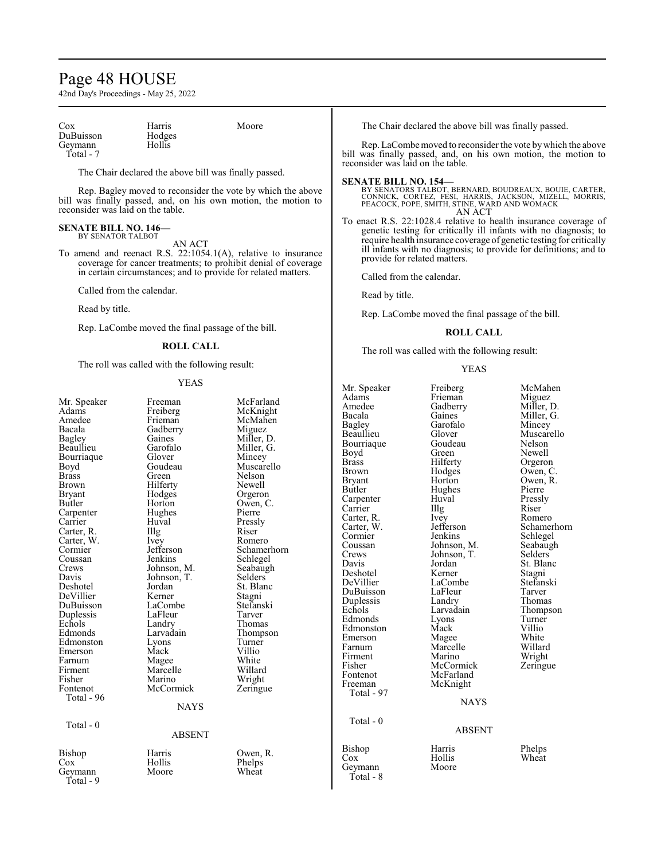## Page 48 HOUSE

42nd Day's Proceedings - May 25, 2022

| Cox       | Harris |
|-----------|--------|
| DuBuisson | Hodges |
| Geymann   | Hollis |
| Total - 7 |        |

The Chair declared the above bill was finally passed.

Rep. Bagley moved to reconsider the vote by which the above bill was finally passed, and, on his own motion, the motion to reconsider was laid on the table.

Moore

#### **SENATE BILL NO. 146—** BY SENATOR TALBOT

AN ACT

To amend and reenact R.S. 22:1054.1(A), relative to insurance coverage for cancer treatments; to prohibit denial of coverage in certain circumstances; and to provide for related matters.

Called from the calendar.

Read by title.

Rep. LaCombe moved the final passage of the bill.

#### **ROLL CALL**

The roll was called with the following result:

#### YEAS

| Mr. Speaker   | Freeman       | McFarland   |
|---------------|---------------|-------------|
| Adams         | Freiberg      | McKnight    |
| Amedee        | Frieman       | McMahen     |
| Bacala        | Gadberry      | Miguez      |
| Bagley        | Gaines        | Miller, D.  |
| Beaullieu     | Garofalo      | Miller, G.  |
| Bourriaque    | Glover        | Mincey      |
| Boyd          | Goudeau       | Muscarello  |
| <b>Brass</b>  | Green         | Nelson      |
| <b>Brown</b>  | Hilferty      | Newell      |
| <b>Bryant</b> | Hodges        | Orgeron     |
| Butler        | Horton        | Owen, C.    |
| Carpenter     | Hughes        | Pierre      |
| Carrier       | Huval         | Pressly     |
| Carter, R.    | Illg          | Riser       |
| Carter, W.    | Ivey          | Romero      |
| Cormier       | Jefferson     | Schamerhorn |
| Coussan       | Jenkins       | Schlegel    |
| Crews         | Johnson, M.   | Seabaugh    |
| Davis         | Johnson, T.   | Selders     |
| Deshotel      | Jordan        | St. Blanc   |
| DeVillier     | Kerner        | Stagni      |
| DuBuisson     | LaCombe       | Stefanski   |
| Duplessis     | LaFleur       | Tarver      |
| Echols        | Landry        | Thomas      |
| Edmonds       | Larvadain     | Thompson    |
| Edmonston     | Lyons         | Turner      |
| Emerson       | Mack          | Villio      |
| Farnum        | Magee         | White       |
| Firment       | Marcelle      | Willard     |
| Fisher        | Marino        | Wright      |
| Fontenot      | McCormick     | Zeringue    |
| Total - 96    |               |             |
|               | <b>NAYS</b>   |             |
| Total - $0$   |               |             |
|               | <b>ABSENT</b> |             |
| Bishop        | Harris        | Owen, R.    |
| Cox           | Hollis        | Phelps      |
| Geymann       | Moore         | Wheat       |
| Total - 9     |               |             |
|               |               |             |

The Chair declared the above bill was finally passed.

Rep. LaCombe moved to reconsider the vote bywhich the above bill was finally passed, and, on his own motion, the motion to reconsider was laid on the table.

#### **SENATE BILL NO. 154—**

BY SENATORS TALBOT, BERNARD, BOUDREAUX, BOUIE, CARTER,<br>CONNICK, CORTEZ, FESI, HARRIS, JACKSON, MIZELL, MORRIS,<br>PEACOCK, POPE, SMITH, STINE, WARD AND WOMACK AN ACT

To enact R.S. 22:1028.4 relative to health insurance coverage of genetic testing for critically ill infants with no diagnosis; to require health insurance coverage of genetic testing for critically ill infants with no diagnosis; to provide for definitions; and to provide for related matters.

Called from the calendar.

Read by title.

Rep. LaCombe moved the final passage of the bill.

#### **ROLL CALL**

The roll was called with the following result:

#### YEAS

| Mr. Speaker<br>Adams<br>Amedee<br>Bacala<br>Bagley<br>Beaullieu<br>Bourriaque<br>Boyd<br><b>Brass</b><br>Brown<br>Bryant<br>Butler<br>Carpenter<br>Carrier<br>Carter, R.<br>Carter, W.<br>Cormier<br>Coussan<br>Crews<br>Davis<br>Deshotel<br>DeVillier<br>DuBuisson<br>Duplessis<br>Echols<br>Edmonds<br>Edmonston<br>Emerson<br>Farnum<br>Firment<br>Fisher<br>Fontenot<br>Freeman<br>Total - 97 | Freiberg<br>Frieman<br>Gadberry<br>Gaines<br>Garofalo<br>Glover<br>Goudeau<br>Green<br>Hilferty<br>Hodges<br>Horton<br>Hughes<br>Huval<br>$\prod$ llg<br>Ivey<br>Jefferson<br>Jenkins<br>Johnson, M.<br>Johnson, T.<br>Jordan<br>Kerner<br>LaCombe<br>LaFleur<br>Landry<br>Larvadain<br>Lyons<br>Mack<br>Magee<br>Marcelle<br>Marino<br>McCormick<br>McFarland<br>McKnight | McMahen<br>Miguez<br>Miller, D.<br>Miller, G.<br>Mincey<br>Muscarello<br>Nelson<br>Newell<br>Orgeron<br>Owen, C.<br>Owen, R.<br>Pierre<br>Pressly<br>Riser<br>Romero<br>Schamerhorn<br>Schlegel<br>Seabaugh<br>Selders<br>St. Blanc<br>Stagni<br>Stefanski<br>Tarver<br>Thomas<br>Thompson<br>Turner<br>Villio<br>White<br>Willard<br>Wright<br>Zeringue |
|----------------------------------------------------------------------------------------------------------------------------------------------------------------------------------------------------------------------------------------------------------------------------------------------------------------------------------------------------------------------------------------------------|----------------------------------------------------------------------------------------------------------------------------------------------------------------------------------------------------------------------------------------------------------------------------------------------------------------------------------------------------------------------------|----------------------------------------------------------------------------------------------------------------------------------------------------------------------------------------------------------------------------------------------------------------------------------------------------------------------------------------------------------|
|                                                                                                                                                                                                                                                                                                                                                                                                    | <b>NAYS</b>                                                                                                                                                                                                                                                                                                                                                                |                                                                                                                                                                                                                                                                                                                                                          |
| $Total - 0$                                                                                                                                                                                                                                                                                                                                                                                        | ABSENT                                                                                                                                                                                                                                                                                                                                                                     |                                                                                                                                                                                                                                                                                                                                                          |

Geymann Total - 8

#### $\mathbf S$

#### $\sqrt{\text{T}}$

Bishop Harris Phelps<br>Cox Hollis Wheat Hollis Wheat<br>Moore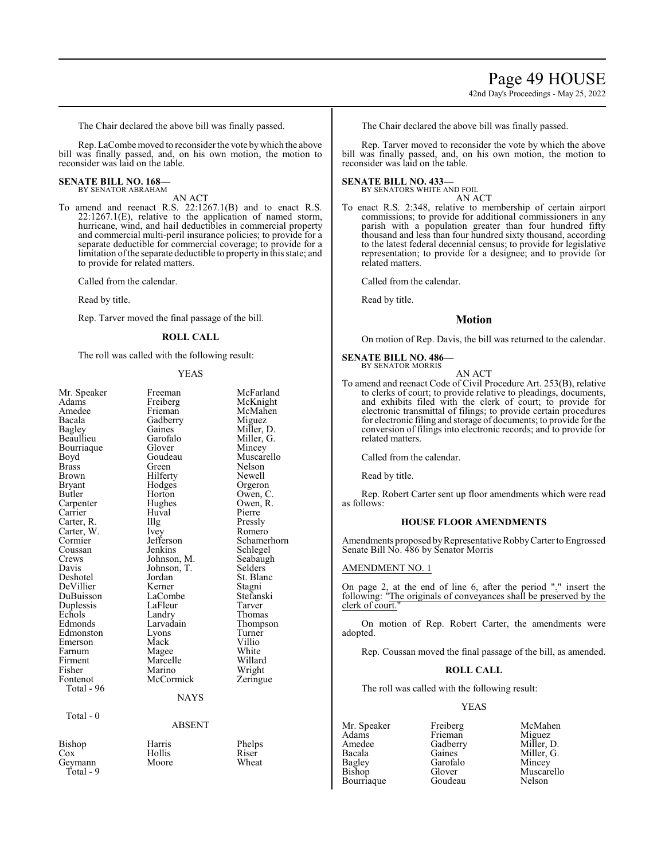# Page 49 HOUSE

42nd Day's Proceedings - May 25, 2022

The Chair declared the above bill was finally passed.

Rep. LaCombe moved to reconsider the vote by which the above bill was finally passed, and, on his own motion, the motion to reconsider was laid on the table.

#### **SENATE BILL NO. 168—** BY SENATOR ABRAHAM

AN ACT

To amend and reenact R.S. 22:1267.1(B) and to enact R.S. 22:1267.1(E), relative to the application of named storm, hurricane, wind, and hail deductibles in commercial property and commercial multi-peril insurance policies; to provide for a separate deductible for commercial coverage; to provide for a limitation ofthe separate deductible to property in this state; and to provide for related matters.

Called from the calendar.

Read by title.

Rep. Tarver moved the final passage of the bill.

#### **ROLL CALL**

The roll was called with the following result:

#### YEAS

| Mr. Speaker<br>Adams<br>Amedee<br>Bacala<br><b>Bagley</b><br>Beaullieu<br>Bourriaque<br>Boyd<br><b>Brass</b><br>Brown<br>Bryant<br>Butler<br>Carpenter<br>Carrier<br>Carter, R.<br>Carter, W.<br>Cormier<br>Coussan<br>Crews<br>Davis<br>Deshotel<br>DeVillier<br>DuBuisson<br>Duplessis<br>Echols<br>Edmonds<br>Edmonston<br>Emerson<br>Farnum | Freeman<br>Freiberg<br>Frieman<br>Gadberry<br>Gaines<br>Garofalo<br>Glover<br>Goudeau<br>Green<br>Hilferty<br>Hodges<br>Horton<br>Hughes<br>Huval<br>Illg<br>Ivey<br>Jefferson<br>Jenkins<br>Johnson, M.<br>Johnson, T.<br>Jordan<br>Kerner<br>LaCombe<br>LaFleur<br>Landry<br>Larvadain<br>Lyons<br>Mack<br>Magee | McFarland<br>McKnight<br>McMahen<br>Miguez<br>Miller, D.<br>Miller, G.<br>Mincey<br>Muscarello<br>Nelson<br>Newell<br>Orgeron<br>Owen, C.<br>Owen, R.<br>Pierre<br>Pressly<br>Romero<br>Schamerhorn<br>Schlegel<br>Seabaugh<br>Selders<br>St. Blanc<br>Stagni<br>Stefanski<br>Tarver<br>Thomas<br>Thompson<br>Turner<br>Villio<br>White |
|-------------------------------------------------------------------------------------------------------------------------------------------------------------------------------------------------------------------------------------------------------------------------------------------------------------------------------------------------|--------------------------------------------------------------------------------------------------------------------------------------------------------------------------------------------------------------------------------------------------------------------------------------------------------------------|-----------------------------------------------------------------------------------------------------------------------------------------------------------------------------------------------------------------------------------------------------------------------------------------------------------------------------------------|
|                                                                                                                                                                                                                                                                                                                                                 |                                                                                                                                                                                                                                                                                                                    |                                                                                                                                                                                                                                                                                                                                         |
|                                                                                                                                                                                                                                                                                                                                                 |                                                                                                                                                                                                                                                                                                                    |                                                                                                                                                                                                                                                                                                                                         |
|                                                                                                                                                                                                                                                                                                                                                 |                                                                                                                                                                                                                                                                                                                    |                                                                                                                                                                                                                                                                                                                                         |
|                                                                                                                                                                                                                                                                                                                                                 |                                                                                                                                                                                                                                                                                                                    |                                                                                                                                                                                                                                                                                                                                         |
|                                                                                                                                                                                                                                                                                                                                                 |                                                                                                                                                                                                                                                                                                                    |                                                                                                                                                                                                                                                                                                                                         |
|                                                                                                                                                                                                                                                                                                                                                 |                                                                                                                                                                                                                                                                                                                    |                                                                                                                                                                                                                                                                                                                                         |
|                                                                                                                                                                                                                                                                                                                                                 |                                                                                                                                                                                                                                                                                                                    |                                                                                                                                                                                                                                                                                                                                         |
|                                                                                                                                                                                                                                                                                                                                                 |                                                                                                                                                                                                                                                                                                                    |                                                                                                                                                                                                                                                                                                                                         |
|                                                                                                                                                                                                                                                                                                                                                 |                                                                                                                                                                                                                                                                                                                    |                                                                                                                                                                                                                                                                                                                                         |
| Firment                                                                                                                                                                                                                                                                                                                                         | Marcelle                                                                                                                                                                                                                                                                                                           | Willard                                                                                                                                                                                                                                                                                                                                 |
| Fisher                                                                                                                                                                                                                                                                                                                                          | Marino                                                                                                                                                                                                                                                                                                             | Wright                                                                                                                                                                                                                                                                                                                                  |
| Fontenot                                                                                                                                                                                                                                                                                                                                        | McCormick                                                                                                                                                                                                                                                                                                          | Zeringue                                                                                                                                                                                                                                                                                                                                |
| Total - 96                                                                                                                                                                                                                                                                                                                                      | <b>NAYS</b>                                                                                                                                                                                                                                                                                                        |                                                                                                                                                                                                                                                                                                                                         |
|                                                                                                                                                                                                                                                                                                                                                 |                                                                                                                                                                                                                                                                                                                    |                                                                                                                                                                                                                                                                                                                                         |
| Total - 0                                                                                                                                                                                                                                                                                                                                       |                                                                                                                                                                                                                                                                                                                    |                                                                                                                                                                                                                                                                                                                                         |
|                                                                                                                                                                                                                                                                                                                                                 | <b>ABSENT</b>                                                                                                                                                                                                                                                                                                      |                                                                                                                                                                                                                                                                                                                                         |
| Bishop                                                                                                                                                                                                                                                                                                                                          | Harris                                                                                                                                                                                                                                                                                                             | Phelps                                                                                                                                                                                                                                                                                                                                  |
| Cox                                                                                                                                                                                                                                                                                                                                             | Hollis                                                                                                                                                                                                                                                                                                             | Riser                                                                                                                                                                                                                                                                                                                                   |
| Geymann<br>Total - 9                                                                                                                                                                                                                                                                                                                            | Moore                                                                                                                                                                                                                                                                                                              | Wheat                                                                                                                                                                                                                                                                                                                                   |

The Chair declared the above bill was finally passed.

Rep. Tarver moved to reconsider the vote by which the above bill was finally passed, and, on his own motion, the motion to reconsider was laid on the table.

#### **SENATE BILL NO. 433—**

BY SENATORS WHITE AND FOIL

- AN ACT
- To enact R.S. 2:348, relative to membership of certain airport commissions; to provide for additional commissioners in any parish with a population greater than four hundred fifty thousand and less than four hundred sixty thousand, according to the latest federal decennial census; to provide for legislative representation; to provide for a designee; and to provide for related matters.

Called from the calendar.

Read by title.

#### **Motion**

On motion of Rep. Davis, the bill was returned to the calendar.

#### **SENATE BILL NO. 486—**

BY SENATOR MORRIS AN ACT

To amend and reenact Code of Civil Procedure Art. 253(B), relative to clerks of court; to provide relative to pleadings, documents, and exhibits filed with the clerk of court; to provide for electronic transmittal of filings; to provide certain procedures for electronic filing and storage of documents; to provide for the conversion of filings into electronic records; and to provide for related matters.

Called from the calendar.

Read by title.

Rep. Robert Carter sent up floor amendments which were read as follows:

#### **HOUSE FLOOR AMENDMENTS**

Amendments proposed by Representative Robby Carter to Engrossed Senate Bill No. 486 by Senator Morris

#### AMENDMENT NO. 1

On page 2, at the end of line 6, after the period "." insert the following: "The originals of conveyances shall be preserved by the clerk of court."

On motion of Rep. Robert Carter, the amendments were adopted.

Rep. Coussan moved the final passage of the bill, as amended.

#### **ROLL CALL**

The roll was called with the following result:

#### YEAS

- Bourriaque
- Adams Frieman<br>Amedee Gadberry Amedee Gadberry Miller, D.<br>Bacala Gaines Miller, G. Bacala Gaines Miller, G.<br>Bagley Garofalo Mincey Bagley Garofalo<br>Bishop Glover

Mr. Speaker Freiberg McMahen<br>Adams Frieman Miguez Glover Muscarello<br>Goudeau Nelson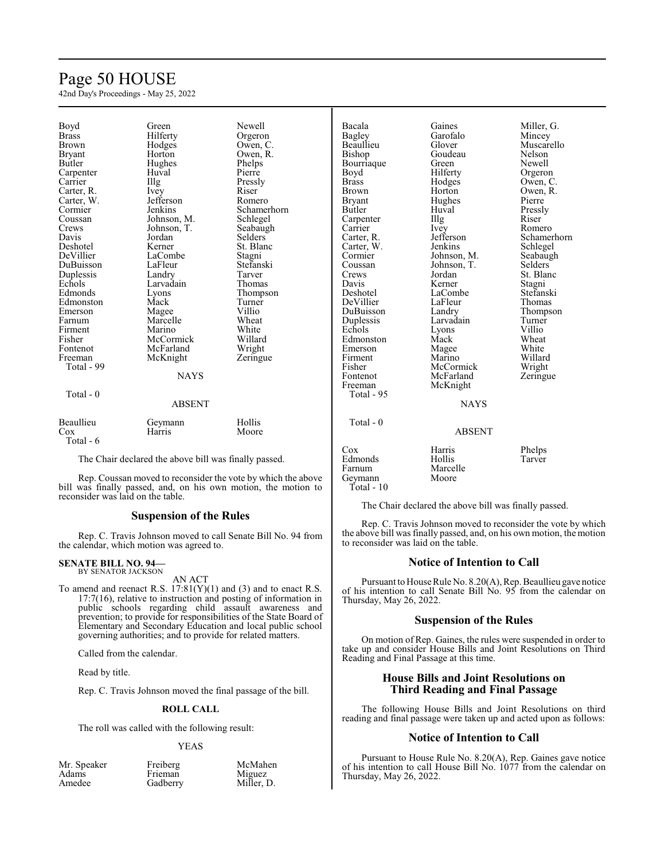## Page 50 HOUSE

42nd Day's Proceedings - May 25, 2022

| Boyd                | Green         | Newell         | Bacala        | Gaines        | Miller, G.  |
|---------------------|---------------|----------------|---------------|---------------|-------------|
| <b>Brass</b>        | Hilferty      | Orgeron        | Bagley        | Garofalo      | Mincey      |
| <b>Brown</b>        | Hodges        | Owen, C.       | Beaullieu     | Glover        | Muscarello  |
| <b>Bryant</b>       | Horton        | Owen, R.       | Bishop        | Goudeau       | Nelson      |
| Butler              | Hughes        | Phelps         | Bourriaque    | Green         | Newell      |
| Carpenter           | Huval         | Pierre         | Boyd          | Hilferty      | Orgeron     |
| Carrier             | Illg          | Pressly        | <b>Brass</b>  | Hodges        | Owen, C.    |
| Carter, R.          | Ivey          | Riser          | <b>Brown</b>  | Horton        | Owen, R.    |
| Carter, W.          | Jefferson     | Romero         | <b>Bryant</b> | Hughes        | Pierre      |
| Cormier             | Jenkins       | Schamerhorn    | Butler        | Huval         | Pressly     |
| Coussan             | Johnson, M.   | Schlegel       | Carpenter     | Illg          | Riser       |
| Crews               | Johnson, T.   | Seabaugh       | Carrier       | Ivey          | Romero      |
| Davis               | Jordan        | <b>Selders</b> | Carter, R.    | Jefferson     | Schamerhorn |
| Deshotel            | Kerner        | St. Blanc      | Carter, W.    | Jenkins       | Schlegel    |
| DeVillier           | LaCombe       | Stagni         | Cormier       | Johnson, M.   | Seabaugh    |
| DuBuisson           | LaFleur       | Stefanski      | Coussan       | Johnson, T.   | Selders     |
| Duplessis           | Landry        | Tarver         | Crews         | Jordan        | St. Blanc   |
| Echols              | Larvadain     | Thomas         | Davis         | Kerner        | Stagni      |
| Edmonds             | Lyons         | Thompson       | Deshotel      | LaCombe       | Stefanski   |
| Edmonston           | Mack          | Turner         | DeVillier     | LaFleur       | Thomas      |
| Emerson             | Magee         | Villio         | DuBuisson     | Landry        | Thompson    |
| Farnum              | Marcelle      | Wheat          | Duplessis     | Larvadain     | Turner      |
| Firment             | Marino        | White          | Echols        | Lyons         | Villio      |
| Fisher              | McCormick     | Willard        | Edmonston     | Mack          | Wheat       |
| Fontenot            | McFarland     | Wright         | Emerson       | Magee         | White       |
| Freeman             | McKnight      | Zeringue       | Firment       | Marino        | Willard     |
| Total - 99          |               |                | Fisher        | McCormick     | Wright      |
|                     | <b>NAYS</b>   |                | Fontenot      | McFarland     | Zeringue    |
|                     |               |                | Freeman       | McKnight      |             |
| Total - 0           |               |                | Total - 95    |               |             |
|                     | <b>ABSENT</b> |                |               | <b>NAYS</b>   |             |
| Beaullieu           | Geymann       | Hollis         | Total - 0     |               |             |
| $\cos$              | Harris        | Moore          |               | <b>ABSENT</b> |             |
| Total - 6           |               |                |               |               |             |
| $-1$ $-1$ $-1$ $-1$ |               |                | $\cos$        | Harris        | Phelps      |

The Chair declared the above bill was finally passed.

Rep. Coussan moved to reconsider the vote by which the above bill was finally passed, and, on his own motion, the motion to reconsider was laid on the table.

#### **Suspension of the Rules**

Rep. C. Travis Johnson moved to call Senate Bill No. 94 from the calendar, which motion was agreed to.

#### **SENATE BILL NO. 94—** BY SENATOR JACKSON

AN ACT

To amend and reenact R.S.  $17:81(Y)(1)$  and (3) and to enact R.S. 17:7(16), relative to instruction and posting of information in public schools regarding child assault awareness and prevention; to provide for responsibilities of the State Board of Elementary and Secondary Education and local public school governing authorities; and to provide for related matters.

Called from the calendar.

Read by title.

Rep. C. Travis Johnson moved the final passage of the bill.

#### **ROLL CALL**

The roll was called with the following result:

#### YEAS

| Mr. Speaker | Freiberg | McMahen    |
|-------------|----------|------------|
| Adams       | Frieman  | Miguez     |
| Amedee      | Gadberry | Miller, D. |

| Phelps |
|--------|
| Tarver |
|        |
|        |
|        |
|        |

The Chair declared the above bill was finally passed.

Rep. C. Travis Johnson moved to reconsider the vote by which the above bill was finally passed, and, on his own motion, the motion to reconsider was laid on the table.

#### **Notice of Intention to Call**

Pursuant to House Rule No. 8.20(A), Rep. Beaullieu gave notice of his intention to call Senate Bill No. 95 from the calendar on Thursday, May 26, 2022.

#### **Suspension of the Rules**

On motion of Rep. Gaines, the rules were suspended in order to take up and consider House Bills and Joint Resolutions on Third Reading and Final Passage at this time.

#### **House Bills and Joint Resolutions on Third Reading and Final Passage**

The following House Bills and Joint Resolutions on third reading and final passage were taken up and acted upon as follows:

#### **Notice of Intention to Call**

Pursuant to House Rule No. 8.20(A), Rep. Gaines gave notice of his intention to call House Bill No. 1077 from the calendar on Thursday, May 26, 2022.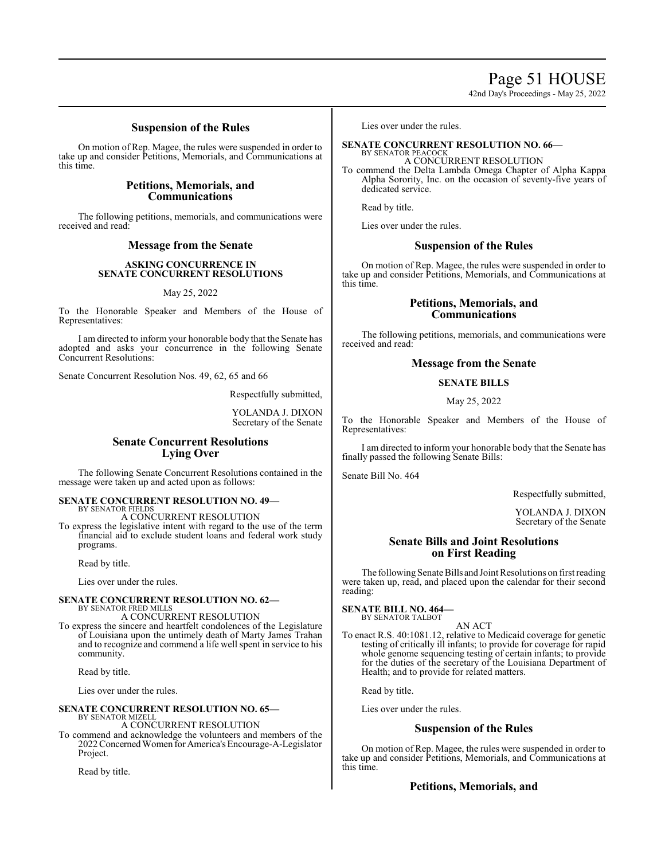Page 51 HOUSE

42nd Day's Proceedings - May 25, 2022

#### **Suspension of the Rules**

On motion of Rep. Magee, the rules were suspended in order to take up and consider Petitions, Memorials, and Communications at this time.

#### **Petitions, Memorials, and Communications**

The following petitions, memorials, and communications were received and read:

#### **Message from the Senate**

#### **ASKING CONCURRENCE IN SENATE CONCURRENT RESOLUTIONS**

#### May 25, 2022

To the Honorable Speaker and Members of the House of Representatives:

I am directed to inform your honorable body that the Senate has adopted and asks your concurrence in the following Senate Concurrent Resolutions:

Senate Concurrent Resolution Nos. 49, 62, 65 and 66

Respectfully submitted,

YOLANDA J. DIXON Secretary of the Senate

## **Senate Concurrent Resolutions Lying Over**

The following Senate Concurrent Resolutions contained in the message were taken up and acted upon as follows:

#### **SENATE CONCURRENT RESOLUTION NO. 49—** BY SENATOR FIELDS

A CONCURRENT RESOLUTION

To express the legislative intent with regard to the use of the term financial aid to exclude student loans and federal work study programs.

Read by title.

Lies over under the rules.

## **SENATE CONCURRENT RESOLUTION NO. 62—** BY SENATOR FRED MILLS

A CONCURRENT RESOLUTION

To express the sincere and heartfelt condolences of the Legislature of Louisiana upon the untimely death of Marty James Trahan and to recognize and commend a life well spent in service to his community.

Read by title.

Lies over under the rules.

#### **SENATE CONCURRENT RESOLUTION NO. 65—** BY SENATOR MIZELL

A CONCURRENT RESOLUTION

To commend and acknowledge the volunteers and members of the 2022 ConcernedWomen for America's Encourage-A-Legislator Project.

Read by title.

Lies over under the rules.

#### **SENATE CONCURRENT RESOLUTION NO. 66—** BY SENATOR PEACOCK

#### A CONCURRENT RESOLUTION

To commend the Delta Lambda Omega Chapter of Alpha Kappa Alpha Sorority, Inc. on the occasion of seventy-five years of dedicated service.

Read by title.

Lies over under the rules.

#### **Suspension of the Rules**

On motion of Rep. Magee, the rules were suspended in order to take up and consider Petitions, Memorials, and Communications at this time.

#### **Petitions, Memorials, and Communications**

The following petitions, memorials, and communications were received and read:

#### **Message from the Senate**

#### **SENATE BILLS**

#### May 25, 2022

To the Honorable Speaker and Members of the House of Representatives:

I am directed to inform your honorable body that the Senate has finally passed the following Senate Bills:

Senate Bill No. 464

Respectfully submitted,

YOLANDA J. DIXON Secretary of the Senate

#### **Senate Bills and Joint Resolutions on First Reading**

The following Senate Bills and Joint Resolutions on first reading were taken up, read, and placed upon the calendar for their second reading:

#### **SENATE BILL NO. 464—**

BY SENATOR TALBOT AN ACT

To enact R.S. 40:1081.12, relative to Medicaid coverage for genetic testing of critically ill infants; to provide for coverage for rapid whole genome sequencing testing of certain infants; to provide for the duties of the secretary of the Louisiana Department of Health; and to provide for related matters.

Read by title.

Lies over under the rules.

#### **Suspension of the Rules**

On motion of Rep. Magee, the rules were suspended in order to take up and consider Petitions, Memorials, and Communications at this time.

#### **Petitions, Memorials, and**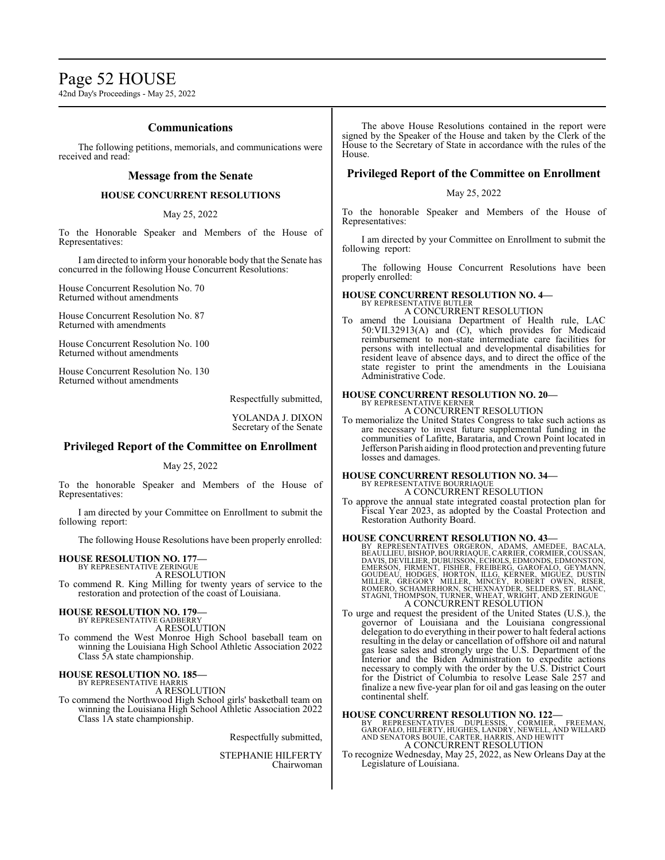## Page 52 HOUSE

42nd Day's Proceedings - May 25, 2022

#### **Communications**

The following petitions, memorials, and communications were received and read:

#### **Message from the Senate**

#### **HOUSE CONCURRENT RESOLUTIONS**

May 25, 2022

To the Honorable Speaker and Members of the House of Representatives:

I am directed to inform your honorable body that the Senate has concurred in the following House Concurrent Resolutions:

House Concurrent Resolution No. 70 Returned without amendments

House Concurrent Resolution No. 87 Returned with amendments

House Concurrent Resolution No. 100 Returned without amendments

House Concurrent Resolution No. 130 Returned without amendments

Respectfully submitted,

YOLANDA J. DIXON Secretary of the Senate

#### **Privileged Report of the Committee on Enrollment**

#### May 25, 2022

To the honorable Speaker and Members of the House of Representatives:

I am directed by your Committee on Enrollment to submit the following report:

The following House Resolutions have been properly enrolled:

#### **HOUSE RESOLUTION NO. 177—**

BY REPRESENTATIVE ZERINGUE A RESOLUTION

To commend R. King Milling for twenty years of service to the restoration and protection of the coast of Louisiana.

#### **HOUSE RESOLUTION NO. 179—**

BY REPRESENTATIVE GADBERRY

A RESOLUTION To commend the West Monroe High School baseball team on winning the Louisiana High School Athletic Association 2022 Class 5A state championship.

## **HOUSE RESOLUTION NO. 185—** BY REPRESENTATIVE HARRIS

A RESOLUTION

To commend the Northwood High School girls' basketball team on winning the Louisiana High School Athletic Association 2022 Class 1A state championship.

Respectfully submitted,

STEPHANIE HILFERTY Chairwoman

The above House Resolutions contained in the report were signed by the Speaker of the House and taken by the Clerk of the House to the Secretary of State in accordance with the rules of the House.

#### **Privileged Report of the Committee on Enrollment**

#### May 25, 2022

To the honorable Speaker and Members of the House of Representatives:

I am directed by your Committee on Enrollment to submit the following report:

The following House Concurrent Resolutions have been properly enrolled:

## **HOUSE CONCURRENT RESOLUTION NO. 4—**

BY REPRESENTATIVE BUTLER A CONCURRENT RESOLUTION

To amend the Louisiana Department of Health rule, LAC 50:VII.32913(A) and (C), which provides for Medicaid reimbursement to non-state intermediate care facilities for persons with intellectual and developmental disabilities for resident leave of absence days, and to direct the office of the state register to print the amendments in the Louisiana Administrative Code.

#### **HOUSE CONCURRENT RESOLUTION NO. 20—**

BY REPRESENTATIVE KERNER A CONCURRENT RESOLUTION

To memorialize the United States Congress to take such actions as are necessary to invest future supplemental funding in the communities of Lafitte, Barataria, and Crown Point located in Jefferson Parish aiding in flood protection and preventing future losses and damages.

#### **HOUSE CONCURRENT RESOLUTION NO. 34—** BY REPRESENTATIVE BOURRIAQUE

A CONCURRENT RESOLUTION

To approve the annual state integrated coastal protection plan for Fiscal Year 2023, as adopted by the Coastal Protection and Restoration Authority Board.

#### **HOUSE CONCURRENT RESOLUTION NO. 43—**

- BY REPRESENTATIVES ORGERON, ADAMS, AMEDEE, BACALA, BEAULIEU, BISHOP, BOURRIAQUE, CARRIER, CORMIER, COUSSAN, DAVIS, DEVILLIER, DUBUISSON, ECHOLS, EDMONDS, EDMONSTON, FORDER COUDEAU, HODGES, HORCHOR, KEERER (GAROFALO, GEYMAN
- To urge and request the president of the United States (U.S.), the governor of Louisiana and the Louisiana congressional delegation to do everything in their power to halt federal actions resulting in the delay or cancellation of offshore oil and natural gas lease sales and strongly urge the U.S. Department of the Interior and the Biden Administration to expedite actions necessary to comply with the order by the U.S. District Court for the District of Columbia to resolve Lease Sale 257 and finalize a new five-year plan for oil and gas leasing on the outer continental shelf.

**HOUSE CONCURRENT RESOLUTION NO. 122—**<br>BY REPRESENTATIVES DUPLESSIS, CORMIER, FREEMAN,<br>GAROFALO, HILFERTY, HUGHES, LANDRY, NEWELL, AND WILLARD<br>AND SENATORS BOUIE, CARTER, HARRIS, AND HEWITT A CONCURRENT RESOLUTION

To recognize Wednesday, May 25, 2022, as New Orleans Day at the Legislature of Louisiana.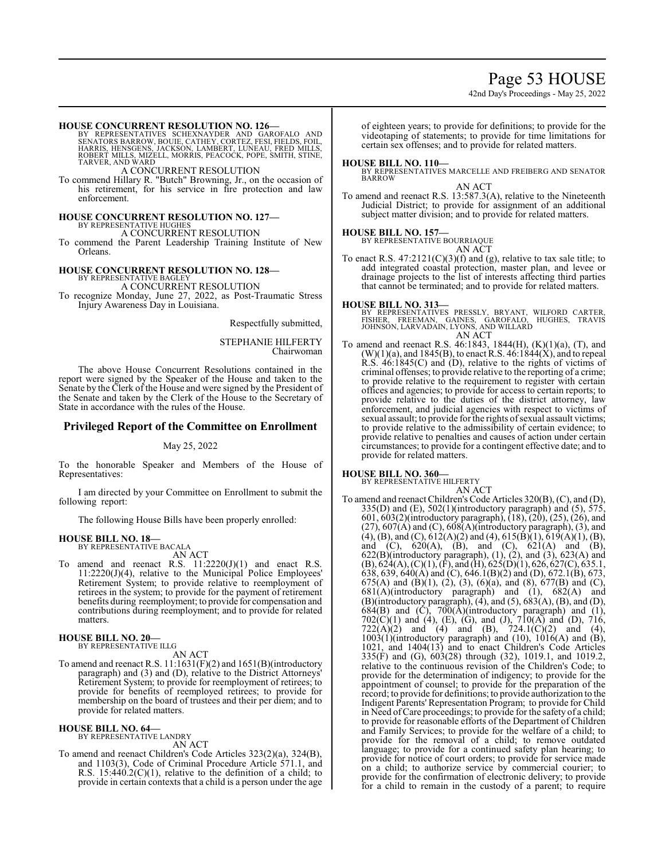## Page 53 HOUSE

42nd Day's Proceedings - May 25, 2022

#### **HOUSE CONCURRENT RESOLUTION NO. 126—**

BY REPRESENTATIVES SCHEXNAYDER AND GAROFALO AND<br>SENATORS BARROW, BOUIE, CATHEY, CORTEZ, FESI, FIELDS, FOIL,<br>HARRIS, HENSGENS, JACKSON, LAMBERT, LUNEAU, FRED MILLS,<br>ROBERT MILLS, MIZELL, MORRIS, PEACOCK, POPE, SMITH, STINE, TARVER, AND WARD

A CONCURRENT RESOLUTION

To commend Hillary R. "Butch" Browning, Jr., on the occasion of his retirement, for his service in fire protection and law enforcement.

### **HOUSE CONCURRENT RESOLUTION NO. 127—**

## BY REPRESENTATIVE HUGHES A CONCURRENT RESOLUTION

To commend the Parent Leadership Training Institute of New Orleans.

## **HOUSE CONCURRENT RESOLUTION NO. 128—** BY REPRESENTATIVE BAGLEY

A CONCURRENT RESOLUTION

To recognize Monday, June 27, 2022, as Post-Traumatic Stress Injury Awareness Day in Louisiana.

Respectfully submitted,

STEPHANIE HILFERTY Chairwoman

The above House Concurrent Resolutions contained in the report were signed by the Speaker of the House and taken to the Senate by the Clerk of the House and were signed by the President of the Senate and taken by the Clerk of the House to the Secretary of State in accordance with the rules of the House.

#### **Privileged Report of the Committee on Enrollment**

#### May 25, 2022

To the honorable Speaker and Members of the House of Representatives:

I am directed by your Committee on Enrollment to submit the following report:

The following House Bills have been properly enrolled:

#### **HOUSE BILL NO. 18—**

BY REPRESENTATIVE BACALA AN ACT

To amend and reenact R.S.  $11:2220(J)(1)$  and enact R.S. 11:2220(J)(4), relative to the Municipal Police Employees' Retirement System; to provide relative to reemployment of retirees in the system; to provide for the payment of retirement benefits during reemployment; to provide for compensation and contributions during reemployment; and to provide for related matters.

#### **HOUSE BILL NO. 20—** BY REPRESENTATIVE ILLG

AN ACT

To amend and reenact R.S. 11:1631(F)(2) and 1651(B)(introductory paragraph) and (3) and (D), relative to the District Attorneys' Retirement System; to provide for reemployment of retirees; to provide for benefits of reemployed retirees; to provide for membership on the board of trustees and their per diem; and to provide for related matters.

## **HOUSE BILL NO. 64—** BY REPRESENTATIVE LANDRY

AN ACT

To amend and reenact Children's Code Articles 323(2)(a), 324(B), and 1103(3), Code of Criminal Procedure Article 571.1, and R.S.  $15:440.2(C)(1)$ , relative to the definition of a child; to provide in certain contexts that a child is a person under the age of eighteen years; to provide for definitions; to provide for the videotaping of statements; to provide for time limitations for certain sex offenses; and to provide for related matters.

#### **HOUSE BILL NO. 110—**

BY REPRESENTATIVES MARCELLE AND FREIBERG AND SENATOR BARROW

AN ACT

To amend and reenact R.S. 13:587.3(A), relative to the Nineteenth Judicial District; to provide for assignment of an additional subject matter division; and to provide for related matters.

#### **HOUSE BILL NO. 157—**

BY REPRESENTATIVE BOURRIAQUE

AN ACT

To enact R.S.  $47:2121(C)(3)(f)$  and (g), relative to tax sale title; to add integrated coastal protection, master plan, and levee or drainage projects to the list of interests affecting third parties that cannot be terminated; and to provide for related matters.

#### **HOUSE BILL NO. 313—**

BY REPRESENTATIVES PRESSLY, BRYANT, WILFORD CARTER,<br>FISHER, FREEMAN, GAINES, GAROFALO, HUGHES, TRAVIS<br>JOHNSON,LARVADAIN,LYONS,ANDWILLARD AN ACT

To amend and reenact R.S. 46:1843, 1844(H), (K)(1)(a), (T), and  $(W)(1)(a)$ , and 1845(B), to enact R.S. 46:1844(X), and to repeal R.S. 46:1845(C) and (D), relative to the rights of victims of criminal offenses; to provide relative to the reporting of a crime; to provide relative to the requirement to register with certain offices and agencies; to provide for access to certain reports; to provide relative to the duties of the district attorney, law enforcement, and judicial agencies with respect to victims of sexual assault; to provide for the rights of sexual assault victims; to provide relative to the admissibility of certain evidence; to provide relative to penalties and causes of action under certain circumstances; to provide for a contingent effective date; and to provide for related matters.

# **HOUSE BILL NO. 360—** BY REPRESENTATIVE HILFERTY

AN ACT To amend and reenact Children's Code Articles 320(B), (C), and (D),  $335(D)$  and  $(E)$ ,  $502(1)$ (introductory paragraph) and  $(5)$ ,  $575$ , 601, 603(2)(introductory paragraph), (18), (20), (25), (26), and  $(27), 607(A)$  and  $(C), 608(A)$ (introductory paragraph),  $(3)$ , and (4), (B), and (C),  $612(A)(2)$  and (4),  $615(B)(1)$ ,  $619(A)(1)$ , (B), and (C),  $620(A)$ , (B), and (C),  $621(A)$  and (B),  $622(B)$ (introductory paragraph),  $(1)$ ,  $(2)$ , and  $(3)$ ,  $623(A)$  and  $(B)$ ,  $624(A)$ ,  $(C)(1)$ ,  $(F)$ , and  $(H)$ ,  $625(D)(1)$ ,  $626$ ,  $627(C)$ ,  $635.1$ , 638, 639, 640(A) and (C), 646.1(B)(2) and (D), 672.1(B), 673, 675(A) and (B)(1), (2), (3), (6)(a), and (8), 677(B) and (C),  $681(A)$ (introductory paragraph) and (1),  $682(A)$  and  $(B)$ (introductory paragraph),  $(4)$ , and  $(5)$ ,  $683(A)$ ,  $(B)$ , and  $(D)$ ,  $684(B)$  and  $(\dot{C})$ ,  $700(\dot{A})$ (introductory paragraph) and  $(1)$ ,  $702(C)(1)$  and (4), (E), (G), and (J),  $710(A)$  and (D),  $716$ ,  $722(A)(2)$  and  $(4)$  and  $(B)$ ,  $724.1(C)(2)$  and  $(4)$ , 1003(1)(introductory paragraph) and (10), 1016(A) and (B), 1021, and 1404(13) and to enact Children's Code Articles 335(F) and (G), 603(28) through (32), 1019.1, and 1019.2, relative to the continuous revision of the Children's Code; to provide for the determination of indigency; to provide for the appointment of counsel; to provide for the preparation of the record; to provide for definitions; to provide authorization to the Indigent Parents' Representation Program; to provide for Child in Need ofCare proceedings; to provide for the safety of a child; to provide for reasonable efforts of the Department of Children and Family Services; to provide for the welfare of a child; to provide for the removal of a child; to remove outdated language; to provide for a continued safety plan hearing; to provide for notice of court orders; to provide for service made on a child; to authorize service by commercial courier; to provide for the confirmation of electronic delivery; to provide for a child to remain in the custody of a parent; to require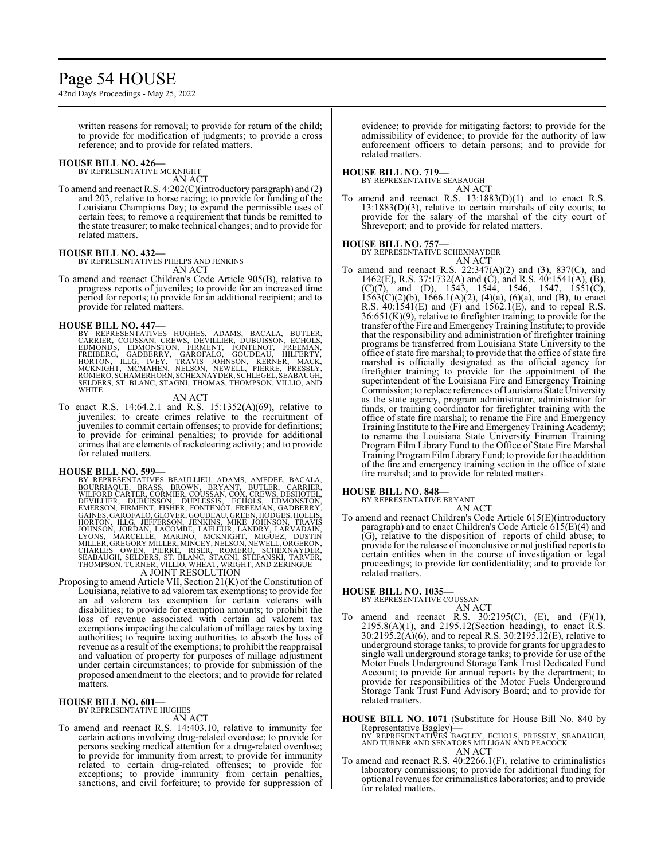## Page 54 HOUSE

42nd Day's Proceedings - May 25, 2022

written reasons for removal; to provide for return of the child; to provide for modification of judgments; to provide a cross reference; and to provide for related matters.

#### **HOUSE BILL NO. 426—**

BY REPRESENTATIVE MCKNIGHT AN ACT

To amend and reenact R.S. 4:202(C)(introductory paragraph) and (2) and 203, relative to horse racing; to provide for funding of the Louisiana Champions Day; to expand the permissible uses of certain fees; to remove a requirement that funds be remitted to the state treasurer; to make technical changes; and to provide for related matters.

#### **HOUSE BILL NO. 432—**

BY REPRESENTATIVES PHELPS AND JENKINS AN ACT

To amend and reenact Children's Code Article 905(B), relative to progress reports of juveniles; to provide for an increased time period for reports; to provide for an additional recipient; and to provide for related matters.

**HOUSE BILL NO. 447—**<br>BY REPRESENTATIVES HUGHES, ADAMS, BACALA, BUTLER, CARRIER, COUSSAN, CREWS, DEVILLIER, DUBUISSON, ECHOLS,<br>EDMONDS, EDMONSTON, FIRMENT, FONTENOT, FREEMAN,<br>FREIBERG, GADBERRY, GAROFALO, GOUDEAU, HILFERTY SELDERS, ST. BLANC, STAGNI, THOMAS, THOMPSON, VILLIO, AND WHITE

#### AN ACT

To enact R.S. 14:64.2.1 and R.S. 15:1352(A)(69), relative to juveniles; to create crimes relative to the recruitment of juveniles to commit certain offenses; to provide for definitions; to provide for criminal penalties; to provide for additional crimes that are elements of racketeering activity; and to provide for related matters.

#### **HOUSE BILL NO. 599—**

BY REPRESENTATIVES BEAULLIEU, ADAMS, AMEDEE, BACALA,<br>BOURRIAQUE, BRASS, BROWN, BRYANT, BUTLER, CARRIER,<br>WILFORD CARTER, CORMIER, COUSSAN, COX, CREWS, DESINIER,<br>DEVILLIER, DUBUISSON, DUPLESSIS, ECHOLS, EDMONSTON,<br>GAINES, GA

#### A JOINT RESOLUTION

Proposing to amend Article VII, Section 21(K) of the Constitution of Louisiana, relative to ad valorem tax exemptions; to provide for an ad valorem tax exemption for certain veterans with disabilities; to provide for exemption amounts; to prohibit the loss of revenue associated with certain ad valorem tax exemptions impacting the calculation of millage rates by taxing authorities; to require taxing authorities to absorb the loss of revenue as a result of the exemptions; to prohibit the reappraisal and valuation of property for purposes of millage adjustment under certain circumstances; to provide for submission of the proposed amendment to the electors; and to provide for related matters.

#### **HOUSE BILL NO. 601—**

BY REPRESENTATIVE HUGHES

AN ACT

To amend and reenact R.S. 14:403.10, relative to immunity for certain actions involving drug-related overdose; to provide for persons seeking medical attention for a drug-related overdose; to provide for immunity from arrest; to provide for immunity related to certain drug-related offenses; to provide for exceptions; to provide immunity from certain penalties, sanctions, and civil forfeiture; to provide for suppression of evidence; to provide for mitigating factors; to provide for the admissibility of evidence; to provide for the authority of law enforcement officers to detain persons; and to provide for related matters.

#### **HOUSE BILL NO. 719—**

BY REPRESENTATIVE SEABAUGH AN ACT

To amend and reenact R.S. 13:1883(D)(1) and to enact R.S. 13:1883(D)(3), relative to certain marshals of city courts; to provide for the salary of the marshal of the city court of Shreveport; and to provide for related matters.

#### **HOUSE BILL NO. 757—**

BY REPRESENTATIVE SCHEXNAYDER AN ACT

To amend and reenact R.S. 22:347(A)(2) and (3), 837(C), and 1462(E), R.S. 37:1732(A) and (C), and R.S. 40:1541(A), (B),  $(C)(7)$ , and  $(D)$ , 1543, 1544, 1546, 1547, 1551 $(C)$ ,  $1563(C)(2)(b)$ ,  $1666.1(A)(2)$ ,  $(4)(a)$ ,  $(6)(a)$ , and  $(B)$ , to enact R.S.  $40:1541(E)$  and  $(F)$  and  $1562.1(E)$ , and to repeal R.S. 36:651(K)(9), relative to firefighter training; to provide for the transfer ofthe Fire and EmergencyTraining Institute; to provide that the responsibility and administration of firefighter training programs be transferred from Louisiana State University to the office of state fire marshal; to provide that the office of state fire marshal is officially designated as the official agency for firefighter training; to provide for the appointment of the superintendent of the Louisiana Fire and Emergency Training Commission; to replace references ofLouisiana State University as the state agency, program administrator, administrator for funds, or training coordinator for firefighter training with the office of state fire marshal; to rename the Fire and Emergency Training Institute to the Fire and Emergency Training Academy; to rename the Louisiana State University Firemen Training Program Film Library Fund to the Office of State Fire Marshal Training ProgramFilmLibraryFund; to provide for the addition of the fire and emergency training section in the office of state fire marshal; and to provide for related matters.

#### **HOUSE BILL NO. 848—**

BY REPRESENTATIVE BRYANT AN ACT

To amend and reenact Children's Code Article 615(E)(introductory paragraph) and to enact Children's Code Article 615(E)(4) and (G), relative to the disposition of reports of child abuse; to provide for the release of inconclusive or not justified reports to certain entities when in the course of investigation or legal proceedings; to provide for confidentiality; and to provide for related matters.

**HOUSE BILL NO. 1035—** BY REPRESENTATIVE COUSSAN

- AN ACT
- To amend and reenact R.S.  $30:2195(C)$ , (E), and (F)(1),  $2195.8(A)(1)$ , and  $2195.12$  (Section heading), to enact R.S. 30:2195.2(A)(6), and to repeal R.S. 30:2195.12(E), relative to underground storage tanks; to provide for grants for upgrades to single wall underground storage tanks; to provide for use of the Motor Fuels Underground Storage Tank Trust Dedicated Fund Account; to provide for annual reports by the department; to provide for responsibilities of the Motor Fuels Underground Storage Tank Trust Fund Advisory Board; and to provide for related matters.

**HOUSE BILL NO. 1071** (Substitute for House Bill No. 840 by Representative Bagley)— BY REPRESENTATIVES BAGLEY, ECHOLS, PRESSLY, SEABAUGH, AND TURNER AND SENATORS MILLIGAN AND PEACOCK

AN ACT

To amend and reenact R.S. 40:2266.1(F), relative to criminalistics laboratory commissions; to provide for additional funding for optional revenues for criminalistics laboratories; and to provide for related matters.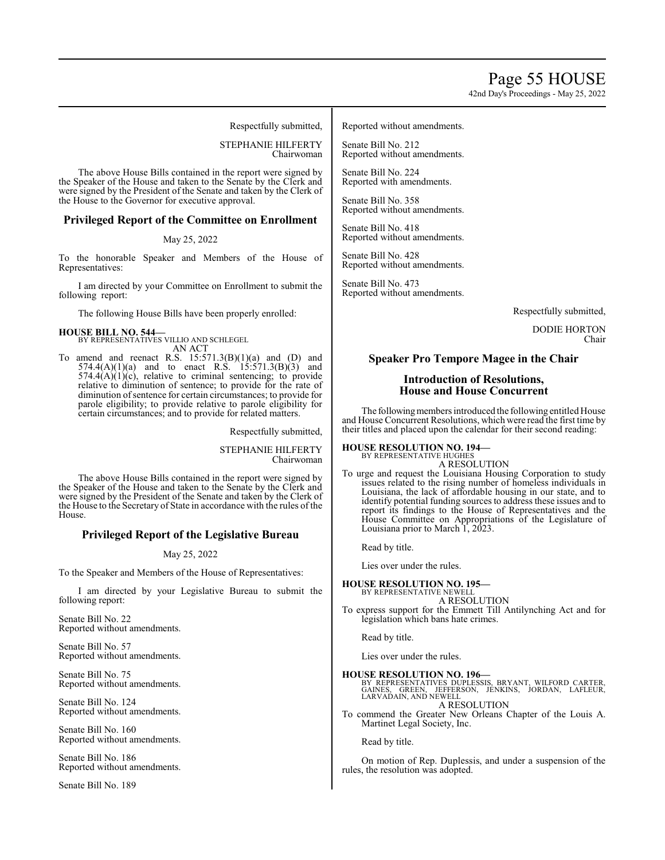42nd Day's Proceedings - May 25, 2022

Respectfully submitted,

STEPHANIE HILFERTY Chairwoman

The above House Bills contained in the report were signed by the Speaker of the House and taken to the Senate by the Clerk and were signed by the President of the Senate and taken by the Clerk of the House to the Governor for executive approval.

#### **Privileged Report of the Committee on Enrollment**

#### May 25, 2022

To the honorable Speaker and Members of the House of Representatives:

I am directed by your Committee on Enrollment to submit the following report:

The following House Bills have been properly enrolled:

#### **HOUSE BILL NO. 544—**

BY REPRESENTATIVES VILLIO AND SCHLEGEL AN ACT

To amend and reenact R.S.  $15:571.3(B)(1)(a)$  and  $(D)$  and  $574.4(A)(1)(a)$  and to enact R.S. 15:571.3(B)(3) and  $574.4(A)(1)(c)$ , relative to criminal sentencing; to provide relative to diminution of sentence; to provide for the rate of diminution of sentence for certain circumstances; to provide for parole eligibility; to provide relative to parole eligibility for certain circumstances; and to provide for related matters.

Respectfully submitted,

STEPHANIE HILFERTY Chairwoman

The above House Bills contained in the report were signed by the Speaker of the House and taken to the Senate by the Clerk and were signed by the President of the Senate and taken by the Clerk of the House to the Secretary of State in accordance with the rules of the House.

#### **Privileged Report of the Legislative Bureau**

#### May 25, 2022

To the Speaker and Members of the House of Representatives:

I am directed by your Legislative Bureau to submit the following report:

Senate Bill No. 22 Reported without amendments.

Senate Bill No. 57 Reported without amendments.

Senate Bill No. 75 Reported without amendments.

Senate Bill No. 124 Reported without amendments.

Senate Bill No. 160 Reported without amendments.

Senate Bill No. 186 Reported without amendments.

Senate Bill No. 189

#### Reported without amendments.

Senate Bill No. 212 Reported without amendments.

Senate Bill No. 224 Reported with amendments.

Senate Bill No. 358 Reported without amendments.

Senate Bill No. 418 Reported without amendments.

Senate Bill No. 428 Reported without amendments.

Senate Bill No. 473 Reported without amendments.

Respectfully submitted,

DODIE HORTON Chair

#### **Speaker Pro Tempore Magee in the Chair**

#### **Introduction of Resolutions, House and House Concurrent**

The following members introduced the following entitled House and House Concurrent Resolutions, which were read the first time by their titles and placed upon the calendar for their second reading:

**HOUSE RESOLUTION NO. 194—** BY REPRESENTATIVE HUGHES

A RESOLUTION

To urge and request the Louisiana Housing Corporation to study issues related to the rising number of homeless individuals in Louisiana, the lack of affordable housing in our state, and to identify potential funding sources to address these issues and to report its findings to the House of Representatives and the House Committee on Appropriations of the Legislature of Louisiana prior to March 1, 2023.

Read by title.

Lies over under the rules.

#### **HOUSE RESOLUTION NO. 195—**

BY REPRESENTATIVE NEWELL A RESOLUTION

To express support for the Emmett Till Antilynching Act and for legislation which bans hate crimes.

Read by title.

Lies over under the rules.

**HOUSE RESOLUTION NO. 196—**<br>BY REPRESENTATIVES DUPLESSIS, BRYANT, WILFORD CARTER,<br>GAINES, GREEN, JEFFERSON, JENKINS, JORDAN, LAFLEUR,<br>LARVADAIN, AND NEWELL

A RESOLUTION To commend the Greater New Orleans Chapter of the Louis A. Martinet Legal Society, Inc.

Read by title.

On motion of Rep. Duplessis, and under a suspension of the rules, the resolution was adopted.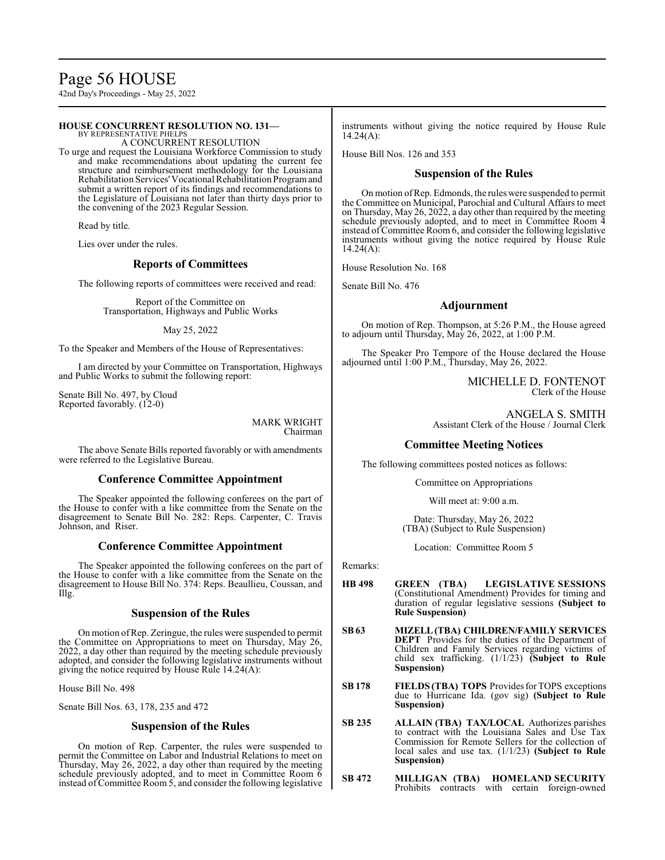# Page 56 HOUSE

42nd Day's Proceedings - May 25, 2022

#### **HOUSE CONCURRENT RESOLUTION NO. 131—**

BY REPRESENTATIVE PHELPS A CONCURRENT RESOLUTION

To urge and request the Louisiana Workforce Commission to study and make recommendations about updating the current fee structure and reimbursement methodology for the Louisiana Rehabilitation Services' Vocational Rehabilitation Programand submit a written report of its findings and recommendations to the Legislature of Louisiana not later than thirty days prior to the convening of the 2023 Regular Session.

Read by title.

Lies over under the rules.

#### **Reports of Committees**

The following reports of committees were received and read:

Report of the Committee on Transportation, Highways and Public Works

May 25, 2022

To the Speaker and Members of the House of Representatives:

I am directed by your Committee on Transportation, Highways and Public Works to submit the following report:

Senate Bill No. 497, by Cloud Reported favorably. (12-0)

> MARK WRIGHT Chairman

The above Senate Bills reported favorably or with amendments were referred to the Legislative Bureau.

#### **Conference Committee Appointment**

The Speaker appointed the following conferees on the part of the House to confer with a like committee from the Senate on the disagreement to Senate Bill No. 282: Reps. Carpenter, C. Travis Johnson, and Riser.

## **Conference Committee Appointment**

The Speaker appointed the following conferees on the part of the House to confer with a like committee from the Senate on the disagreement to House Bill No. 374: Reps. Beaullieu, Coussan, and Illg.

#### **Suspension of the Rules**

On motion ofRep. Zeringue, the rules were suspended to permit the Committee on Appropriations to meet on Thursday, May 26, 2022, a day other than required by the meeting schedule previously adopted, and consider the following legislative instruments without giving the notice required by House Rule 14.24(A):

House Bill No. 498

Senate Bill Nos. 63, 178, 235 and 472

#### **Suspension of the Rules**

On motion of Rep. Carpenter, the rules were suspended to permit the Committee on Labor and Industrial Relations to meet on Thursday, May 26, 2022, a day other than required by the meeting schedule previously adopted, and to meet in Committee Room 6 instead of Committee Room 5, and consider the following legislative instruments without giving the notice required by House Rule  $14.24(A):$ 

House Bill Nos. 126 and 353

#### **Suspension of the Rules**

On motion ofRep. Edmonds, the rules were suspended to permit the Committee on Municipal, Parochial and Cultural Affairs to meet on Thursday, May 26, 2022, a day other than required by the meeting schedule previously adopted, and to meet in Committee Room 4 instead of Committee Room 6, and consider the following legislative instruments without giving the notice required by House Rule  $14.24(A):$ 

House Resolution No. 168

Senate Bill No. 476

#### **Adjournment**

On motion of Rep. Thompson, at 5:26 P.M., the House agreed to adjourn until Thursday, May 26, 2022, at 1:00 P.M.

The Speaker Pro Tempore of the House declared the House adjourned until 1:00 P.M., Thursday, May 26, 2022.

> MICHELLE D. FONTENOT Clerk of the House

ANGELA S. SMITH Assistant Clerk of the House / Journal Clerk

#### **Committee Meeting Notices**

The following committees posted notices as follows:

Committee on Appropriations

Will meet at: 9:00 a.m.

Date: Thursday, May 26, 2022 (TBA) (Subject to Rule Suspension)

Location: Committee Room 5

Remarks:

- **HB 498 GREEN (TBA) LEGISLATIVE SESSIONS**  (Constitutional Amendment) Provides for timing and duration of regular legislative sessions **(Subject to Rule Suspension)**
- **SB63 MIZELL(TBA) CHILDREN/FAMILY SERVICES DEPT** Provides for the duties of the Department of Children and Family Services regarding victims of child sex trafficking. (1/1/23) **(Subject to Rule Suspension)**
- **SB 178 FIELDS (TBA) TOPS** Provides for TOPS exceptions due to Hurricane Ida. (gov sig) **(Subject to Rule Suspension)**
- **SB 235 ALLAIN (TBA) TAX/LOCAL** Authorizes parishes to contract with the Louisiana Sales and Use Tax Commission for Remote Sellers for the collection of local sales and use tax. (1/1/23) **(Subject to Rule Suspension)**
- **SB 472 MILLIGAN (TBA) HOMELAND SECURITY**  Prohibits contracts with certain foreign-owned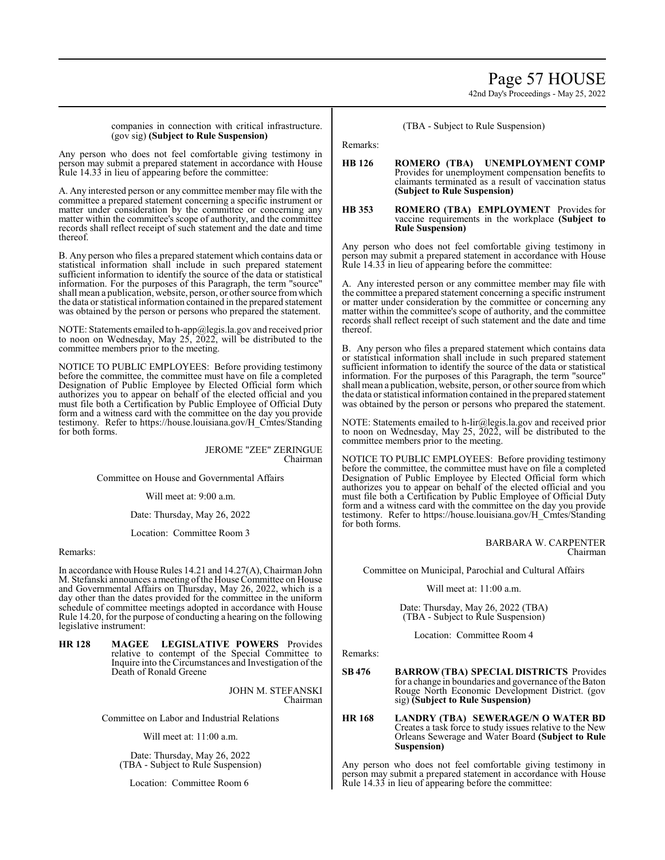# Page 57 HOUSE

42nd Day's Proceedings - May 25, 2022

#### companies in connection with critical infrastructure. (gov sig) **(Subject to Rule Suspension)**

Any person who does not feel comfortable giving testimony in person may submit a prepared statement in accordance with House Rule 14.33 in lieu of appearing before the committee:

A. Any interested person or any committee member may file with the committee a prepared statement concerning a specific instrument or matter under consideration by the committee or concerning any matter within the committee's scope of authority, and the committee records shall reflect receipt of such statement and the date and time thereof.

B. Any person who files a prepared statement which contains data or statistical information shall include in such prepared statement sufficient information to identify the source of the data or statistical information. For the purposes of this Paragraph, the term "source" shall mean a publication, website, person, or other source fromwhich the data or statistical information contained in the prepared statement was obtained by the person or persons who prepared the statement.

NOTE: Statements emailed to h-app@legis.la.gov and received prior to noon on Wednesday, May 25, 2022, will be distributed to the committee members prior to the meeting.

NOTICE TO PUBLIC EMPLOYEES: Before providing testimony before the committee, the committee must have on file a completed Designation of Public Employee by Elected Official form which authorizes you to appear on behalf of the elected official and you must file both a Certification by Public Employee of Official Duty form and a witness card with the committee on the day you provide testimony. Refer to https://house.louisiana.gov/H\_Cmtes/Standing for both forms.

> JEROME "ZEE" ZERINGUE Chairman

Committee on House and Governmental Affairs

Will meet at: 9:00 a.m.

Date: Thursday, May 26, 2022

Location: Committee Room 3

Remarks:

In accordance with House Rules 14.21 and 14.27(A), Chairman John M. Stefanski announces ameeting ofthe House Committee on House and Governmental Affairs on Thursday, May 26, 2022, which is a day other than the dates provided for the committee in the uniform schedule of committee meetings adopted in accordance with House Rule 14.20, for the purpose of conducting a hearing on the following legislative instrument:

**HR 128 MAGEE LEGISLATIVE POWERS** Provides relative to contempt of the Special Committee to Inquire into the Circumstances and Investigation of the Death of Ronald Greene

> JOHN M. STEFANSKI Chairman

Committee on Labor and Industrial Relations

Will meet at: 11:00 a.m.

Date: Thursday, May 26, 2022 (TBA - Subject to Rule Suspension)

Location: Committee Room 6

(TBA - Subject to Rule Suspension)

Remarks:

#### **HB 126 ROMERO (TBA) UNEMPLOYMENT COMP**  Provides for unemployment compensation benefits to claimants terminated as a result of vaccination status **(Subject to Rule Suspension)**

#### **HB 353 ROMERO (TBA) EMPLOYMENT** Provides for vaccine requirements in the workplace **(Subject to Rule Suspension)**

Any person who does not feel comfortable giving testimony in person may submit a prepared statement in accordance with House Rule 14.33 in lieu of appearing before the committee:

A. Any interested person or any committee member may file with the committee a prepared statement concerning a specific instrument or matter under consideration by the committee or concerning any matter within the committee's scope of authority, and the committee records shall reflect receipt of such statement and the date and time thereof.

B. Any person who files a prepared statement which contains data or statistical information shall include in such prepared statement sufficient information to identify the source of the data or statistical information. For the purposes of this Paragraph, the term "source" shall mean a publication, website, person, or other source fromwhich the data or statistical information contained in the prepared statement was obtained by the person or persons who prepared the statement.

NOTE: Statements emailed to h-lir@legis.la.gov and received prior to noon on Wednesday, May 25, 2022, will be distributed to the committee members prior to the meeting.

NOTICE TO PUBLIC EMPLOYEES: Before providing testimony before the committee, the committee must have on file a completed Designation of Public Employee by Elected Official form which authorizes you to appear on behalf of the elected official and you must file both a Certification by Public Employee of Official Duty form and a witness card with the committee on the day you provide testimony. Refer to https://house.louisiana.gov/H\_Cmtes/Standing for both forms.

> BARBARA W. CARPENTER Chairman

Committee on Municipal, Parochial and Cultural Affairs

Will meet at: 11:00 a.m.

Date: Thursday, May 26, 2022 (TBA) (TBA - Subject to Rule Suspension)

Location: Committee Room 4

Remarks:

**SB 476 BARROW(TBA) SPECIAL DISTRICTS** Provides for a change in boundaries and governance ofthe Baton Rouge North Economic Development District. (gov sig) **(Subject to Rule Suspension)**

**HR 168 LANDRY (TBA) SEWERAGE/N O WATER BD**  Creates a task force to study issues relative to the New Orleans Sewerage and Water Board **(Subject to Rule Suspension)**

Any person who does not feel comfortable giving testimony in person may submit a prepared statement in accordance with House Rule 14.33 in lieu of appearing before the committee: